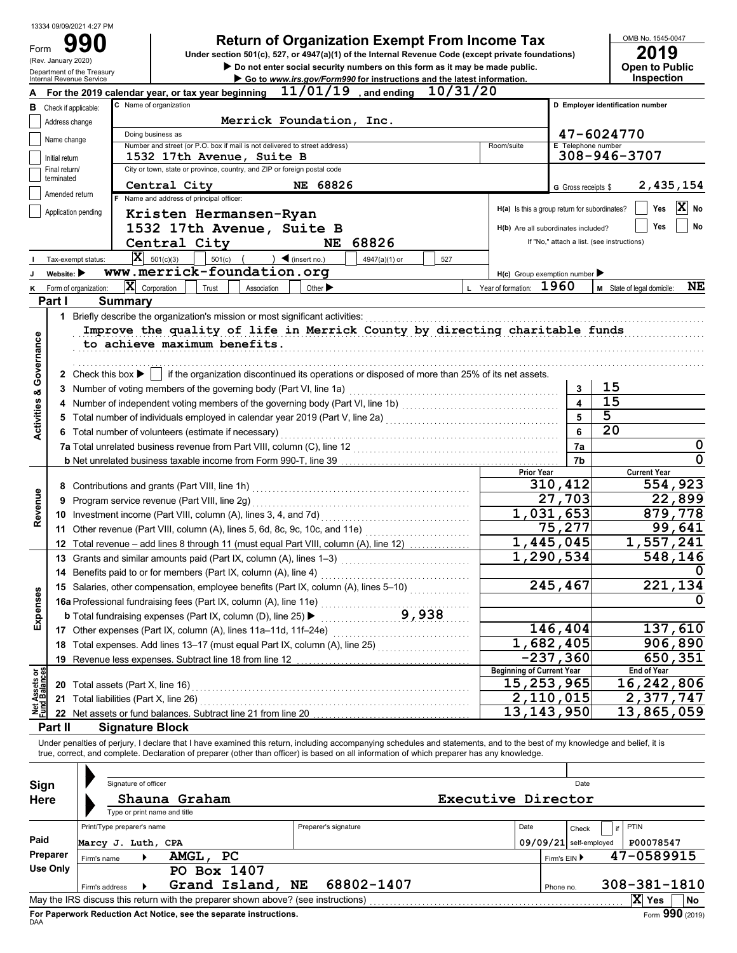|                                        | 13334 09/09/2021 4:27 PM                               |                                                                                                                                                                                          |                                               |                           |                                            |  |  |  |
|----------------------------------------|--------------------------------------------------------|------------------------------------------------------------------------------------------------------------------------------------------------------------------------------------------|-----------------------------------------------|---------------------------|--------------------------------------------|--|--|--|
| Form                                   |                                                        | <b>Return of Organization Exempt From Income Tax</b>                                                                                                                                     |                                               |                           | OMB No. 1545-0047                          |  |  |  |
|                                        | (Rev. January 2020)                                    | Under section 501(c), 527, or 4947(a)(1) of the Internal Revenue Code (except private foundations)                                                                                       |                                               |                           | 2019                                       |  |  |  |
|                                        | Department of the Treasury<br>Internal Revenue Service | Do not enter social security numbers on this form as it may be made public.<br>Go to www.irs.gov/Form990 for instructions and the latest information.                                    |                                               |                           | <b>Open to Public</b><br>Inspection        |  |  |  |
|                                        |                                                        | $11/01/19$ , and ending<br>10/31/20<br>For the 2019 calendar year, or tax year beginning                                                                                                 |                                               |                           |                                            |  |  |  |
| в                                      | Check if applicable:                                   | C Name of organization                                                                                                                                                                   |                                               |                           | D Employer identification number           |  |  |  |
|                                        | Address change                                         | Merrick Foundation, Inc.                                                                                                                                                                 |                                               |                           |                                            |  |  |  |
|                                        |                                                        | Doing business as                                                                                                                                                                        |                                               |                           | 47-6024770                                 |  |  |  |
|                                        | Name change                                            | Number and street (or P.O. box if mail is not delivered to street address)                                                                                                               | Room/suite                                    | <b>E</b> Telephone number |                                            |  |  |  |
|                                        | Initial return                                         | 1532 17th Avenue, Suite B                                                                                                                                                                |                                               | $308 - 946 - 3707$        |                                            |  |  |  |
|                                        | Final return/<br>terminated                            | City or town, state or province, country, and ZIP or foreign postal code                                                                                                                 |                                               |                           |                                            |  |  |  |
|                                        |                                                        | G Gross receipts \$                                                                                                                                                                      | 2,435,154                                     |                           |                                            |  |  |  |
|                                        | Amended return                                         | F Name and address of principal officer:                                                                                                                                                 |                                               |                           | ΙXΙ                                        |  |  |  |
|                                        | Application pending                                    | Kristen Hermansen-Ryan                                                                                                                                                                   | H(a) Is this a group return for subordinates? |                           | Yes<br>No                                  |  |  |  |
|                                        |                                                        | 1532 17th Avenue, Suite B                                                                                                                                                                | H(b) Are all subordinates included?           |                           | No<br>Yes                                  |  |  |  |
|                                        |                                                        | 68826<br>Central City<br>NE                                                                                                                                                              |                                               |                           | If "No," attach a list. (see instructions) |  |  |  |
|                                        | Tax-exempt status:                                     | X<br>$\big)$ (insert no.)<br>501(c)(3)<br>501(c)<br>4947(a)(1) or<br>527                                                                                                                 |                                               |                           |                                            |  |  |  |
|                                        | Website:                                               | www.merrick-foundation.org                                                                                                                                                               | $H(c)$ Group exemption number                 |                           |                                            |  |  |  |
|                                        | Form of organization:                                  | $ \mathbf{X} $ Corporation<br>Other $\blacktriangleright$<br>Trust<br>Association                                                                                                        | L Year of formation:                          | 1960                      | NE<br>M State of legal domicile:           |  |  |  |
|                                        | Part I                                                 | <b>Summary</b>                                                                                                                                                                           |                                               |                           |                                            |  |  |  |
|                                        |                                                        | 1 Briefly describe the organization's mission or most significant activities:                                                                                                            |                                               |                           |                                            |  |  |  |
|                                        |                                                        | Improve the quality of life in Merrick County by directing charitable funds                                                                                                              |                                               |                           |                                            |  |  |  |
|                                        |                                                        | to achieve maximum benefits.                                                                                                                                                             |                                               |                           |                                            |  |  |  |
|                                        |                                                        |                                                                                                                                                                                          |                                               |                           |                                            |  |  |  |
| Governance                             |                                                        | 2 Check this box $\blacktriangleright$   if the organization discontinued its operations or disposed of more than 25% of its net assets.                                                 |                                               |                           |                                            |  |  |  |
|                                        |                                                        | 3 Number of voting members of the governing body (Part VI, line 1a)                                                                                                                      |                                               | 3                         | 15                                         |  |  |  |
| ತ                                      |                                                        |                                                                                                                                                                                          |                                               | $\overline{\mathbf{4}}$   | 15                                         |  |  |  |
| Activities                             |                                                        |                                                                                                                                                                                          |                                               | 5                         | 5                                          |  |  |  |
|                                        |                                                        | 6 Total number of volunteers (estimate if necessary)                                                                                                                                     | 6                                             | 20                        |                                            |  |  |  |
|                                        |                                                        | 7a Total unrelated business revenue from Part VIII, column (C), line 12<br>2010 120 2010 120 2010 120 2010 120 2010 120 2010 120 2010 120 2010 120 2010 120 2010 120 2010 120 2010 120 2 | 7a                                            | 0                         |                                            |  |  |  |
|                                        |                                                        |                                                                                                                                                                                          |                                               | 7b                        | 0                                          |  |  |  |
|                                        |                                                        |                                                                                                                                                                                          | <b>Prior Year</b>                             |                           | <b>Current Year</b>                        |  |  |  |
|                                        |                                                        | 8 Contributions and grants (Part VIII, line 1h)                                                                                                                                          |                                               | 310,412                   | 554,923                                    |  |  |  |
| Revenue                                |                                                        | 9 Program service revenue (Part VIII, line 2q)                                                                                                                                           |                                               | 27,703                    | 22,899                                     |  |  |  |
|                                        |                                                        | 10 Investment income (Part VIII, column (A), lines 3, 4, and 7d)                                                                                                                         |                                               | 1,031,653                 | 879,778                                    |  |  |  |
|                                        |                                                        | 11 Other revenue (Part VIII, column (A), lines 5, 6d, 8c, 9c, 10c, and 11e)                                                                                                              |                                               | 75,277                    | 99,641                                     |  |  |  |
|                                        |                                                        | 12 Total revenue – add lines 8 through 11 (must equal Part VIII, column (A), line 12)                                                                                                    |                                               | 1,445,045                 | 1,557,241                                  |  |  |  |
|                                        |                                                        | 13 Grants and similar amounts paid (Part IX, column (A), lines 1-3)                                                                                                                      |                                               | 1,290,534                 | 548,146                                    |  |  |  |
|                                        |                                                        | 14 Benefits paid to or for members (Part IX, column (A), line 4)                                                                                                                         |                                               |                           | 0                                          |  |  |  |
|                                        |                                                        | 15 Salaries, other compensation, employee benefits (Part IX, column (A), lines 5-10)                                                                                                     |                                               | 245,467                   | 134<br>221                                 |  |  |  |
|                                        |                                                        | 16a Professional fundraising fees (Part IX, column (A), line 11e)                                                                                                                        |                                               |                           | 0                                          |  |  |  |
| Expenses                               |                                                        | 9,938<br><b>b</b> Total fundraising expenses (Part IX, column (D), line 25) ▶<br>.                                                                                                       |                                               |                           |                                            |  |  |  |
|                                        |                                                        |                                                                                                                                                                                          |                                               | 146,404                   | 137,610                                    |  |  |  |
|                                        |                                                        | 18 Total expenses. Add lines 13-17 (must equal Part IX, column (A), line 25) [[[[[[[[[[[[[[[[[[[[[[[[[[[[[[[[                                                                            |                                               | 1,682,405                 | 906,890                                    |  |  |  |
|                                        |                                                        |                                                                                                                                                                                          |                                               | $-237,360$                | 650,351                                    |  |  |  |
|                                        |                                                        |                                                                                                                                                                                          | <b>Beginning of Current Year</b>              |                           | End of Year                                |  |  |  |
|                                        |                                                        | 20 Total assets (Part X, line 16)                                                                                                                                                        | 15,253,965                                    |                           | 16,242,806                                 |  |  |  |
|                                        |                                                        | 21 Total liabilities (Part X, line 26)                                                                                                                                                   |                                               | 2,110,015                 | 2,377,747                                  |  |  |  |
| <b>Net Assets or<br/>Fund Balances</b> |                                                        |                                                                                                                                                                                          | 13, 143, 950                                  |                           | 13,865,059                                 |  |  |  |
|                                        | Part II                                                | <b>Signature Block</b>                                                                                                                                                                   |                                               |                           |                                            |  |  |  |
|                                        |                                                        |                                                                                                                                                                                          |                                               |                           |                                            |  |  |  |

Under penalties of perjury, I declare that I have examined this return, including accompanying schedules and statements, and to the best of my knowledge and belief, it is true, correct, and complete. Declaration of preparer (other than officer) is based on all information of which preparer has any knowledge.

| Sign        |                            | Signature of officer         |               |                                                                                   |  | Date                 |      |  |              |                        |                    |                 |  |
|-------------|----------------------------|------------------------------|---------------|-----------------------------------------------------------------------------------|--|----------------------|------|--|--------------|------------------------|--------------------|-----------------|--|
| <b>Here</b> |                            | Type or print name and title | Shauna Graham |                                                                                   |  | Executive Director   |      |  |              |                        |                    |                 |  |
|             | Print/Type preparer's name |                              |               |                                                                                   |  | Preparer's signature | Date |  | Check        | <b>PTIN</b>            |                    |                 |  |
| Paid        | Marcy J. Luth, CPA         |                              |               |                                                                                   |  |                      |      |  |              | 09/09/21 self-employed | P00078547          |                 |  |
| Preparer    | Firm's name                |                              | AMGL,         | <b>PC</b>                                                                         |  |                      |      |  | Firm's $EIN$ |                        | 47-0589915         |                 |  |
| Use Only    |                            |                              |               | PO Box 1407                                                                       |  |                      |      |  |              |                        |                    |                 |  |
|             | Firm's address             |                              |               | Grand Island, NE                                                                  |  | 68802-1407           |      |  | Phone no.    |                        | $308 - 381 - 1810$ |                 |  |
|             |                            |                              |               | May the IRS discuss this return with the preparer shown above? (see instructions) |  |                      |      |  |              |                        | ΙX<br>Yes          | <b>No</b>       |  |
| DAA         |                            |                              |               | For Paperwork Reduction Act Notice, see the separate instructions.                |  |                      |      |  |              |                        |                    | Form 990 (2019) |  |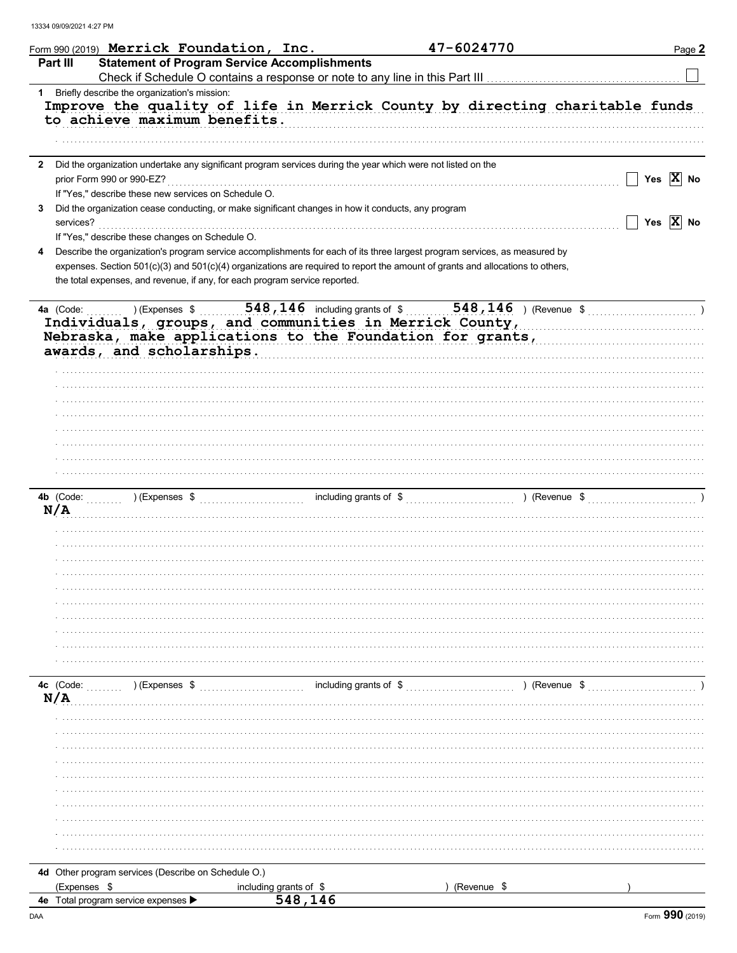|   | Form 990 (2019) Merrick Foundation, Inc.                                                                                                                                                                                                                                                                                                    |                                                     | 47-6024770              | Page 2                                                                      |
|---|---------------------------------------------------------------------------------------------------------------------------------------------------------------------------------------------------------------------------------------------------------------------------------------------------------------------------------------------|-----------------------------------------------------|-------------------------|-----------------------------------------------------------------------------|
|   | <b>Part III</b>                                                                                                                                                                                                                                                                                                                             | <b>Statement of Program Service Accomplishments</b> |                         |                                                                             |
|   |                                                                                                                                                                                                                                                                                                                                             |                                                     |                         |                                                                             |
|   | 1 Briefly describe the organization's mission:<br>to achieve maximum benefits.                                                                                                                                                                                                                                                              |                                                     |                         | Improve the quality of life in Merrick County by directing charitable funds |
|   | 2 Did the organization undertake any significant program services during the year which were not listed on the<br>prior Form 990 or 990-EZ?                                                                                                                                                                                                 |                                                     |                         | Yes $ X $ No                                                                |
|   | If "Yes," describe these new services on Schedule O.                                                                                                                                                                                                                                                                                        |                                                     |                         |                                                                             |
| 3 | Did the organization cease conducting, or make significant changes in how it conducts, any program<br>services?                                                                                                                                                                                                                             |                                                     |                         | Yes $ X $ No                                                                |
|   | If "Yes," describe these changes on Schedule O.                                                                                                                                                                                                                                                                                             |                                                     |                         |                                                                             |
| 4 | Describe the organization's program service accomplishments for each of its three largest program services, as measured by<br>expenses. Section 501(c)(3) and 501(c)(4) organizations are required to report the amount of grants and allocations to others,<br>the total expenses, and revenue, if any, for each program service reported. |                                                     |                         |                                                                             |
|   | 4a (Code:<br>) (Expenses \$<br>Individuals, groups, and communities in Merrick County,<br>Nebraska, make applications to the Foundation for grants,<br>awards, and scholarships.                                                                                                                                                            | $548, 146$ including grants of \$                   | 548, 146 ) (Revenue $$$ |                                                                             |
|   | 4b (Code:<br>) (Expenses \$<br>N/A                                                                                                                                                                                                                                                                                                          |                                                     | including grants of \$  | ) (Revenue \$                                                               |
|   |                                                                                                                                                                                                                                                                                                                                             |                                                     |                         |                                                                             |
|   | 4c (Code:<br>) (Expenses \$<br>N/A                                                                                                                                                                                                                                                                                                          | including grants of \$                              |                         | ) (Revenue \$                                                               |
|   |                                                                                                                                                                                                                                                                                                                                             |                                                     |                         |                                                                             |
|   |                                                                                                                                                                                                                                                                                                                                             |                                                     |                         |                                                                             |
|   |                                                                                                                                                                                                                                                                                                                                             |                                                     |                         |                                                                             |
|   | 4d Other program services (Describe on Schedule O.)<br>(Expenses \$                                                                                                                                                                                                                                                                         | including grants of \$                              | (Revenue \$             |                                                                             |
|   | 4e Total program service expenses                                                                                                                                                                                                                                                                                                           | 548,146                                             |                         |                                                                             |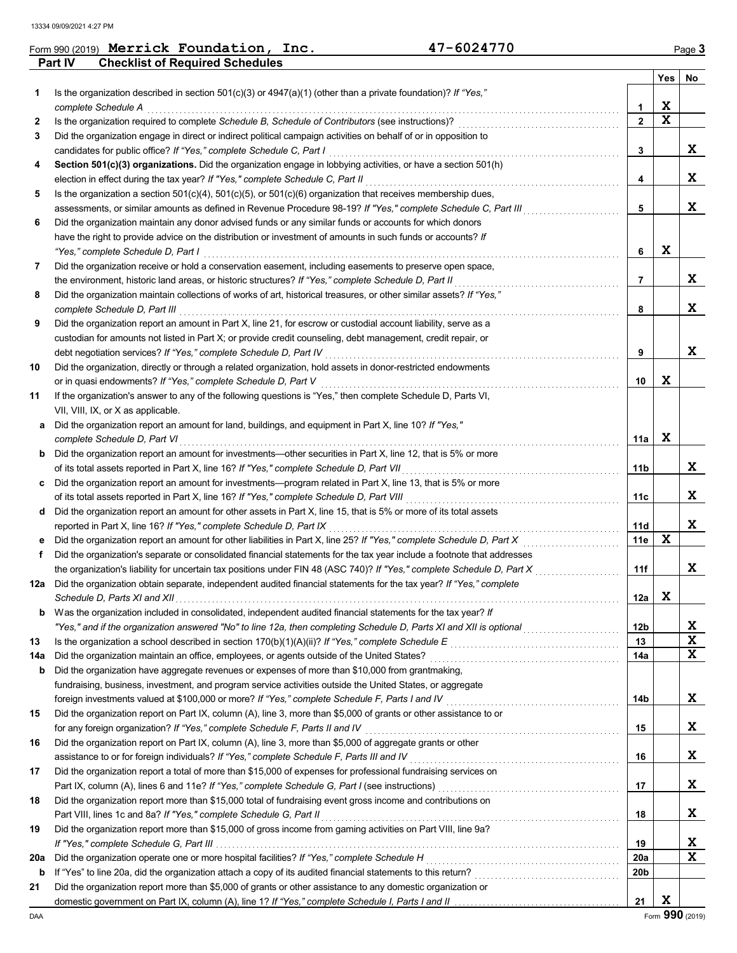|     | Part IV<br><b>Checklist of Required Schedules</b>                                                                       |                |     |    |
|-----|-------------------------------------------------------------------------------------------------------------------------|----------------|-----|----|
|     |                                                                                                                         |                | Yes | No |
| 1   | Is the organization described in section 501(c)(3) or $4947(a)(1)$ (other than a private foundation)? If "Yes,"         |                |     |    |
|     | complete Schedule A                                                                                                     | 1              | X   |    |
| 2   | Is the organization required to complete Schedule B, Schedule of Contributors (see instructions)?                       | $\overline{2}$ | X   |    |
| 3   | Did the organization engage in direct or indirect political campaign activities on behalf of or in opposition to        |                |     |    |
|     | candidates for public office? If "Yes," complete Schedule C, Part I                                                     | 3              |     | x  |
| 4   | Section 501(c)(3) organizations. Did the organization engage in lobbying activities, or have a section 501(h)           |                |     |    |
|     | election in effect during the tax year? If "Yes," complete Schedule C, Part II                                          | 4              |     | X  |
| 5   | Is the organization a section $501(c)(4)$ , $501(c)(5)$ , or $501(c)(6)$ organization that receives membership dues,    |                |     |    |
|     | assessments, or similar amounts as defined in Revenue Procedure 98-19? If "Yes," complete Schedule C, Part III          | 5              |     | X  |
| 6   | Did the organization maintain any donor advised funds or any similar funds or accounts for which donors                 |                |     |    |
|     | have the right to provide advice on the distribution or investment of amounts in such funds or accounts? If             |                |     |    |
|     | "Yes," complete Schedule D, Part I                                                                                      | 6              | X   |    |
| 7   | Did the organization receive or hold a conservation easement, including easements to preserve open space,               |                |     |    |
|     | the environment, historic land areas, or historic structures? If "Yes," complete Schedule D, Part II                    | 7              |     | x  |
| 8   | Did the organization maintain collections of works of art, historical treasures, or other similar assets? If "Yes,"     |                |     |    |
|     | complete Schedule D, Part III                                                                                           | 8              |     | X  |
| 9   | Did the organization report an amount in Part X, line 21, for escrow or custodial account liability, serve as a         |                |     |    |
|     | custodian for amounts not listed in Part X; or provide credit counseling, debt management, credit repair, or            |                |     |    |
|     | debt negotiation services? If "Yes," complete Schedule D, Part IV                                                       | 9              |     | X  |
| 10  | Did the organization, directly or through a related organization, hold assets in donor-restricted endowments            |                |     |    |
|     | or in quasi endowments? If "Yes," complete Schedule D, Part V                                                           | 10             | x   |    |
| 11  | If the organization's answer to any of the following questions is "Yes," then complete Schedule D, Parts VI,            |                |     |    |
|     | VII, VIII, IX, or X as applicable.                                                                                      |                |     |    |
|     | Did the organization report an amount for land, buildings, and equipment in Part X, line 10? If "Yes,"                  |                |     |    |
| а   | complete Schedule D, Part VI                                                                                            |                | X   |    |
|     |                                                                                                                         | 11a            |     |    |
| b   | Did the organization report an amount for investments—other securities in Part X, line 12, that is 5% or more           |                |     | x  |
|     | of its total assets reported in Part X, line 16? If "Yes," complete Schedule D, Part VII                                | 11b            |     |    |
| c   | Did the organization report an amount for investments—program related in Part X, line 13, that is 5% or more            |                |     | x  |
|     | of its total assets reported in Part X, line 16? If "Yes," complete Schedule D, Part VIII                               | 11c            |     |    |
| d   | Did the organization report an amount for other assets in Part X, line 15, that is 5% or more of its total assets       |                |     | X  |
|     | reported in Part X, line 16? If "Yes," complete Schedule D, Part IX                                                     | 11d            | X   |    |
| е   | Did the organization report an amount for other liabilities in Part X, line 25? If "Yes," complete Schedule D, Part X   | 11e            |     |    |
| f   | Did the organization's separate or consolidated financial statements for the tax year include a footnote that addresses |                |     |    |
|     | the organization's liability for uncertain tax positions under FIN 48 (ASC 740)? If "Yes," complete Schedule D, Part X  | 11f            |     | X  |
| 12a | Did the organization obtain separate, independent audited financial statements for the tax year? If "Yes," complete     |                |     |    |
|     | Schedule D, Parts XI and XII.                                                                                           | 12a            | x   |    |
| b   | Was the organization included in consolidated, independent audited financial statements for the tax year? If            |                |     |    |
|     | "Yes," and if the organization answered "No" to line 12a, then completing Schedule D, Parts XI and XII is optional      | 12b            |     | X  |
| 13  |                                                                                                                         | 13             |     | X  |
| 14a | Did the organization maintain an office, employees, or agents outside of the United States?                             | 14a            |     | X  |
| b   | Did the organization have aggregate revenues or expenses of more than \$10,000 from grantmaking,                        |                |     |    |
|     | fundraising, business, investment, and program service activities outside the United States, or aggregate               |                |     |    |
|     | foreign investments valued at \$100,000 or more? If "Yes," complete Schedule F, Parts I and IV                          | 14b            |     | X  |
| 15  | Did the organization report on Part IX, column (A), line 3, more than \$5,000 of grants or other assistance to or       |                |     |    |
|     | for any foreign organization? If "Yes," complete Schedule F, Parts II and IV                                            | 15             |     | X  |
| 16  | Did the organization report on Part IX, column (A), line 3, more than \$5,000 of aggregate grants or other              |                |     |    |
|     | assistance to or for foreign individuals? If "Yes," complete Schedule F, Parts III and IV                               | 16             |     | X  |
| 17  | Did the organization report a total of more than \$15,000 of expenses for professional fundraising services on          |                |     |    |
|     |                                                                                                                         | 17             |     | X  |
| 18  | Did the organization report more than \$15,000 total of fundraising event gross income and contributions on             |                |     |    |
|     | Part VIII, lines 1c and 8a? If "Yes," complete Schedule G, Part II                                                      | 18             |     | x  |
| 19  | Did the organization report more than \$15,000 of gross income from gaming activities on Part VIII, line 9a?            |                |     |    |
|     |                                                                                                                         | 19             |     | X  |
| 20a | Did the organization operate one or more hospital facilities? If "Yes," complete Schedule H                             | <b>20a</b>     |     | X  |
| b   |                                                                                                                         | 20b            |     |    |
| 21  | Did the organization report more than \$5,000 of grants or other assistance to any domestic organization or             |                |     |    |
|     |                                                                                                                         | 21             | X   |    |

Form 990 (2019) Page **3 Merrick Foundation, Inc. 47-6024770**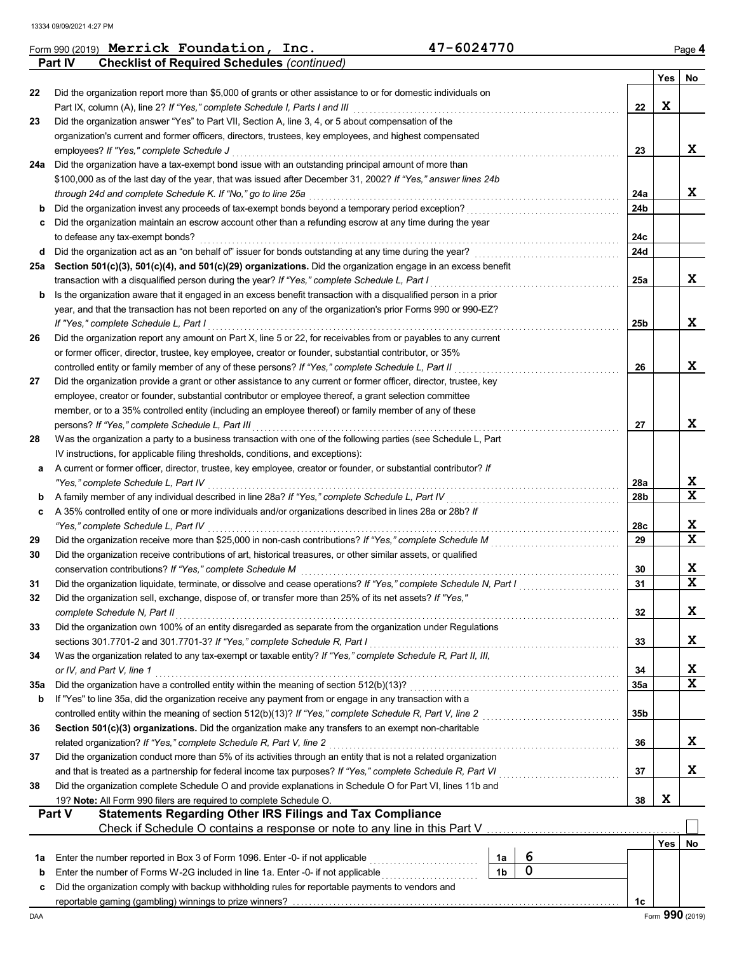|     | Form 990 (2019) Merrick Foundation, Inc.                                                                                                                                                                                         | 47-6024770                    |                 |     | Page 4                  |
|-----|----------------------------------------------------------------------------------------------------------------------------------------------------------------------------------------------------------------------------------|-------------------------------|-----------------|-----|-------------------------|
|     | Part IV<br><b>Checklist of Required Schedules (continued)</b>                                                                                                                                                                    |                               |                 |     |                         |
|     |                                                                                                                                                                                                                                  |                               |                 | Yes | No                      |
| 22  | Did the organization report more than \$5,000 of grants or other assistance to or for domestic individuals on                                                                                                                    |                               |                 | X   |                         |
| 23  | Part IX, column (A), line 2? If "Yes," complete Schedule I, Parts I and III<br>Did the organization answer "Yes" to Part VII, Section A, line 3, 4, or 5 about compensation of the                                               |                               | 22              |     |                         |
|     | organization's current and former officers, directors, trustees, key employees, and highest compensated                                                                                                                          |                               |                 |     |                         |
|     | employees? If "Yes," complete Schedule J                                                                                                                                                                                         |                               | 23              |     | X                       |
| 24a | Did the organization have a tax-exempt bond issue with an outstanding principal amount of more than                                                                                                                              |                               |                 |     |                         |
|     | \$100,000 as of the last day of the year, that was issued after December 31, 2002? If "Yes," answer lines 24b                                                                                                                    |                               |                 |     |                         |
|     | through 24d and complete Schedule K. If "No," go to line 25a                                                                                                                                                                     |                               | 24a             |     | X                       |
| b   | Did the organization invest any proceeds of tax-exempt bonds beyond a temporary period exception?                                                                                                                                |                               | 24b             |     |                         |
| c   | Did the organization maintain an escrow account other than a refunding escrow at any time during the year                                                                                                                        |                               |                 |     |                         |
|     | to defease any tax-exempt bonds?                                                                                                                                                                                                 |                               | 24c             |     |                         |
| d   | Did the organization act as an "on behalf of" issuer for bonds outstanding at any time during the year?                                                                                                                          |                               | 24d             |     |                         |
| 25а | Section 501(c)(3), 501(c)(4), and 501(c)(29) organizations. Did the organization engage in an excess benefit                                                                                                                     |                               |                 |     |                         |
|     | transaction with a disqualified person during the year? If "Yes," complete Schedule L, Part I                                                                                                                                    |                               | 25a             |     | X                       |
| b   | Is the organization aware that it engaged in an excess benefit transaction with a disqualified person in a prior<br>year, and that the transaction has not been reported on any of the organization's prior Forms 990 or 990-EZ? |                               |                 |     |                         |
|     | If "Yes," complete Schedule L, Part I                                                                                                                                                                                            |                               | 25 <sub>b</sub> |     | X                       |
| 26  | Did the organization report any amount on Part X, line 5 or 22, for receivables from or payables to any current                                                                                                                  |                               |                 |     |                         |
|     | or former officer, director, trustee, key employee, creator or founder, substantial contributor, or 35%                                                                                                                          |                               |                 |     |                         |
|     | controlled entity or family member of any of these persons? If "Yes," complete Schedule L, Part II                                                                                                                               |                               | 26              |     | X                       |
| 27  | Did the organization provide a grant or other assistance to any current or former officer, director, trustee, key                                                                                                                |                               |                 |     |                         |
|     | employee, creator or founder, substantial contributor or employee thereof, a grant selection committee                                                                                                                           |                               |                 |     |                         |
|     | member, or to a 35% controlled entity (including an employee thereof) or family member of any of these                                                                                                                           |                               |                 |     |                         |
|     | persons? If "Yes," complete Schedule L, Part III                                                                                                                                                                                 |                               | 27              |     | X                       |
| 28  | Was the organization a party to a business transaction with one of the following parties (see Schedule L, Part                                                                                                                   |                               |                 |     |                         |
|     | IV instructions, for applicable filing thresholds, conditions, and exceptions):                                                                                                                                                  |                               |                 |     |                         |
| а   | A current or former officer, director, trustee, key employee, creator or founder, or substantial contributor? If                                                                                                                 |                               |                 |     |                         |
|     | "Yes," complete Schedule L, Part IV                                                                                                                                                                                              |                               | 28a             |     | X<br>$\mathbf x$        |
| b   | A family member of any individual described in line 28a? If "Yes," complete Schedule L, Part IV<br>A 35% controlled entity of one or more individuals and/or organizations described in lines 28a or 28b? If                     |                               | 28b             |     |                         |
| c   | "Yes," complete Schedule L, Part IV                                                                                                                                                                                              |                               | 28c             |     | X                       |
| 29  | Did the organization receive more than \$25,000 in non-cash contributions? If "Yes," complete Schedule M                                                                                                                         |                               | 29              |     | X                       |
| 30  | Did the organization receive contributions of art, historical treasures, or other similar assets, or qualified                                                                                                                   |                               |                 |     |                         |
|     | conservation contributions? If "Yes," complete Schedule M                                                                                                                                                                        |                               | 30              |     | X                       |
| 31  | Did the organization liquidate, terminate, or dissolve and cease operations? If "Yes," complete Schedule N, Part I                                                                                                               |                               | 31              |     | $\overline{\mathbf{x}}$ |
| 32  | Did the organization sell, exchange, dispose of, or transfer more than 25% of its net assets? If "Yes,"                                                                                                                          |                               |                 |     |                         |
|     | complete Schedule N, Part II                                                                                                                                                                                                     |                               | 32              |     | X                       |
| 33  | Did the organization own 100% of an entity disregarded as separate from the organization under Regulations                                                                                                                       |                               |                 |     |                         |
|     | sections 301.7701-2 and 301.7701-3? If "Yes," complete Schedule R, Part I                                                                                                                                                        |                               | 33              |     | X                       |
| 34  | Was the organization related to any tax-exempt or taxable entity? If "Yes," complete Schedule R, Part II, III,                                                                                                                   |                               |                 |     |                         |
|     | or IV, and Part V, line 1                                                                                                                                                                                                        |                               | 34              |     | X                       |
| 35a | Did the organization have a controlled entity within the meaning of section 512(b)(13)?                                                                                                                                          |                               | 35a             |     | $\mathbf x$             |
| b   | If "Yes" to line 35a, did the organization receive any payment from or engage in any transaction with a                                                                                                                          |                               |                 |     |                         |
| 36  | controlled entity within the meaning of section 512(b)(13)? If "Yes," complete Schedule R, Part V, line 2<br>Section 501(c)(3) organizations. Did the organization make any transfers to an exempt non-charitable                |                               | 35 <sub>b</sub> |     |                         |
|     | related organization? If "Yes," complete Schedule R, Part V, line 2                                                                                                                                                              |                               | 36              |     | X                       |
| 37  | Did the organization conduct more than 5% of its activities through an entity that is not a related organization                                                                                                                 |                               |                 |     |                         |
|     | and that is treated as a partnership for federal income tax purposes? If "Yes," complete Schedule R, Part VI                                                                                                                     |                               | 37              |     | X                       |
| 38  | Did the organization complete Schedule O and provide explanations in Schedule O for Part VI, lines 11b and                                                                                                                       |                               |                 |     |                         |
|     | 19? Note: All Form 990 filers are required to complete Schedule O.                                                                                                                                                               |                               | 38              | X   |                         |
|     | <b>Statements Regarding Other IRS Filings and Tax Compliance</b><br><b>Part V</b>                                                                                                                                                |                               |                 |     |                         |
|     | Check if Schedule O contains a response or note to any line in this Part V                                                                                                                                                       |                               |                 |     |                         |
|     |                                                                                                                                                                                                                                  |                               |                 | Yes | No                      |
| 1a  | Enter the number reported in Box 3 of Form 1096. Enter -0- if not applicable                                                                                                                                                     | 6<br>1a                       |                 |     |                         |
| b   | Enter the number of Forms W-2G included in line 1a. Enter -0- if not applicable                                                                                                                                                  | $\mathbf 0$<br>1 <sub>b</sub> |                 |     |                         |
| c   | Did the organization comply with backup withholding rules for reportable payments to vendors and                                                                                                                                 |                               |                 |     |                         |
|     |                                                                                                                                                                                                                                  |                               | 1c              |     | Form 990 (2019)         |
| DAA |                                                                                                                                                                                                                                  |                               |                 |     |                         |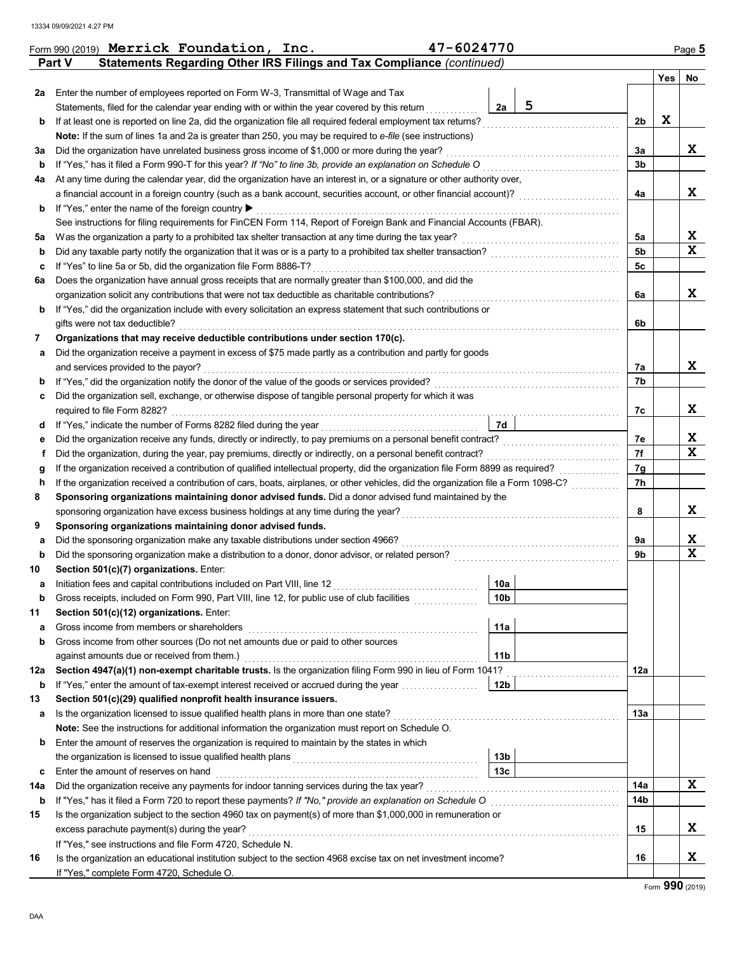|     | Statements Regarding Other IRS Filings and Tax Compliance (continued)<br>Part V                                                    |                 |   |     |     |                              |  |  |  |  |  |  |  |
|-----|------------------------------------------------------------------------------------------------------------------------------------|-----------------|---|-----|-----|------------------------------|--|--|--|--|--|--|--|
|     |                                                                                                                                    |                 |   |     | Yes | No                           |  |  |  |  |  |  |  |
| 2a  | Enter the number of employees reported on Form W-3, Transmittal of Wage and Tax                                                    |                 |   |     |     |                              |  |  |  |  |  |  |  |
|     | Statements, filed for the calendar year ending with or within the year covered by this return                                      | 2a              | 5 |     |     |                              |  |  |  |  |  |  |  |
| b   | If at least one is reported on line 2a, did the organization file all required federal employment tax returns?                     |                 |   | 2b  | X   |                              |  |  |  |  |  |  |  |
|     | Note: If the sum of lines 1a and 2a is greater than 250, you may be required to e-file (see instructions)                          |                 |   |     |     |                              |  |  |  |  |  |  |  |
| За  | Did the organization have unrelated business gross income of \$1,000 or more during the year?                                      |                 |   | 3a  |     | X                            |  |  |  |  |  |  |  |
| b   | If "Yes," has it filed a Form 990-T for this year? If "No" to line 3b, provide an explanation on Schedule O                        |                 |   | 3b  |     |                              |  |  |  |  |  |  |  |
| 4a  | At any time during the calendar year, did the organization have an interest in, or a signature or other authority over,            |                 |   |     |     |                              |  |  |  |  |  |  |  |
|     | a financial account in a foreign country (such as a bank account, securities account, or other financial account)?                 |                 |   | 4a  |     | x                            |  |  |  |  |  |  |  |
| b   | If "Yes," enter the name of the foreign country ▶                                                                                  |                 |   |     |     |                              |  |  |  |  |  |  |  |
|     | See instructions for filing requirements for FinCEN Form 114, Report of Foreign Bank and Financial Accounts (FBAR).                |                 |   | 5a  |     | X                            |  |  |  |  |  |  |  |
| 5a  | Was the organization a party to a prohibited tax shelter transaction at any time during the tax year?                              |                 |   |     |     |                              |  |  |  |  |  |  |  |
| b   | Did any taxable party notify the organization that it was or is a party to a prohibited tax shelter transaction?                   |                 |   |     |     |                              |  |  |  |  |  |  |  |
| c   | If "Yes" to line 5a or 5b, did the organization file Form 8886-T?                                                                  |                 |   | 5с  |     |                              |  |  |  |  |  |  |  |
| 6а  | Does the organization have annual gross receipts that are normally greater than \$100,000, and did the                             |                 |   |     |     |                              |  |  |  |  |  |  |  |
|     | organization solicit any contributions that were not tax deductible as charitable contributions?                                   |                 |   | 6a  |     | x                            |  |  |  |  |  |  |  |
| b   | If "Yes," did the organization include with every solicitation an express statement that such contributions or                     |                 |   |     |     |                              |  |  |  |  |  |  |  |
|     | gifts were not tax deductible?                                                                                                     |                 |   | 6b  |     |                              |  |  |  |  |  |  |  |
| 7   | Organizations that may receive deductible contributions under section 170(c).                                                      |                 |   |     |     |                              |  |  |  |  |  |  |  |
| а   | Did the organization receive a payment in excess of \$75 made partly as a contribution and partly for goods                        |                 |   |     |     |                              |  |  |  |  |  |  |  |
|     | and services provided to the payor?                                                                                                |                 |   | 7а  |     | x                            |  |  |  |  |  |  |  |
| b   | If "Yes," did the organization notify the donor of the value of the goods or services provided?                                    |                 |   | 7b  |     |                              |  |  |  |  |  |  |  |
| c   | Did the organization sell, exchange, or otherwise dispose of tangible personal property for which it was                           |                 |   |     |     |                              |  |  |  |  |  |  |  |
|     | required to file Form 8282?                                                                                                        |                 |   | 7c  |     | x                            |  |  |  |  |  |  |  |
| d   | If "Yes," indicate the number of Forms 8282 filed during the year                                                                  | 7d              |   |     |     |                              |  |  |  |  |  |  |  |
| е   | Did the organization receive any funds, directly or indirectly, to pay premiums on a personal benefit contract?                    |                 |   | 7e  |     | X                            |  |  |  |  |  |  |  |
| f   | Did the organization, during the year, pay premiums, directly or indirectly, on a personal benefit contract?                       |                 |   | 7f  |     | $\overline{\mathbf{x}}$      |  |  |  |  |  |  |  |
| g   | If the organization received a contribution of qualified intellectual property, did the organization file Form 8899 as required?   |                 |   | 7g  |     |                              |  |  |  |  |  |  |  |
| h   | If the organization received a contribution of cars, boats, airplanes, or other vehicles, did the organization file a Form 1098-C? |                 |   | 7h  |     |                              |  |  |  |  |  |  |  |
| 8   | Sponsoring organizations maintaining donor advised funds. Did a donor advised fund maintained by the                               |                 |   |     |     |                              |  |  |  |  |  |  |  |
|     | sponsoring organization have excess business holdings at any time during the year?                                                 |                 |   | 8   |     | x                            |  |  |  |  |  |  |  |
| 9   | Sponsoring organizations maintaining donor advised funds.                                                                          |                 |   |     |     |                              |  |  |  |  |  |  |  |
| а   | Did the sponsoring organization make any taxable distributions under section 4966?                                                 |                 |   | 9а  |     | X<br>$\overline{\mathbf{x}}$ |  |  |  |  |  |  |  |
| b   | Did the sponsoring organization make a distribution to a donor, donor advisor, or related person?                                  |                 |   | 9b  |     |                              |  |  |  |  |  |  |  |
| 10  | Section 501(c)(7) organizations. Enter:                                                                                            |                 |   |     |     |                              |  |  |  |  |  |  |  |
| а   | Initiation fees and capital contributions included on Part VIII, line 12                                                           | 10a             |   |     |     |                              |  |  |  |  |  |  |  |
|     | Gross receipts, included on Form 990, Part VIII, line 12, for public use of club facilities                                        | 10 <sub>b</sub> |   |     |     |                              |  |  |  |  |  |  |  |
| 11  | Section 501(c)(12) organizations. Enter:                                                                                           |                 |   |     |     |                              |  |  |  |  |  |  |  |
| a   | Gross income from members or shareholders                                                                                          | 11a             |   |     |     |                              |  |  |  |  |  |  |  |
| b   | Gross income from other sources (Do not net amounts due or paid to other sources                                                   |                 |   |     |     |                              |  |  |  |  |  |  |  |
|     | against amounts due or received from them.)                                                                                        | 11 <sub>b</sub> |   |     |     |                              |  |  |  |  |  |  |  |
| 12a | Section 4947(a)(1) non-exempt charitable trusts. Is the organization filing Form 990 in lieu of Form 1041?                         |                 |   | 12a |     |                              |  |  |  |  |  |  |  |
| b   | If "Yes," enter the amount of tax-exempt interest received or accrued during the year manufacture                                  | 12 <sub>b</sub> |   |     |     |                              |  |  |  |  |  |  |  |
| 13  | Section 501(c)(29) qualified nonprofit health insurance issuers.                                                                   |                 |   |     |     |                              |  |  |  |  |  |  |  |
| а   | Is the organization licensed to issue qualified health plans in more than one state?                                               |                 |   | 13а |     |                              |  |  |  |  |  |  |  |
|     | Note: See the instructions for additional information the organization must report on Schedule O.                                  |                 |   |     |     |                              |  |  |  |  |  |  |  |
| b   | Enter the amount of reserves the organization is required to maintain by the states in which                                       |                 |   |     |     |                              |  |  |  |  |  |  |  |
|     |                                                                                                                                    | 13b             |   |     |     |                              |  |  |  |  |  |  |  |
| c   | 13 <sub>c</sub><br>Enter the amount of reserves on hand                                                                            |                 |   |     |     |                              |  |  |  |  |  |  |  |
| 14a | Did the organization receive any payments for indoor tanning services during the tax year?                                         |                 |   |     |     |                              |  |  |  |  |  |  |  |
| b   |                                                                                                                                    |                 |   | 14b |     |                              |  |  |  |  |  |  |  |
| 15  | Is the organization subject to the section 4960 tax on payment(s) of more than \$1,000,000 in remuneration or                      |                 |   |     |     |                              |  |  |  |  |  |  |  |
|     | excess parachute payment(s) during the year?                                                                                       |                 |   | 15  |     | X.                           |  |  |  |  |  |  |  |
|     | If "Yes," see instructions and file Form 4720, Schedule N.                                                                         |                 |   |     |     |                              |  |  |  |  |  |  |  |
| 16  | Is the organization an educational institution subject to the section 4968 excise tax on net investment income?                    |                 |   | 16  |     | X.                           |  |  |  |  |  |  |  |
|     | If "Yes," complete Form 4720, Schedule O.                                                                                          |                 |   |     |     |                              |  |  |  |  |  |  |  |

|  | Form 990 (2019) Merrick Foundation, Inc. | 47-6024770 | Page $5$ |
|--|------------------------------------------|------------|----------|
|  |                                          |            |          |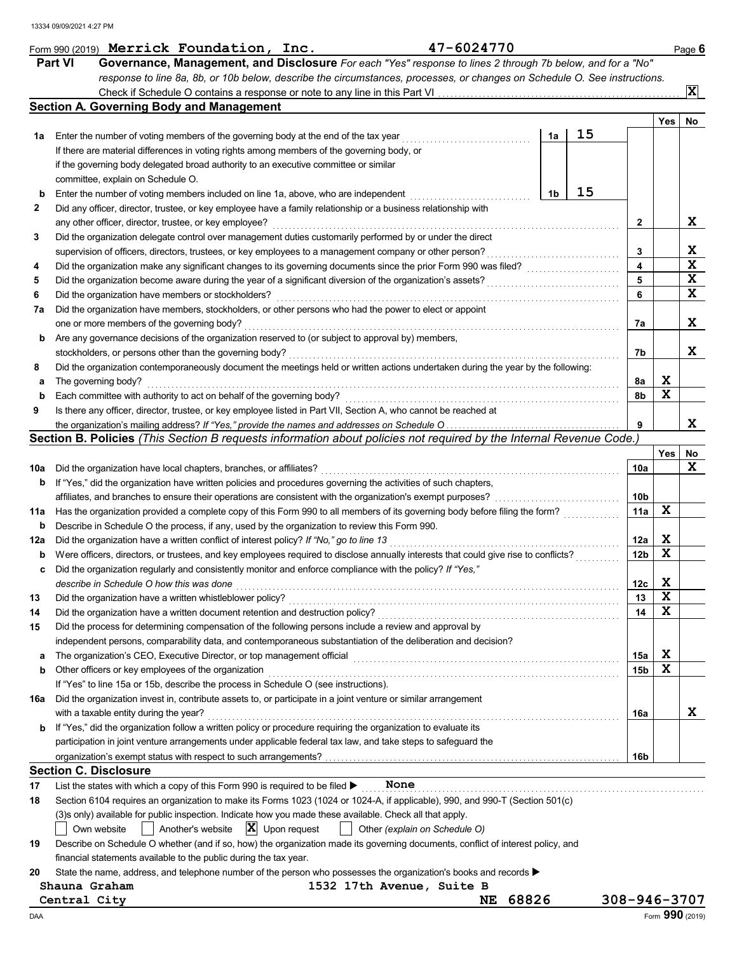|              | Form 990 (2019) Merrick Foundation, Inc.                                                                                                                                                 | 47-6024770  |    |    |                 |     | Page 6          |
|--------------|------------------------------------------------------------------------------------------------------------------------------------------------------------------------------------------|-------------|----|----|-----------------|-----|-----------------|
|              | <b>Part VI</b><br>Governance, Management, and Disclosure For each "Yes" response to lines 2 through 7b below, and for a "No"                                                             |             |    |    |                 |     |                 |
|              | response to line 8a, 8b, or 10b below, describe the circumstances, processes, or changes on Schedule O. See instructions.                                                                |             |    |    |                 |     |                 |
|              |                                                                                                                                                                                          |             |    |    |                 |     | $ \mathbf{x} $  |
|              | <b>Section A. Governing Body and Management</b>                                                                                                                                          |             |    |    |                 |     |                 |
|              |                                                                                                                                                                                          |             |    |    |                 | Yes | No              |
| 1а           | Enter the number of voting members of the governing body at the end of the tax year                                                                                                      |             | 1a | 15 |                 |     |                 |
|              | If there are material differences in voting rights among members of the governing body, or                                                                                               |             |    |    |                 |     |                 |
|              | if the governing body delegated broad authority to an executive committee or similar                                                                                                     |             |    |    |                 |     |                 |
|              | committee, explain on Schedule O.                                                                                                                                                        |             |    |    |                 |     |                 |
| b            | Enter the number of voting members included on line 1a, above, who are independent                                                                                                       |             | 1b | 15 |                 |     |                 |
| $\mathbf{2}$ | Did any officer, director, trustee, or key employee have a family relationship or a business relationship with                                                                           |             |    |    |                 |     |                 |
|              | any other officer, director, trustee, or key employee?                                                                                                                                   |             |    |    | 2               |     | X               |
| 3            | Did the organization delegate control over management duties customarily performed by or under the direct                                                                                |             |    |    |                 |     |                 |
|              | supervision of officers, directors, trustees, or key employees to a management company or other person?                                                                                  |             |    |    | 3               |     | X               |
| 4            | Did the organization make any significant changes to its governing documents since the prior Form 990 was filed?                                                                         |             |    |    | 4               |     | X               |
| 5            | Did the organization become aware during the year of a significant diversion of the organization's assets?                                                                               |             |    |    | 5               |     | X               |
| 6            | Did the organization have members or stockholders?                                                                                                                                       |             |    |    | 6               |     | X               |
| 7a           | Did the organization have members, stockholders, or other persons who had the power to elect or appoint                                                                                  |             |    |    |                 |     |                 |
|              | one or more members of the governing body?                                                                                                                                               |             |    |    | 7a              |     | X               |
| b            | Are any governance decisions of the organization reserved to (or subject to approval by) members,                                                                                        |             |    |    |                 |     |                 |
|              | stockholders, or persons other than the governing body?                                                                                                                                  |             |    |    | 7b              |     | x               |
| 8            | Did the organization contemporaneously document the meetings held or written actions undertaken during the year by the following:                                                        |             |    |    |                 |     |                 |
| а            | The governing body?                                                                                                                                                                      |             |    |    | 8а              | X   |                 |
| b            | Each committee with authority to act on behalf of the governing body?                                                                                                                    |             |    |    | 8b              | X   |                 |
| 9            | Is there any officer, director, trustee, or key employee listed in Part VII, Section A, who cannot be reached at                                                                         |             |    |    |                 |     |                 |
|              | the organization's mailing address? If "Yes," provide the names and addresses on Schedule O                                                                                              |             |    |    | 9               |     | x               |
|              | Section B. Policies (This Section B requests information about policies not required by the Internal Revenue Code.)                                                                      |             |    |    |                 |     |                 |
|              |                                                                                                                                                                                          |             |    |    |                 | Yes | No              |
| 10a          | Did the organization have local chapters, branches, or affiliates?                                                                                                                       |             |    |    | 10a             |     | X               |
| b            | If "Yes," did the organization have written policies and procedures governing the activities of such chapters,                                                                           |             |    |    |                 |     |                 |
|              | affiliates, and branches to ensure their operations are consistent with the organization's exempt purposes?                                                                              |             |    |    | 10b             |     |                 |
| 11a          | Has the organization provided a complete copy of this Form 990 to all members of its governing body before filing the form?                                                              |             |    |    | 11a             | X   |                 |
| b            | Describe in Schedule O the process, if any, used by the organization to review this Form 990.                                                                                            |             |    |    |                 |     |                 |
| 12a          | Did the organization have a written conflict of interest policy? If "No," go to line 13                                                                                                  |             |    |    | 12a             | X   |                 |
| b            | Were officers, directors, or trustees, and key employees required to disclose annually interests that could give rise to conflicts?                                                      |             |    |    | 12 <sub>b</sub> | X   |                 |
|              | Did the organization regularly and consistently monitor and enforce compliance with the policy? If "Yes,"                                                                                |             |    |    |                 |     |                 |
|              | describe in Schedule O how this was done                                                                                                                                                 |             |    |    | 12c             | X   |                 |
| 13           | Did the organization have a written whistleblower policy?                                                                                                                                |             |    |    | 13              | X   |                 |
| 14           | Did the organization have a written document retention and destruction policy?<br>Did the process for determining compensation of the following persons include a review and approval by |             |    |    | 14              | X   |                 |
| 15           |                                                                                                                                                                                          |             |    |    |                 |     |                 |
|              | independent persons, comparability data, and contemporaneous substantiation of the deliberation and decision?                                                                            |             |    |    |                 | X   |                 |
| a            | The organization's CEO, Executive Director, or top management official                                                                                                                   |             |    |    | 15a             | X   |                 |
| b            | Other officers or key employees of the organization<br>If "Yes" to line 15a or 15b, describe the process in Schedule O (see instructions).                                               |             |    |    | 15b             |     |                 |
|              |                                                                                                                                                                                          |             |    |    |                 |     |                 |
| 16a          | Did the organization invest in, contribute assets to, or participate in a joint venture or similar arrangement<br>with a taxable entity during the year?                                 |             |    |    | 16a             |     | x               |
| b            | If "Yes," did the organization follow a written policy or procedure requiring the organization to evaluate its                                                                           |             |    |    |                 |     |                 |
|              | participation in joint venture arrangements under applicable federal tax law, and take steps to safeguard the                                                                            |             |    |    |                 |     |                 |
|              |                                                                                                                                                                                          |             |    |    | 16b             |     |                 |
|              | <b>Section C. Disclosure</b>                                                                                                                                                             |             |    |    |                 |     |                 |
| 17           | List the states with which a copy of this Form 990 is required to be filed ><br>None                                                                                                     |             |    |    |                 |     |                 |
| 18           | Section 6104 requires an organization to make its Forms 1023 (1024 or 1024-A, if applicable), 990, and 990-T (Section 501(c)                                                             |             |    |    |                 |     |                 |
|              | (3)s only) available for public inspection. Indicate how you made these available. Check all that apply.                                                                                 |             |    |    |                 |     |                 |
|              | $ \mathbf{X} $ Upon request<br>Another's website<br>Other (explain on Schedule O)<br>Own website                                                                                         |             |    |    |                 |     |                 |
| 19           | Describe on Schedule O whether (and if so, how) the organization made its governing documents, conflict of interest policy, and                                                          |             |    |    |                 |     |                 |
|              | financial statements available to the public during the tax year.                                                                                                                        |             |    |    |                 |     |                 |
| 20           | State the name, address, and telephone number of the person who possesses the organization's books and records $\blacktriangleright$                                                     |             |    |    |                 |     |                 |
|              | Shauna Graham<br>1532 17th Avenue, Suite B                                                                                                                                               |             |    |    |                 |     |                 |
|              | Central City                                                                                                                                                                             | 68826<br>NE |    |    | 308-946-3707    |     |                 |
| DAA          |                                                                                                                                                                                          |             |    |    |                 |     | Form 990 (2019) |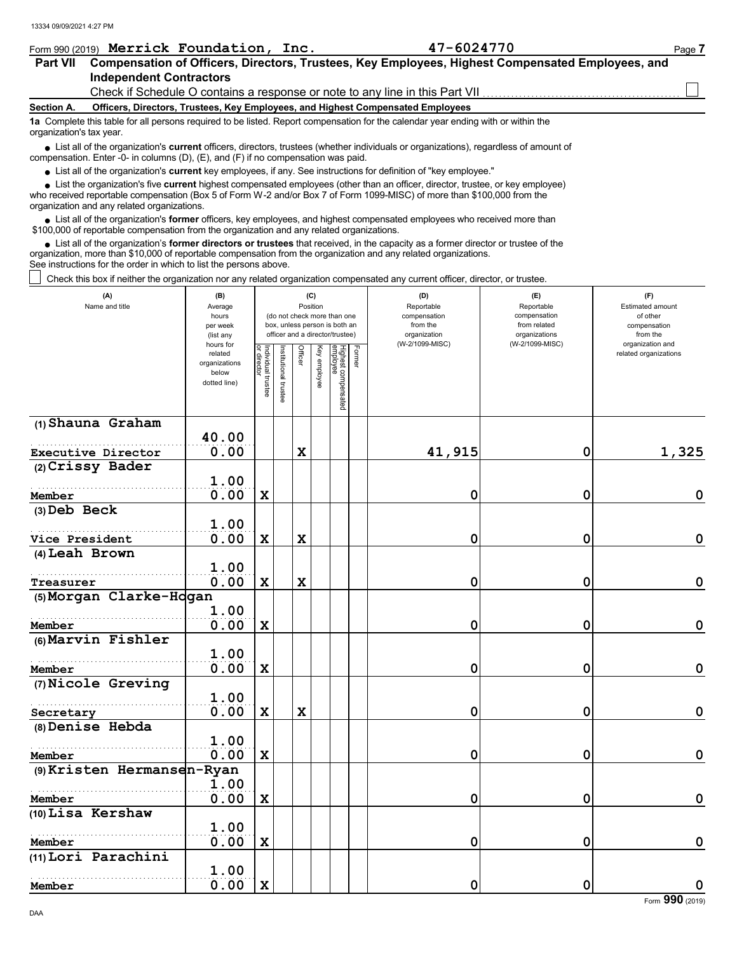|                          | Form 990 (2019) Merrick Foundation, Inc.                                                                                                                                                                                                                                                                                      | 47-6024770 | Page 7 |  |  |  |  |  |  |  |  |
|--------------------------|-------------------------------------------------------------------------------------------------------------------------------------------------------------------------------------------------------------------------------------------------------------------------------------------------------------------------------|------------|--------|--|--|--|--|--|--|--|--|
| <b>Part VII</b>          | Compensation of Officers, Directors, Trustees, Key Employees, Highest Compensated Employees, and                                                                                                                                                                                                                              |            |        |  |  |  |  |  |  |  |  |
|                          | <b>Independent Contractors</b>                                                                                                                                                                                                                                                                                                |            |        |  |  |  |  |  |  |  |  |
|                          | Check if Schedule O contains a response or note to any line in this Part VII <i>meromen</i>                                                                                                                                                                                                                                   |            |        |  |  |  |  |  |  |  |  |
| Section A.               | Officers, Directors, Trustees, Key Employees, and Highest Compensated Employees                                                                                                                                                                                                                                               |            |        |  |  |  |  |  |  |  |  |
| organization's tax year. | 1a Complete this table for all persons required to be listed. Report compensation for the calendar year ending with or within the                                                                                                                                                                                             |            |        |  |  |  |  |  |  |  |  |
|                          | List all of the organization's <b>current</b> officers, directors, trustees (whether individuals or organizations), regardless of amount of<br>compensation. Enter -0- in columns (D), $(E)$ , and $(F)$ if no compensation was paid.                                                                                         |            |        |  |  |  |  |  |  |  |  |
|                          | • List all of the organization's current key employees, if any. See instructions for definition of "key employee."                                                                                                                                                                                                            |            |        |  |  |  |  |  |  |  |  |
|                          | • List the organization's five current highest compensated employees (other than an officer, director, trustee, or key employee)<br>who received reportable compensation (Box 5 of Form W-2 and/or Box 7 of Form 1099-MISC) of more than \$100,000 from the<br>organization and any related organizations.                    |            |        |  |  |  |  |  |  |  |  |
|                          | List all of the organization's <b>former</b> officers, key employees, and highest compensated employees who received more than<br>\$100,000 of reportable compensation from the organization and any related organizations.                                                                                                   |            |        |  |  |  |  |  |  |  |  |
|                          | • List all of the organization's former directors or trustees that received, in the capacity as a former director or trustee of the<br>organization, more than \$10,000 of reportable compensation from the organization and any related organizations.<br>See instructions for the order in which to list the persons above. |            |        |  |  |  |  |  |  |  |  |
|                          | Check this box if neither the organization nor any related organization compensated any current officer, director, or trustee.                                                                                                                                                                                                |            |        |  |  |  |  |  |  |  |  |

| (A)<br>Name and title                  | (B)<br>Average<br>hours<br>per week<br>(list any               |                                   |                      |             | (C)<br>Position | (do not check more than one<br>box, unless person is both an<br>officer and a director/trustee) |        | (D)<br>Reportable<br>compensation<br>from the<br>organization | (E)<br>Reportable<br>compensation<br>from related<br>organizations | (F)<br>Estimated amount<br>of other<br>compensation<br>from the |
|----------------------------------------|----------------------------------------------------------------|-----------------------------------|----------------------|-------------|-----------------|-------------------------------------------------------------------------------------------------|--------|---------------------------------------------------------------|--------------------------------------------------------------------|-----------------------------------------------------------------|
|                                        | hours for<br>related<br>organizations<br>below<br>dotted line) | Individual trustee<br>or director | nstitutional trustee | Officer     | Key employee    | Highest compensated<br>amployee                                                                 | Former | (W-2/1099-MISC)                                               | (W-2/1099-MISC)                                                    | organization and<br>related organizations                       |
| (1) Shauna Graham                      |                                                                |                                   |                      |             |                 |                                                                                                 |        |                                                               |                                                                    |                                                                 |
|                                        | 40.00<br>0.00                                                  |                                   |                      | $\mathbf x$ |                 |                                                                                                 |        | 41,915                                                        |                                                                    | 1,325                                                           |
| Executive Director<br>(2) Crissy Bader |                                                                |                                   |                      |             |                 |                                                                                                 |        |                                                               | 0                                                                  |                                                                 |
|                                        | 1.00                                                           |                                   |                      |             |                 |                                                                                                 |        |                                                               |                                                                    |                                                                 |
| Member                                 | 0.00                                                           | $\mathbf x$                       |                      |             |                 |                                                                                                 |        | 0                                                             | 0                                                                  | 0                                                               |
| (3) Deb Beck                           |                                                                |                                   |                      |             |                 |                                                                                                 |        |                                                               |                                                                    |                                                                 |
|                                        | 1.00                                                           |                                   |                      |             |                 |                                                                                                 |        |                                                               |                                                                    |                                                                 |
| Vice President                         | 0.00                                                           | $\mathbf x$                       |                      | X           |                 |                                                                                                 |        | 0                                                             | 0                                                                  | 0                                                               |
| (4) Leah Brown                         |                                                                |                                   |                      |             |                 |                                                                                                 |        |                                                               |                                                                    |                                                                 |
|                                        | 1.00                                                           |                                   |                      |             |                 |                                                                                                 |        |                                                               |                                                                    |                                                                 |
| Treasurer                              | 0.00                                                           | $\mathbf x$                       |                      | $\mathbf x$ |                 |                                                                                                 |        | 0                                                             | 0                                                                  | 0                                                               |
| (5) Morgan Clarke-Hogan                |                                                                |                                   |                      |             |                 |                                                                                                 |        |                                                               |                                                                    |                                                                 |
|                                        | 1.00                                                           |                                   |                      |             |                 |                                                                                                 |        |                                                               |                                                                    |                                                                 |
| Member                                 | 0.00                                                           | $\mathbf x$                       |                      |             |                 |                                                                                                 |        | 0                                                             | 0                                                                  | 0                                                               |
| (6) Marvin Fishler                     |                                                                |                                   |                      |             |                 |                                                                                                 |        |                                                               |                                                                    |                                                                 |
|                                        | 1.00                                                           |                                   |                      |             |                 |                                                                                                 |        |                                                               |                                                                    |                                                                 |
| Member                                 | 0.00                                                           | $\mathbf x$                       |                      |             |                 |                                                                                                 |        | 0                                                             | 0                                                                  | 0                                                               |
| (7) Nicole Greving                     |                                                                |                                   |                      |             |                 |                                                                                                 |        |                                                               |                                                                    |                                                                 |
|                                        | 1.00                                                           |                                   |                      |             |                 |                                                                                                 |        |                                                               |                                                                    |                                                                 |
| Secretary                              | 0.00                                                           | $\mathbf x$                       |                      | $\mathbf x$ |                 |                                                                                                 |        | 0                                                             | 0                                                                  | 0                                                               |
| (8) Denise Hebda                       |                                                                |                                   |                      |             |                 |                                                                                                 |        |                                                               |                                                                    |                                                                 |
|                                        | 1.00                                                           |                                   |                      |             |                 |                                                                                                 |        |                                                               |                                                                    |                                                                 |
| Member                                 | 0.00                                                           | $\mathbf x$                       |                      |             |                 |                                                                                                 |        | 0                                                             | 0                                                                  | 0                                                               |
| (9) Kristen Hermansen-Ryan             |                                                                |                                   |                      |             |                 |                                                                                                 |        |                                                               |                                                                    |                                                                 |
|                                        | 1.00                                                           |                                   |                      |             |                 |                                                                                                 |        |                                                               |                                                                    |                                                                 |
| Member                                 | 0.00                                                           | $\mathbf x$                       |                      |             |                 |                                                                                                 |        | 0                                                             | 0                                                                  | 0                                                               |
| (10) Lisa Kershaw                      |                                                                |                                   |                      |             |                 |                                                                                                 |        |                                                               |                                                                    |                                                                 |
|                                        | 1.00                                                           |                                   |                      |             |                 |                                                                                                 |        |                                                               |                                                                    |                                                                 |
| Member                                 | 0.00                                                           | $\mathbf x$                       |                      |             |                 |                                                                                                 |        | 0                                                             | 0                                                                  | 0                                                               |
| (11) Lori Parachini                    |                                                                |                                   |                      |             |                 |                                                                                                 |        |                                                               |                                                                    |                                                                 |
|                                        | 1.00                                                           |                                   |                      |             |                 |                                                                                                 |        |                                                               |                                                                    |                                                                 |
| Member                                 | 0.00                                                           | $\mathbf x$                       |                      |             |                 |                                                                                                 |        | $\mathbf 0$                                                   | 0                                                                  | 0                                                               |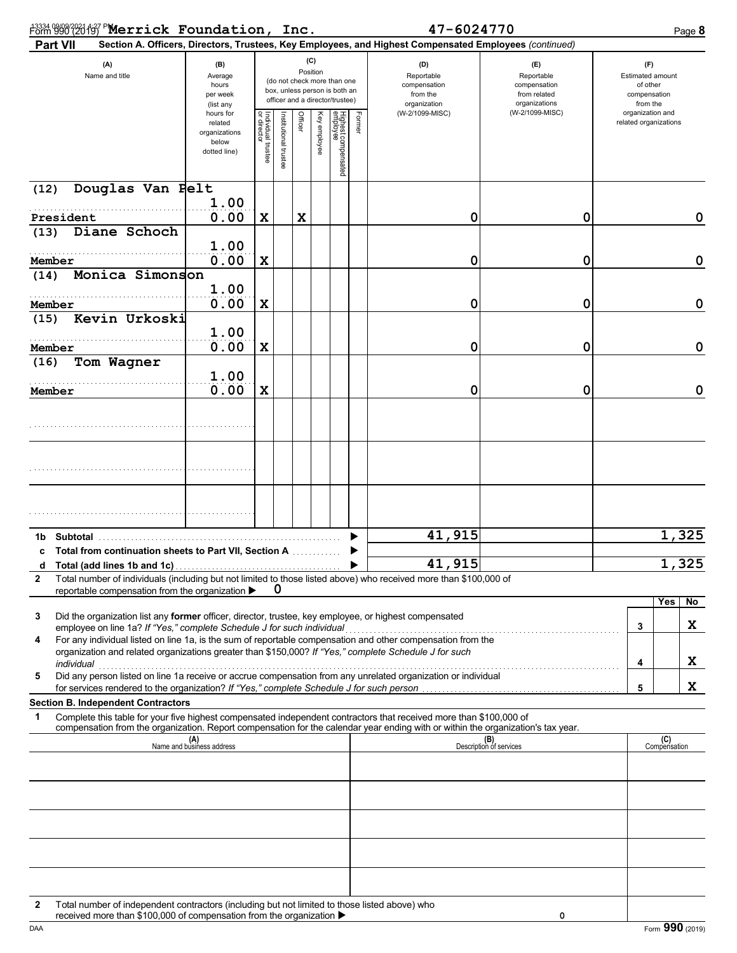| <sup>43334</sup> 990 2016 PMerrick Foundation, Inc. |  |            |          |
|-----------------------------------------------------|--|------------|----------|
|                                                     |  | 47-6024770 | Page $8$ |

| Part VII                                                                                                                                                                                                                                                                                            |                                                                |                                   |                       |         |                 |                                                                                                 |        | Section A. Officers, Directors, Trustees, Key Employees, and Highest Compensated Employees (continued) |                                                                    |                                                          |                                           |       |
|-----------------------------------------------------------------------------------------------------------------------------------------------------------------------------------------------------------------------------------------------------------------------------------------------------|----------------------------------------------------------------|-----------------------------------|-----------------------|---------|-----------------|-------------------------------------------------------------------------------------------------|--------|--------------------------------------------------------------------------------------------------------|--------------------------------------------------------------------|----------------------------------------------------------|-------------------------------------------|-------|
| (A)<br>(B)<br>Name and title<br>Average<br>hours<br>per week<br>(list any                                                                                                                                                                                                                           |                                                                |                                   |                       |         | (C)<br>Position | (do not check more than one<br>box, unless person is both an<br>officer and a director/trustee) |        | (D)<br>Reportable<br>compensation<br>from the<br>organization                                          | (E)<br>Reportable<br>compensation<br>from related<br>organizations | Estimated amount<br>of other<br>compensation<br>from the |                                           |       |
|                                                                                                                                                                                                                                                                                                     | hours for<br>related<br>organizations<br>below<br>dotted line) | Individual trustee<br>or director | Institutional trustee | Officer | Key employee    | Highest compensated<br>employee                                                                 | Former | (W-2/1099-MISC)                                                                                        | (W-2/1099-MISC)                                                    |                                                          | organization and<br>related organizations |       |
| Douglas Van Pelt<br>(12)                                                                                                                                                                                                                                                                            | 1.00                                                           |                                   |                       |         |                 |                                                                                                 |        |                                                                                                        |                                                                    |                                                          |                                           |       |
| President                                                                                                                                                                                                                                                                                           | 0.00                                                           | X                                 |                       | X       |                 |                                                                                                 |        | 0                                                                                                      | 0                                                                  |                                                          |                                           | 0     |
| Diane Schoch<br>(13)                                                                                                                                                                                                                                                                                | 1.00                                                           |                                   |                       |         |                 |                                                                                                 |        |                                                                                                        |                                                                    |                                                          |                                           |       |
| Member                                                                                                                                                                                                                                                                                              | 0.00                                                           | $\mathbf x$                       |                       |         |                 |                                                                                                 |        | 0                                                                                                      | 0                                                                  |                                                          |                                           | 0     |
| Monica Simonson<br>(14)                                                                                                                                                                                                                                                                             |                                                                |                                   |                       |         |                 |                                                                                                 |        |                                                                                                        |                                                                    |                                                          |                                           |       |
| Member                                                                                                                                                                                                                                                                                              | 1.00<br>0.00                                                   | $\mathbf x$                       |                       |         |                 |                                                                                                 |        | 0                                                                                                      | 0                                                                  |                                                          |                                           | 0     |
| Kevin Urkoski<br>(15)                                                                                                                                                                                                                                                                               |                                                                |                                   |                       |         |                 |                                                                                                 |        |                                                                                                        |                                                                    |                                                          |                                           |       |
|                                                                                                                                                                                                                                                                                                     | 1.00                                                           |                                   |                       |         |                 |                                                                                                 |        |                                                                                                        |                                                                    |                                                          |                                           |       |
| Member                                                                                                                                                                                                                                                                                              | 0.00                                                           | X                                 |                       |         |                 |                                                                                                 |        | 0                                                                                                      | 0                                                                  |                                                          |                                           | 0     |
| Tom Wagner<br>(16)                                                                                                                                                                                                                                                                                  |                                                                |                                   |                       |         |                 |                                                                                                 |        |                                                                                                        |                                                                    |                                                          |                                           |       |
| Member                                                                                                                                                                                                                                                                                              | 1.00<br>0.00                                                   | X                                 |                       |         |                 |                                                                                                 |        | 0                                                                                                      | 0                                                                  |                                                          |                                           | 0     |
|                                                                                                                                                                                                                                                                                                     |                                                                |                                   |                       |         |                 |                                                                                                 |        |                                                                                                        |                                                                    |                                                          |                                           |       |
|                                                                                                                                                                                                                                                                                                     |                                                                |                                   |                       |         |                 |                                                                                                 |        |                                                                                                        |                                                                    |                                                          |                                           |       |
|                                                                                                                                                                                                                                                                                                     |                                                                |                                   |                       |         |                 |                                                                                                 |        |                                                                                                        |                                                                    |                                                          |                                           |       |
|                                                                                                                                                                                                                                                                                                     |                                                                |                                   |                       |         |                 |                                                                                                 |        |                                                                                                        |                                                                    |                                                          |                                           |       |
|                                                                                                                                                                                                                                                                                                     |                                                                |                                   |                       |         |                 |                                                                                                 |        |                                                                                                        |                                                                    |                                                          |                                           |       |
| <b>Subtotal</b><br>1b                                                                                                                                                                                                                                                                               |                                                                |                                   |                       |         |                 |                                                                                                 |        | 41,915                                                                                                 |                                                                    |                                                          |                                           | 1,325 |
| Total from continuation sheets to Part VII, Section A<br>c                                                                                                                                                                                                                                          |                                                                |                                   |                       |         |                 |                                                                                                 |        |                                                                                                        |                                                                    |                                                          |                                           |       |
| d<br>Total number of individuals (including but not limited to those listed above) who received more than \$100,000 of<br>2<br>reportable compensation from the organization ▶                                                                                                                      |                                                                |                                   | 0                     |         |                 |                                                                                                 |        | 41,915                                                                                                 |                                                                    |                                                          |                                           | 1,325 |
|                                                                                                                                                                                                                                                                                                     |                                                                |                                   |                       |         |                 |                                                                                                 |        |                                                                                                        |                                                                    |                                                          | Yes                                       | No    |
| 3<br>Did the organization list any former officer, director, trustee, key employee, or highest compensated                                                                                                                                                                                          |                                                                |                                   |                       |         |                 |                                                                                                 |        |                                                                                                        |                                                                    |                                                          | 3                                         | X     |
| employee on line 1a? If "Yes," complete Schedule J for such individual<br>For any individual listed on line 1a, is the sum of reportable compensation and other compensation from the<br>4<br>organization and related organizations greater than \$150,000? If "Yes," complete Schedule J for such |                                                                |                                   |                       |         |                 |                                                                                                 |        |                                                                                                        |                                                                    |                                                          |                                           |       |
| individual                                                                                                                                                                                                                                                                                          |                                                                |                                   |                       |         |                 |                                                                                                 |        |                                                                                                        |                                                                    |                                                          | 4                                         | X     |
| Did any person listed on line 1a receive or accrue compensation from any unrelated organization or individual<br>5                                                                                                                                                                                  |                                                                |                                   |                       |         |                 |                                                                                                 |        |                                                                                                        |                                                                    |                                                          | 5                                         | X     |
| <b>Section B. Independent Contractors</b>                                                                                                                                                                                                                                                           |                                                                |                                   |                       |         |                 |                                                                                                 |        |                                                                                                        |                                                                    |                                                          |                                           |       |
| Complete this table for your five highest compensated independent contractors that received more than \$100,000 of<br>1<br>compensation from the organization. Report compensation for the calendar year ending with or within the organization's tax year.                                         |                                                                |                                   |                       |         |                 |                                                                                                 |        |                                                                                                        |                                                                    |                                                          |                                           |       |
|                                                                                                                                                                                                                                                                                                     | (A)<br>Name and business address                               |                                   |                       |         |                 |                                                                                                 |        |                                                                                                        | (B)<br>Description of services                                     |                                                          | (C)<br>Compensation                       |       |
|                                                                                                                                                                                                                                                                                                     |                                                                |                                   |                       |         |                 |                                                                                                 |        |                                                                                                        |                                                                    |                                                          |                                           |       |
|                                                                                                                                                                                                                                                                                                     |                                                                |                                   |                       |         |                 |                                                                                                 |        |                                                                                                        |                                                                    |                                                          |                                           |       |
|                                                                                                                                                                                                                                                                                                     |                                                                |                                   |                       |         |                 |                                                                                                 |        |                                                                                                        |                                                                    |                                                          |                                           |       |
|                                                                                                                                                                                                                                                                                                     |                                                                |                                   |                       |         |                 |                                                                                                 |        |                                                                                                        |                                                                    |                                                          |                                           |       |
|                                                                                                                                                                                                                                                                                                     |                                                                |                                   |                       |         |                 |                                                                                                 |        |                                                                                                        |                                                                    |                                                          |                                           |       |
| Total number of independent contractors (including but not limited to those listed above) who<br>$\mathbf{2}$                                                                                                                                                                                       |                                                                |                                   |                       |         |                 |                                                                                                 |        |                                                                                                        |                                                                    |                                                          |                                           |       |
| received more than \$100,000 of compensation from the organization ▶                                                                                                                                                                                                                                |                                                                |                                   |                       |         |                 |                                                                                                 |        |                                                                                                        | 0                                                                  |                                                          |                                           |       |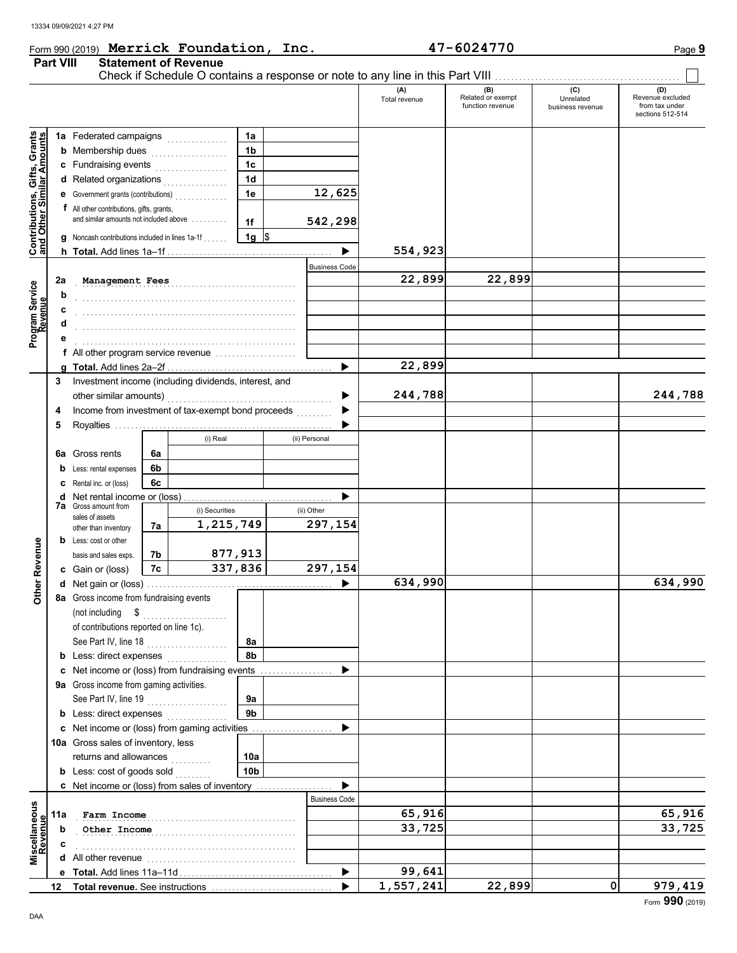## Form 990 (2019) Page **9 Merrick Foundation, Inc. 47-6024770 Part VIII Statement of Revenue**

Check if Schedule O contains a response or note to any line in this Part VIII.

### **(A) (B) (C) (D)** The revenue Related or exempt Unrelated Revenue excluded<br>
function revenue business revenue from tax under husiness revenue sections 512-514 **Contributions, Gifts, Grants**<br>and Other Similar Amounts **Contributions, Gifts, Grants 1a 1a** Federated campaigns **. . . . . . . . . . . . 1b b** Membership dues  $\ldots$  . . . . . . . . . . . . . . **1c c** Fundraising events **. . . . . . . . . . . . .** . . **and Other Similar A 1d d** Related organizations <sub>.</sub> . . . . . . . . . . . . **1e 12,625 e** Government grants (contributions) . . . . . . . . . . . . . **f** All other contributions, gifts, grants, and similar amounts not included above . . . . . . . . . **542,298 1f 1g g** Noncash contributions included in lines 1a-1f . . . . . .  $\frac{1}{2}$  $\blacktriangleright$ **554,923 h Total.** Add lines 1a–1f . . . . . . . . . . . . . . . . . . . . . . . . . . . . . . . . . . . . . . . . . Business Code **Management Fees 22,899 22,899 22,899 2a Program Service b** . . . . . . . . . . . . . . . . . . . . . . . . . . . . . . . . . . . . . . . . . . . . . . . . . . . . . . **Revenue c** . . . . . . . . . . . . . . . . . . . . . . . . . . . . . . . . . . . . . . . . . . . . . . . . . . . . . . **d** . . . . . . . . . . . . . . . . . . . . . . . . . . . . . . . . . . . . . . . . . . . . . . . . . . . . . . **e** . . . . . . . . . . . . . . . . . . . . . . . . . . . . . . . . . . . . . . . . . . . . . . . . . . . . . . **f** All other program service revenue .................... **22,899 g Total.** Add lines 2a–2f . . . . . . . . . . . . . . . . . . . . . . . . . . . . . . . . . . . . . . . . . **3** Investment income (including dividends, interest, and **244,788 244,788** other similar amounts) . . . . . . . . . . . . . . . . . . . . . . . . . . . . . . . . . . . . . . . . . ▶ Income from investment of tax-exempt bond proceeds **4** ▶ **5** Royalties ...... ▶ (i) Real (ii) Personal **6a 6a** Gross rents **6b b** Less: rental expenses **6c c** Rental inc. or (loss) ь **d** Net rental income or (loss) . . . . . . . . . . . . . . . . . . . . . . . . . . . . . . . . . . . . . **7a** Gross amount from (i) Securities (ii) Other sales of assets **1,215,749 297,154** other than inventory **7a b** Less: cost or other Other Revenue **Other Revenue 877,913** basis and sales exps. **7b 7c 337,836 297,154 c** Gain or (loss) **634,990 634,990 d** Net gain or (loss) . . . . . . . . . . . . . . . . . . . . . . . . . . . . . . . . . . . . . . . . . . . . . . **8a** Gross income from fundraising events (not including \$ . . . . . . . . . . . . . . . . . . . . . of contributions reported on line 1c). See Part IV, line 18 . . . . . . . . . . . . . . . . . . . . **8a 8b b** Less: direct expenses . . . . . . . . . . . . . ▶ **c** Net income or (loss) from fundraising events . . . . . . . . . . . . . . . . Gross income from gaming activities. **9a** See Part IV, line 19 . . . . . . . . . . . . . . . . . . . . **9a 9b b** Less: direct expenses . . . . . . . . . . . . . Net income or (loss) from gaming activities . . . . . . . . . . . . . . . . . . . . **c** Þ 10a Gross sales of inventory, less returns and allowances ........... **10a 10b b** Less:  $\cosh$  of goods  $\sin$  $\blacksquare$ Net income or (loss) from sales of inventory . . . . . . . . . . . . . . . . . . . **c** Business Code **Miscellaneous**<br>Revenue **Miscellaneous Farm Income 65,916 65,916 65,916 65,916 65,916 11a** . . . . . . . . . . . . . . . . . . . . . . . . . . . . . . . . . . . . . . . . . . . . . . . . . . . . . . **Other Income 33,725 33,725 b c** . . . . . . . . . . . . . . . . . . . . . . . . . . . . . . . . . . . . . . . . . . . . . . . . . . . . . . **d** All other revenue . . . . . . . . . . . . . . . . . . . . . . . . . . . . . . . . . . . . . **99,641 e** Total. Add lines 11a-11d. ▶ **1,557,241 22,899 0 979,419 12 Total revenue.** See instructions ▶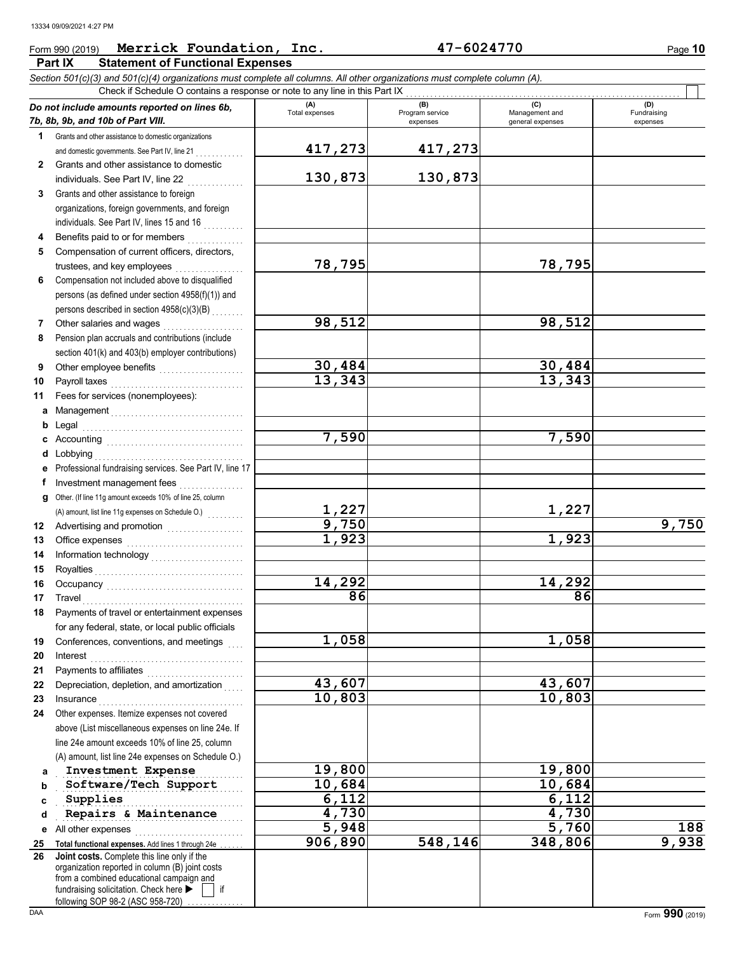### Form 990 (2019) Page **10 Merrick Foundation, Inc. 47-6024770**

**Part IX Statement of Functional Expenses**

*Section 501(c)(3) and 501(c)(4) organizations must complete all columns. All other organizations must complete column (A).*

|          | Check if Schedule O contains a response or note to any line in this Part IX                                                                                                                                                    |                       |                                    |                                    |                                |
|----------|--------------------------------------------------------------------------------------------------------------------------------------------------------------------------------------------------------------------------------|-----------------------|------------------------------------|------------------------------------|--------------------------------|
|          | Do not include amounts reported on lines 6b,<br>7b, 8b, 9b, and 10b of Part VIII.                                                                                                                                              | (A)<br>Total expenses | (B)<br>Program service<br>expenses | Management and<br>general expenses | (D)<br>Fundraising<br>expenses |
| 1.       | Grants and other assistance to domestic organizations                                                                                                                                                                          |                       |                                    |                                    |                                |
|          | and domestic governments. See Part IV, line 21                                                                                                                                                                                 | 417,273               | 417,273                            |                                    |                                |
| 2        | Grants and other assistance to domestic                                                                                                                                                                                        |                       |                                    |                                    |                                |
|          | individuals. See Part IV, line 22                                                                                                                                                                                              | 130,873               | 130,873                            |                                    |                                |
| 3        | Grants and other assistance to foreign                                                                                                                                                                                         |                       |                                    |                                    |                                |
|          | organizations, foreign governments, and foreign                                                                                                                                                                                |                       |                                    |                                    |                                |
|          | individuals. See Part IV, lines 15 and 16                                                                                                                                                                                      |                       |                                    |                                    |                                |
| 4        |                                                                                                                                                                                                                                |                       |                                    |                                    |                                |
| 5        | Compensation of current officers, directors,                                                                                                                                                                                   |                       |                                    |                                    |                                |
|          | trustees, and key employees<br>                                                                                                                                                                                                | 78,795                |                                    | 78,795                             |                                |
| 6        | Compensation not included above to disqualified                                                                                                                                                                                |                       |                                    |                                    |                                |
|          | persons (as defined under section 4958(f)(1)) and                                                                                                                                                                              |                       |                                    |                                    |                                |
|          | persons described in section 4958(c)(3)(B)                                                                                                                                                                                     |                       |                                    |                                    |                                |
| 7        |                                                                                                                                                                                                                                | 98,512                |                                    | 98,512                             |                                |
| 8        | Pension plan accruals and contributions (include                                                                                                                                                                               |                       |                                    |                                    |                                |
|          | section 401(k) and 403(b) employer contributions)                                                                                                                                                                              |                       |                                    |                                    |                                |
| 9        | Other employee benefits                                                                                                                                                                                                        | 30,484                |                                    | 30,484                             |                                |
| 10       |                                                                                                                                                                                                                                | 13,343                |                                    | 13,343                             |                                |
| 11       | Fees for services (nonemployees):                                                                                                                                                                                              |                       |                                    |                                    |                                |
|          |                                                                                                                                                                                                                                |                       |                                    |                                    |                                |
| b        |                                                                                                                                                                                                                                |                       |                                    |                                    |                                |
| c        |                                                                                                                                                                                                                                | 7,590                 |                                    | 7,590                              |                                |
| d        |                                                                                                                                                                                                                                |                       |                                    |                                    |                                |
| е<br>f.  | Professional fundraising services. See Part IV, line 17<br>Investment management fees                                                                                                                                          |                       |                                    |                                    |                                |
| a        | Other. (If line 11g amount exceeds 10% of line 25, column                                                                                                                                                                      |                       |                                    |                                    |                                |
|          |                                                                                                                                                                                                                                | $\frac{1,227}{9,750}$ |                                    | 1,227                              |                                |
| 12       |                                                                                                                                                                                                                                |                       |                                    |                                    | 9,750                          |
| 13       | Office expenses with a continuum and contain a contact of the contact of the contact of the contact of the contact of the contact of the contact of the contact of the contact of the contact of the contact of the contact of | 1,923                 |                                    | 1,923                              |                                |
| 14       |                                                                                                                                                                                                                                |                       |                                    |                                    |                                |
| 15       |                                                                                                                                                                                                                                |                       |                                    |                                    |                                |
| 16       |                                                                                                                                                                                                                                | 14,292                |                                    | 14,292                             |                                |
| 17       |                                                                                                                                                                                                                                | 86                    |                                    | 86                                 |                                |
| 18       | Payments of travel or entertainment expenses                                                                                                                                                                                   |                       |                                    |                                    |                                |
|          | for any federal, state, or local public officials                                                                                                                                                                              | 1,058                 |                                    | 1,058                              |                                |
| 19       | Conferences, conventions, and meetings                                                                                                                                                                                         |                       |                                    |                                    |                                |
| 20<br>21 | Interest<br>Payments to affiliates                                                                                                                                                                                             |                       |                                    |                                    |                                |
| 22       | Depreciation, depletion, and amortization                                                                                                                                                                                      | 43,607                |                                    | 43,607                             |                                |
| 23       |                                                                                                                                                                                                                                | 10,803                |                                    | 10,803                             |                                |
| 24       | Other expenses. Itemize expenses not covered                                                                                                                                                                                   |                       |                                    |                                    |                                |
|          | above (List miscellaneous expenses on line 24e. If                                                                                                                                                                             |                       |                                    |                                    |                                |
|          | line 24e amount exceeds 10% of line 25, column                                                                                                                                                                                 |                       |                                    |                                    |                                |
|          | (A) amount, list line 24e expenses on Schedule O.)                                                                                                                                                                             |                       |                                    |                                    |                                |
| a        | Investment Expense                                                                                                                                                                                                             | 19,800                |                                    | 19,800                             |                                |
| b        | Software/Tech Support                                                                                                                                                                                                          | 10,684                |                                    | 10,684                             |                                |
| c        | Supplies                                                                                                                                                                                                                       | 6,112                 |                                    | 6,112                              |                                |
| d        | Repairs & Maintenance                                                                                                                                                                                                          | 4,730                 |                                    | 4,730                              |                                |
| е        | All other expenses                                                                                                                                                                                                             | 5,948                 |                                    | 5,760                              | 188                            |
| 25       | Total functional expenses. Add lines 1 through 24e                                                                                                                                                                             | 906,890               | 548,146                            | 348,806                            | 9,938                          |
| 26       | Joint costs. Complete this line only if the<br>organization reported in column (B) joint costs<br>from a combined educational campaign and<br>fundraising solicitation. Check here<br>if<br>following SOP 98-2 (ASC 958-720)   |                       |                                    |                                    |                                |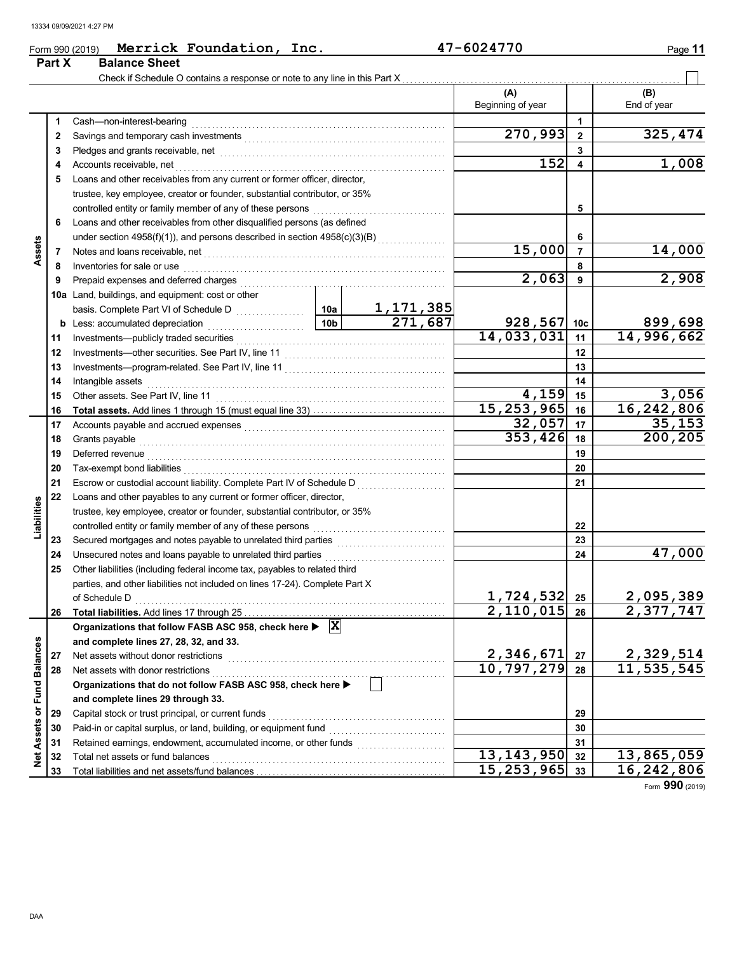|                   | Part X   | <b>Balance Sheet</b>                                                                                                                                                                                                           |                         |                             |                             |                         |                            |
|-------------------|----------|--------------------------------------------------------------------------------------------------------------------------------------------------------------------------------------------------------------------------------|-------------------------|-----------------------------|-----------------------------|-------------------------|----------------------------|
|                   |          |                                                                                                                                                                                                                                |                         |                             |                             |                         |                            |
|                   |          |                                                                                                                                                                                                                                |                         |                             | (A)                         |                         | (B)                        |
|                   |          |                                                                                                                                                                                                                                |                         |                             | Beginning of year           |                         | End of year                |
|                   | 1        | Cash-non-interest-bearing                                                                                                                                                                                                      |                         |                             |                             | 1                       |                            |
|                   | 2        |                                                                                                                                                                                                                                |                         |                             | $\overline{270,993}$        | $\mathbf{2}$            | 325,474                    |
|                   | 3        | Pledges and grants receivable, net entitled and substitution of the state of the state of the state of the state of the state of the state of the state of the state of the state of the state of the state of the state of th |                         |                             |                             | 3                       |                            |
|                   | 4        | Accounts receivable, net                                                                                                                                                                                                       |                         |                             | 152                         | $\overline{\mathbf{4}}$ | 1,008                      |
|                   | 5        | Loans and other receivables from any current or former officer, director,                                                                                                                                                      |                         |                             |                             |                         |                            |
|                   |          | trustee, key employee, creator or founder, substantial contributor, or 35%                                                                                                                                                     |                         |                             |                             |                         |                            |
|                   |          | controlled entity or family member of any of these persons                                                                                                                                                                     |                         |                             |                             | 5                       |                            |
|                   | 6        | Loans and other receivables from other disqualified persons (as defined                                                                                                                                                        |                         |                             |                             |                         |                            |
|                   |          |                                                                                                                                                                                                                                |                         |                             |                             | 6                       |                            |
| Assets            | 7        |                                                                                                                                                                                                                                |                         |                             | 15,000                      | $\overline{7}$          | 14,000                     |
|                   | 8        | Inventories for sale or use                                                                                                                                                                                                    |                         |                             |                             | 8                       |                            |
|                   | 9        | Prepaid expenses and deferred charges                                                                                                                                                                                          |                         |                             | 2,063                       | 9                       | 2,908                      |
|                   |          | 10a Land, buildings, and equipment: cost or other                                                                                                                                                                              |                         |                             |                             |                         |                            |
|                   |          |                                                                                                                                                                                                                                | 10a                     | $\frac{1,171,385}{271,687}$ |                             |                         |                            |
|                   | b        | Less: accumulated depreciation                                                                                                                                                                                                 | 10 <sub>b</sub>         |                             | $928,567$ 10c               |                         | 899,698                    |
|                   | 11       | Investments-publicly traded securities                                                                                                                                                                                         |                         |                             | 14,033,031                  | 11                      | 14,996,662                 |
|                   | 12       |                                                                                                                                                                                                                                |                         |                             | 12                          |                         |                            |
|                   | 13       |                                                                                                                                                                                                                                |                         | 13                          |                             |                         |                            |
|                   | 14       | Intangible assets                                                                                                                                                                                                              |                         | 14                          |                             |                         |                            |
|                   | 15       | Other assets. See Part IV, line 11                                                                                                                                                                                             |                         |                             | 4,159                       | 15                      | 3,056                      |
|                   | 16       |                                                                                                                                                                                                                                |                         |                             | 15, 253, 965                | 16                      | 16,242,806                 |
|                   | 17       |                                                                                                                                                                                                                                |                         |                             | 32,057<br>353,426           | 17                      | 35, 153<br>200,205         |
|                   | 18       | Grants payable                                                                                                                                                                                                                 |                         | 18                          |                             |                         |                            |
|                   | 19       | Deferred revenue                                                                                                                                                                                                               |                         | 19                          |                             |                         |                            |
|                   | 20       | Tax-exempt bond liabilities                                                                                                                                                                                                    |                         |                             |                             | 20                      |                            |
|                   | 21       | Escrow or custodial account liability. Complete Part IV of Schedule D                                                                                                                                                          |                         | 21                          |                             |                         |                            |
|                   | 22       | Loans and other payables to any current or former officer, director,                                                                                                                                                           |                         |                             |                             |                         |                            |
| Liabilities       |          | trustee, key employee, creator or founder, substantial contributor, or 35%                                                                                                                                                     |                         |                             |                             |                         |                            |
|                   |          | controlled entity or family member of any of these persons                                                                                                                                                                     |                         |                             |                             | 22                      |                            |
|                   | 23       | Unsecured notes and loans payable to unrelated third parties                                                                                                                                                                   |                         |                             |                             | 23<br>24                | 47,000                     |
|                   | 24<br>25 | Other liabilities (including federal income tax, payables to related third                                                                                                                                                     |                         |                             |                             |                         |                            |
|                   |          | parties, and other liabilities not included on lines 17-24). Complete Part X                                                                                                                                                   |                         |                             |                             |                         |                            |
|                   |          | of Schedule D                                                                                                                                                                                                                  |                         |                             | 1,724,532                   | 25                      | 2,095,389                  |
|                   | 26       |                                                                                                                                                                                                                                |                         |                             | $2,110,015$ 26              |                         | 2,377,747                  |
|                   |          | Organizations that follow FASB ASC 958, check here $\blacktriangleright \overline{X}$                                                                                                                                          |                         |                             |                             |                         |                            |
|                   |          | and complete lines 27, 28, 32, and 33.                                                                                                                                                                                         |                         |                             |                             |                         |                            |
|                   | 27       | Net assets without donor restrictions                                                                                                                                                                                          | 2,346,671               | 27                          |                             |                         |                            |
|                   | 28       | Net assets with donor restrictions                                                                                                                                                                                             | $\overline{10,797,279}$ | 28                          | 2, 329, 514<br>11, 535, 545 |                         |                            |
|                   |          | Organizations that do not follow FASB ASC 958, check here ▶                                                                                                                                                                    |                         |                             |                             |                         |                            |
|                   |          | and complete lines 29 through 33.                                                                                                                                                                                              |                         |                             |                             |                         |                            |
| or Fund Balances  | 29       | Capital stock or trust principal, or current funds                                                                                                                                                                             |                         |                             |                             | 29                      |                            |
|                   | 30       | Paid-in or capital surplus, or land, building, or equipment fund                                                                                                                                                               |                         |                             |                             | 30                      |                            |
|                   | 31       |                                                                                                                                                                                                                                |                         |                             |                             | 31                      |                            |
| <b>Net Assets</b> | 32       | Total net assets or fund balances                                                                                                                                                                                              |                         |                             | $\overline{13,143}$ , 950   | 32                      | $\overline{13}$ , 865, 059 |
|                   | 33       |                                                                                                                                                                                                                                |                         |                             | 15, 253, 965                | 33                      | 16,242,806                 |

**Merrick Foundation, Inc. 47-6024770**

Form **990** (2019)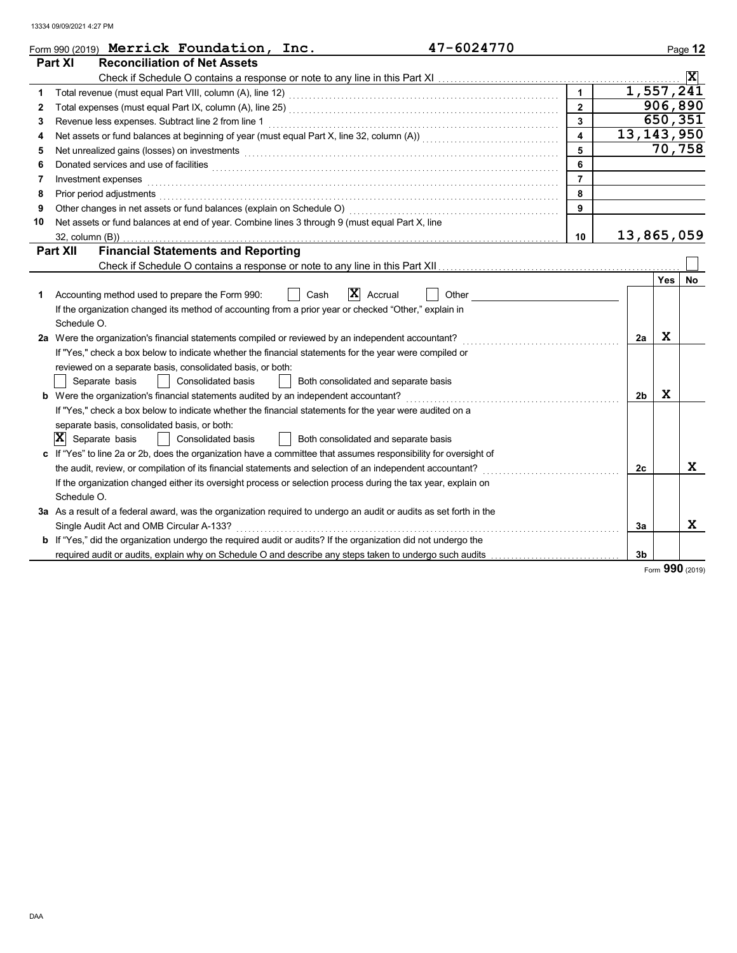|    | 47-6024770<br>Form 990 (2019) Merrick Foundation, Inc.                                                                             |                         |                |              | Page 12        |
|----|------------------------------------------------------------------------------------------------------------------------------------|-------------------------|----------------|--------------|----------------|
|    | Part XI<br><b>Reconciliation of Net Assets</b>                                                                                     |                         |                |              |                |
|    |                                                                                                                                    |                         |                |              | $ \mathbf{x} $ |
| 1  |                                                                                                                                    | $\overline{1}$          |                | 1, 557, 241  |                |
| 2  |                                                                                                                                    | $\overline{2}$          |                | 906,890      |                |
| 3  | Revenue less expenses. Subtract line 2 from line 1                                                                                 | $\overline{3}$          |                | 650,351      |                |
| 4  | Net assets or fund balances at beginning of year (must equal Part X, line 32, column (A)) [[[[[[[[[[[[[[[[[[[                      | $\overline{\mathbf{4}}$ |                | 13, 143, 950 |                |
| 5  | Net unrealized gains (losses) on investments [1] production contract the unrealized gains (losses) on investments                  | 5                       |                | 70,758       |                |
| 6  | Donated services and use of facilities <b>construction and construction</b> and construction of the services and use of facilities | 6                       |                |              |                |
| 7  | Investment expenses                                                                                                                | $\overline{7}$          |                |              |                |
| 8  | Prior period adjustments <b>construction and construction</b> and construction of the construction of the construction             | 8                       |                |              |                |
| 9  |                                                                                                                                    | 9                       |                |              |                |
| 10 | Net assets or fund balances at end of year. Combine lines 3 through 9 (must equal Part X, line                                     |                         |                |              |                |
|    |                                                                                                                                    | 10                      |                | 13,865,059   |                |
|    | <b>Financial Statements and Reporting</b><br><b>Part XII</b>                                                                       |                         |                |              |                |
|    |                                                                                                                                    |                         |                |              |                |
|    |                                                                                                                                    |                         |                | <b>Yes</b>   | No             |
| 1  | ΙX<br>Cash<br>Accrual<br>Other<br>Accounting method used to prepare the Form 990:                                                  |                         |                |              |                |
|    | If the organization changed its method of accounting from a prior year or checked "Other," explain in                              |                         |                |              |                |
|    | Schedule O.                                                                                                                        |                         |                |              |                |
|    | 2a Were the organization's financial statements compiled or reviewed by an independent accountant?                                 |                         | 2a             | x            |                |
|    | If "Yes," check a box below to indicate whether the financial statements for the year were compiled or                             |                         |                |              |                |
|    | reviewed on a separate basis, consolidated basis, or both:                                                                         |                         |                |              |                |
|    | Separate basis<br>Consolidated basis<br>Both consolidated and separate basis                                                       |                         |                |              |                |
|    | <b>b</b> Were the organization's financial statements audited by an independent accountant?                                        |                         | 2 <sub>b</sub> | X            |                |
|    | If "Yes," check a box below to indicate whether the financial statements for the year were audited on a                            |                         |                |              |                |
|    | separate basis, consolidated basis, or both:                                                                                       |                         |                |              |                |
|    | $ \mathbf{X} $ Separate basis<br>Consolidated basis<br>Both consolidated and separate basis                                        |                         |                |              |                |
|    | If "Yes" to line 2a or 2b, does the organization have a committee that assumes responsibility for oversight of                     |                         |                |              |                |
|    | the audit, review, or compilation of its financial statements and selection of an independent accountant?                          |                         | 2c             |              | X              |
|    | If the organization changed either its oversight process or selection process during the tax year, explain on                      |                         |                |              |                |
|    | Schedule O.                                                                                                                        |                         |                |              |                |
|    | 3a As a result of a federal award, was the organization required to undergo an audit or audits as set forth in the                 |                         |                |              |                |
|    | Single Audit Act and OMB Circular A-133?                                                                                           |                         | 3a             |              | X.             |
|    | <b>b</b> If "Yes," did the organization undergo the required audit or audits? If the organization did not undergo the              |                         |                |              |                |
|    | required audit or audits, explain why on Schedule O and describe any steps taken to undergo such audits                            |                         | 3 <sub>b</sub> |              |                |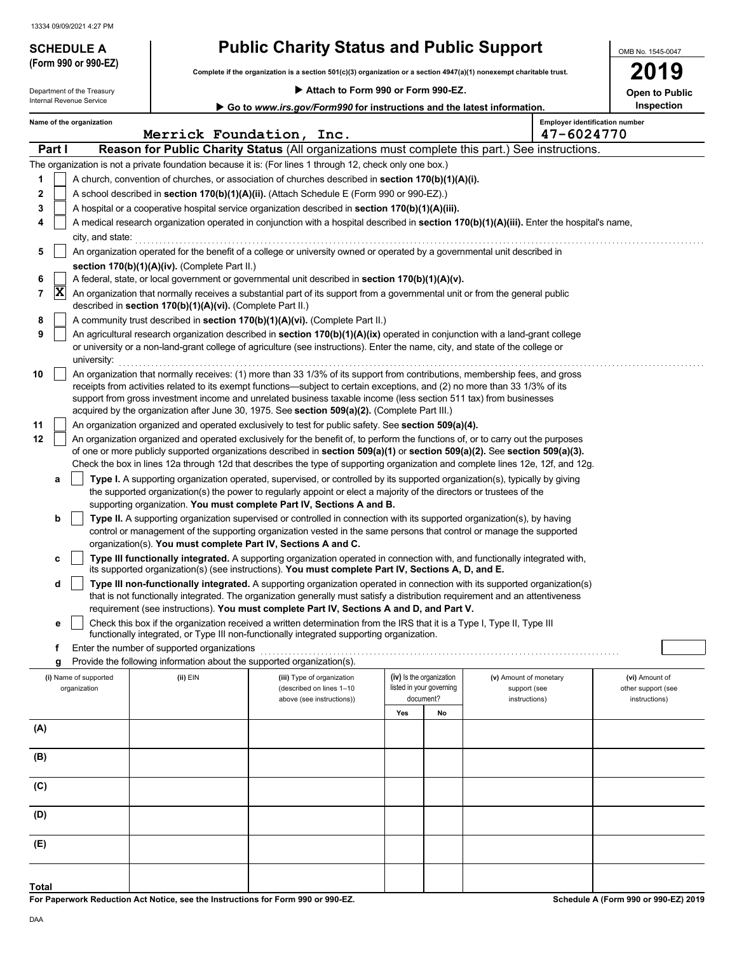Department of the Treasury

**(Form 990 or 990-EZ)**

# **SCHEDULE A Public Charity Status and Public Support**

**Complete if the organization is a section 501(c)(3) organization or a section 4947(a)(1) nonexempt charitable trust.**

|  |  |  |  |  |  |  |  | Attach to Form 990 or Form 990-EZ. |
|--|--|--|--|--|--|--|--|------------------------------------|
|--|--|--|--|--|--|--|--|------------------------------------|

**2019 Open to Public**

OMB No. 1545-0047

| Internal Revenue Service |                                                                                                       |                                                                        | Go to www.irs.gov/Form990 for instructions and the latest information.                                                                                                                                                                                                                                                                                                                                                                                                           |     |                                                      |                                                     | Inspection                           |
|--------------------------|-------------------------------------------------------------------------------------------------------|------------------------------------------------------------------------|----------------------------------------------------------------------------------------------------------------------------------------------------------------------------------------------------------------------------------------------------------------------------------------------------------------------------------------------------------------------------------------------------------------------------------------------------------------------------------|-----|------------------------------------------------------|-----------------------------------------------------|--------------------------------------|
|                          | Name of the organization                                                                              | Merrick Foundation, Inc.                                               |                                                                                                                                                                                                                                                                                                                                                                                                                                                                                  |     |                                                      | <b>Employer identification number</b><br>47-6024770 |                                      |
| <b>Part I</b>            |                                                                                                       |                                                                        | Reason for Public Charity Status (All organizations must complete this part.) See instructions.                                                                                                                                                                                                                                                                                                                                                                                  |     |                                                      |                                                     |                                      |
|                          |                                                                                                       |                                                                        | The organization is not a private foundation because it is: (For lines 1 through 12, check only one box.)                                                                                                                                                                                                                                                                                                                                                                        |     |                                                      |                                                     |                                      |
| 1                        | A church, convention of churches, or association of churches described in section $170(b)(1)(A)(i)$ . |                                                                        |                                                                                                                                                                                                                                                                                                                                                                                                                                                                                  |     |                                                      |                                                     |                                      |
| 2                        | A school described in section 170(b)(1)(A)(ii). (Attach Schedule E (Form 990 or 990-EZ).)             |                                                                        |                                                                                                                                                                                                                                                                                                                                                                                                                                                                                  |     |                                                      |                                                     |                                      |
| 3                        |                                                                                                       |                                                                        | A hospital or a cooperative hospital service organization described in section 170(b)(1)(A)(iii).                                                                                                                                                                                                                                                                                                                                                                                |     |                                                      |                                                     |                                      |
| 4                        | city, and state:                                                                                      |                                                                        | A medical research organization operated in conjunction with a hospital described in section 170(b)(1)(A)(iii). Enter the hospital's name,                                                                                                                                                                                                                                                                                                                                       |     |                                                      |                                                     |                                      |
| 5                        |                                                                                                       |                                                                        | An organization operated for the benefit of a college or university owned or operated by a governmental unit described in                                                                                                                                                                                                                                                                                                                                                        |     |                                                      |                                                     |                                      |
|                          |                                                                                                       | section 170(b)(1)(A)(iv). (Complete Part II.)                          |                                                                                                                                                                                                                                                                                                                                                                                                                                                                                  |     |                                                      |                                                     |                                      |
| 6                        |                                                                                                       |                                                                        | A federal, state, or local government or governmental unit described in section 170(b)(1)(A)(v).                                                                                                                                                                                                                                                                                                                                                                                 |     |                                                      |                                                     |                                      |
| X<br>7                   |                                                                                                       | described in section 170(b)(1)(A)(vi). (Complete Part II.)             | An organization that normally receives a substantial part of its support from a governmental unit or from the general public                                                                                                                                                                                                                                                                                                                                                     |     |                                                      |                                                     |                                      |
| 8                        |                                                                                                       |                                                                        | A community trust described in section 170(b)(1)(A)(vi). (Complete Part II.)                                                                                                                                                                                                                                                                                                                                                                                                     |     |                                                      |                                                     |                                      |
| 9                        | university:                                                                                           |                                                                        | An agricultural research organization described in section 170(b)(1)(A)(ix) operated in conjunction with a land-grant college<br>or university or a non-land-grant college of agriculture (see instructions). Enter the name, city, and state of the college or                                                                                                                                                                                                                  |     |                                                      |                                                     |                                      |
| 10                       |                                                                                                       |                                                                        | An organization that normally receives: (1) more than 33 1/3% of its support from contributions, membership fees, and gross<br>receipts from activities related to its exempt functions—subject to certain exceptions, and (2) no more than 33 1/3% of its<br>support from gross investment income and unrelated business taxable income (less section 511 tax) from businesses<br>acquired by the organization after June 30, 1975. See section 509(a)(2). (Complete Part III.) |     |                                                      |                                                     |                                      |
| 11                       |                                                                                                       |                                                                        | An organization organized and operated exclusively to test for public safety. See section 509(a)(4).                                                                                                                                                                                                                                                                                                                                                                             |     |                                                      |                                                     |                                      |
| 12                       |                                                                                                       |                                                                        | An organization organized and operated exclusively for the benefit of, to perform the functions of, or to carry out the purposes                                                                                                                                                                                                                                                                                                                                                 |     |                                                      |                                                     |                                      |
|                          |                                                                                                       |                                                                        | of one or more publicly supported organizations described in section $509(a)(1)$ or section $509(a)(2)$ . See section $509(a)(3)$ .<br>Check the box in lines 12a through 12d that describes the type of supporting organization and complete lines 12e, 12f, and 12g.                                                                                                                                                                                                           |     |                                                      |                                                     |                                      |
| а                        |                                                                                                       |                                                                        | Type I. A supporting organization operated, supervised, or controlled by its supported organization(s), typically by giving<br>the supported organization(s) the power to regularly appoint or elect a majority of the directors or trustees of the                                                                                                                                                                                                                              |     |                                                      |                                                     |                                      |
| b                        |                                                                                                       |                                                                        | supporting organization. You must complete Part IV, Sections A and B.<br>Type II. A supporting organization supervised or controlled in connection with its supported organization(s), by having                                                                                                                                                                                                                                                                                 |     |                                                      |                                                     |                                      |
|                          |                                                                                                       | organization(s). You must complete Part IV, Sections A and C.          | control or management of the supporting organization vested in the same persons that control or manage the supported                                                                                                                                                                                                                                                                                                                                                             |     |                                                      |                                                     |                                      |
| c                        |                                                                                                       |                                                                        | Type III functionally integrated. A supporting organization operated in connection with, and functionally integrated with,<br>its supported organization(s) (see instructions). You must complete Part IV, Sections A, D, and E.                                                                                                                                                                                                                                                 |     |                                                      |                                                     |                                      |
| d                        |                                                                                                       |                                                                        | Type III non-functionally integrated. A supporting organization operated in connection with its supported organization(s)                                                                                                                                                                                                                                                                                                                                                        |     |                                                      |                                                     |                                      |
|                          |                                                                                                       |                                                                        | that is not functionally integrated. The organization generally must satisfy a distribution requirement and an attentiveness<br>requirement (see instructions). You must complete Part IV, Sections A and D, and Part V.                                                                                                                                                                                                                                                         |     |                                                      |                                                     |                                      |
| е                        |                                                                                                       |                                                                        | Check this box if the organization received a written determination from the IRS that it is a Type I, Type II, Type III<br>functionally integrated, or Type III non-functionally integrated supporting organization.                                                                                                                                                                                                                                                             |     |                                                      |                                                     |                                      |
| f                        |                                                                                                       | Enter the number of supported organizations                            |                                                                                                                                                                                                                                                                                                                                                                                                                                                                                  |     |                                                      |                                                     |                                      |
| g                        |                                                                                                       | Provide the following information about the supported organization(s). |                                                                                                                                                                                                                                                                                                                                                                                                                                                                                  |     |                                                      |                                                     |                                      |
|                          | (i) Name of supported<br>organization                                                                 | $(ii)$ EIN                                                             | (iii) Type of organization<br>(described on lines 1-10                                                                                                                                                                                                                                                                                                                                                                                                                           |     | (iv) Is the organization<br>listed in your governing | (v) Amount of monetary<br>support (see              | (vi) Amount of<br>other support (see |
|                          |                                                                                                       |                                                                        | above (see instructions))                                                                                                                                                                                                                                                                                                                                                                                                                                                        |     | document?                                            | instructions)                                       | instructions)                        |
|                          |                                                                                                       |                                                                        |                                                                                                                                                                                                                                                                                                                                                                                                                                                                                  | Yes | No                                                   |                                                     |                                      |
| (A)                      |                                                                                                       |                                                                        |                                                                                                                                                                                                                                                                                                                                                                                                                                                                                  |     |                                                      |                                                     |                                      |
| (B)                      |                                                                                                       |                                                                        |                                                                                                                                                                                                                                                                                                                                                                                                                                                                                  |     |                                                      |                                                     |                                      |
| (C)                      |                                                                                                       |                                                                        |                                                                                                                                                                                                                                                                                                                                                                                                                                                                                  |     |                                                      |                                                     |                                      |
| (D)                      |                                                                                                       |                                                                        |                                                                                                                                                                                                                                                                                                                                                                                                                                                                                  |     |                                                      |                                                     |                                      |
| (E)                      |                                                                                                       |                                                                        |                                                                                                                                                                                                                                                                                                                                                                                                                                                                                  |     |                                                      |                                                     |                                      |
|                          |                                                                                                       |                                                                        |                                                                                                                                                                                                                                                                                                                                                                                                                                                                                  |     |                                                      |                                                     |                                      |
| Total                    |                                                                                                       |                                                                        |                                                                                                                                                                                                                                                                                                                                                                                                                                                                                  |     |                                                      |                                                     |                                      |

**For Paperwork Reduction Act Notice, see the Instructions for Form 990 or 990-EZ.**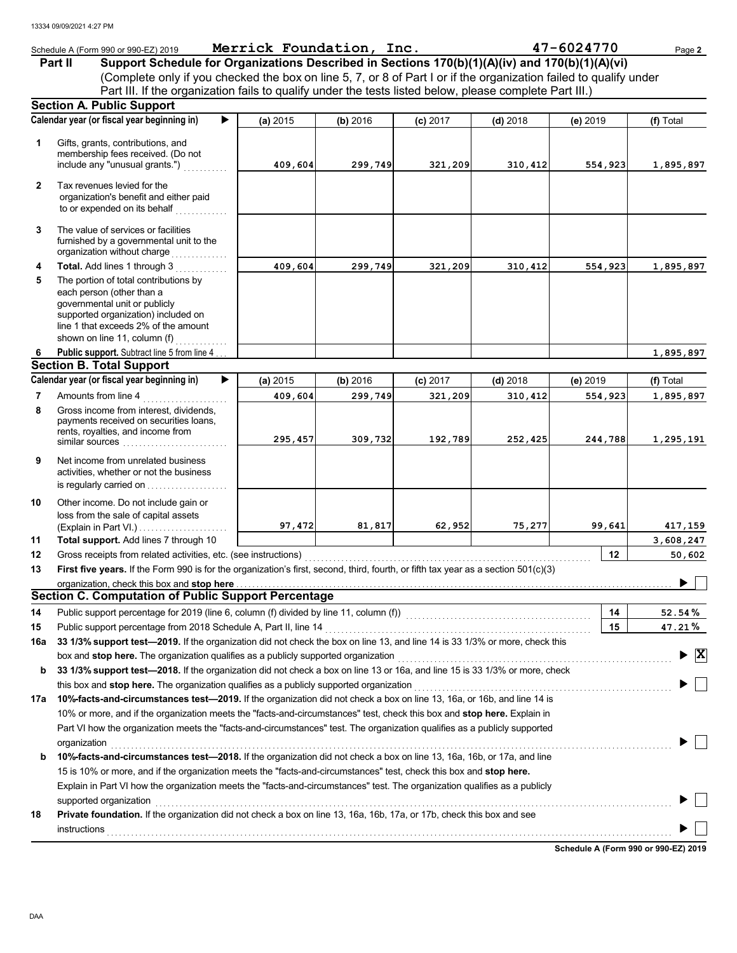|              | Schedule A (Form 990 or 990-EZ) 2019                                                                                                                                                                                                             | Merrick Foundation, Inc. |          |            |            | 47-6024770 | Page 2                                        |
|--------------|--------------------------------------------------------------------------------------------------------------------------------------------------------------------------------------------------------------------------------------------------|--------------------------|----------|------------|------------|------------|-----------------------------------------------|
|              | Support Schedule for Organizations Described in Sections 170(b)(1)(A)(iv) and 170(b)(1)(A)(vi)<br><b>Part II</b>                                                                                                                                 |                          |          |            |            |            |                                               |
|              | (Complete only if you checked the box on line 5, 7, or 8 of Part I or if the organization failed to qualify under                                                                                                                                |                          |          |            |            |            |                                               |
|              | Part III. If the organization fails to qualify under the tests listed below, please complete Part III.)                                                                                                                                          |                          |          |            |            |            |                                               |
|              | <b>Section A. Public Support</b>                                                                                                                                                                                                                 |                          |          |            |            |            |                                               |
|              | Calendar year (or fiscal year beginning in)                                                                                                                                                                                                      | (a) 2015                 | (b) 2016 | $(c)$ 2017 | $(d)$ 2018 | (e) 2019   | (f) Total                                     |
|              |                                                                                                                                                                                                                                                  |                          |          |            |            |            |                                               |
| 1            | Gifts, grants, contributions, and<br>membership fees received. (Do not                                                                                                                                                                           |                          |          |            |            |            |                                               |
|              | include any "unusual grants.")                                                                                                                                                                                                                   | 409,604                  | 299,749  | 321,209    | 310,412    | 554,923    | 1,895,897                                     |
| $\mathbf{2}$ | Tax revenues levied for the                                                                                                                                                                                                                      |                          |          |            |            |            |                                               |
|              | organization's benefit and either paid                                                                                                                                                                                                           |                          |          |            |            |            |                                               |
|              | to or expended on its behalf                                                                                                                                                                                                                     |                          |          |            |            |            |                                               |
| 3            | The value of services or facilities                                                                                                                                                                                                              |                          |          |            |            |            |                                               |
|              | furnished by a governmental unit to the                                                                                                                                                                                                          |                          |          |            |            |            |                                               |
|              |                                                                                                                                                                                                                                                  |                          |          |            |            |            |                                               |
| 4            | Total. Add lines 1 through 3                                                                                                                                                                                                                     | 409,604                  | 299,749  | 321,209    | 310,412    | 554,923    | 1,895,897                                     |
| 5            | The portion of total contributions by                                                                                                                                                                                                            |                          |          |            |            |            |                                               |
|              | each person (other than a<br>governmental unit or publicly                                                                                                                                                                                       |                          |          |            |            |            |                                               |
|              | supported organization) included on                                                                                                                                                                                                              |                          |          |            |            |            |                                               |
|              | line 1 that exceeds 2% of the amount                                                                                                                                                                                                             |                          |          |            |            |            |                                               |
|              | shown on line 11, column (f) $\ldots$                                                                                                                                                                                                            |                          |          |            |            |            |                                               |
| 6            | <b>Public support.</b> Subtract line 5 from line 4<br><b>Section B. Total Support</b>                                                                                                                                                            |                          |          |            |            |            | 1,895,897                                     |
|              | Calendar year (or fiscal year beginning in)                                                                                                                                                                                                      | (a) 2015                 | (b) 2016 | $(c)$ 2017 | $(d)$ 2018 | (e) 2019   | (f) Total                                     |
| 7            | Amounts from line 4                                                                                                                                                                                                                              | 409,604                  | 299,749  | 321,209    | 310,412    | 554,923    | 1,895,897                                     |
| 8            | .<br>Gross income from interest, dividends,                                                                                                                                                                                                      |                          |          |            |            |            |                                               |
|              | payments received on securities loans,                                                                                                                                                                                                           |                          |          |            |            |            |                                               |
|              | rents, royalties, and income from                                                                                                                                                                                                                | 295,457                  | 309,732  | 192,789    | 252,425    | 244,788    | 1,295,191                                     |
|              | similar sources                                                                                                                                                                                                                                  |                          |          |            |            |            |                                               |
| 9            | Net income from unrelated business                                                                                                                                                                                                               |                          |          |            |            |            |                                               |
|              | activities, whether or not the business<br>is regularly carried on                                                                                                                                                                               |                          |          |            |            |            |                                               |
|              |                                                                                                                                                                                                                                                  |                          |          |            |            |            |                                               |
| 10           | Other income. Do not include gain or<br>loss from the sale of capital assets                                                                                                                                                                     |                          |          |            |            |            |                                               |
|              | (Explain in Part VI.) $\ldots$ $\ldots$ $\ldots$ $\ldots$                                                                                                                                                                                        | 97,472                   | 81,817   | 62,952     | 75,277     | 99,641     | 417,159                                       |
| 11           | Total support. Add lines 7 through 10                                                                                                                                                                                                            |                          |          |            |            |            | 3,608,247                                     |
| 12           |                                                                                                                                                                                                                                                  |                          |          |            |            | 12         | 50,602                                        |
| 13           | First five years. If the Form 990 is for the organization's first, second, third, fourth, or fifth tax year as a section 501(c)(3)                                                                                                               |                          |          |            |            |            |                                               |
|              |                                                                                                                                                                                                                                                  |                          |          |            |            |            |                                               |
|              | <b>Section C. Computation of Public Support Percentage</b>                                                                                                                                                                                       |                          |          |            |            |            |                                               |
| 14           |                                                                                                                                                                                                                                                  |                          |          |            |            | 14         | 52.54%                                        |
| 15           | Public support percentage from 2018 Schedule A, Part II, line 14                                                                                                                                                                                 |                          |          |            |            | 15         | 47.21%                                        |
| 16a          | 33 1/3% support test-2019. If the organization did not check the box on line 13, and line 14 is 33 1/3% or more, check this                                                                                                                      |                          |          |            |            |            |                                               |
|              | box and stop here. The organization qualifies as a publicly supported organization                                                                                                                                                               |                          |          |            |            |            | $\blacktriangleright$ $\overline{\mathbf{X}}$ |
| b            | 33 1/3% support test-2018. If the organization did not check a box on line 13 or 16a, and line 15 is 33 1/3% or more, check                                                                                                                      |                          |          |            |            |            |                                               |
|              | this box and stop here. The organization qualifies as a publicly supported organization                                                                                                                                                          |                          |          |            |            |            |                                               |
| 17a          | 10%-facts-and-circumstances test-2019. If the organization did not check a box on line 13, 16a, or 16b, and line 14 is                                                                                                                           |                          |          |            |            |            |                                               |
|              | 10% or more, and if the organization meets the "facts-and-circumstances" test, check this box and stop here. Explain in                                                                                                                          |                          |          |            |            |            |                                               |
|              | Part VI how the organization meets the "facts-and-circumstances" test. The organization qualifies as a publicly supported                                                                                                                        |                          |          |            |            |            |                                               |
| b            | organization<br>10%-facts-and-circumstances test-2018. If the organization did not check a box on line 13, 16a, 16b, or 17a, and line                                                                                                            |                          |          |            |            |            |                                               |
|              |                                                                                                                                                                                                                                                  |                          |          |            |            |            |                                               |
|              | 15 is 10% or more, and if the organization meets the "facts-and-circumstances" test, check this box and stop here.<br>Explain in Part VI how the organization meets the "facts-and-circumstances" test. The organization qualifies as a publicly |                          |          |            |            |            |                                               |
|              | supported organization                                                                                                                                                                                                                           |                          |          |            |            |            |                                               |
| 18           | Private foundation. If the organization did not check a box on line 13, 16a, 16b, 17a, or 17b, check this box and see                                                                                                                            |                          |          |            |            |            |                                               |
|              |                                                                                                                                                                                                                                                  |                          |          |            |            |            |                                               |
|              |                                                                                                                                                                                                                                                  |                          |          |            |            |            |                                               |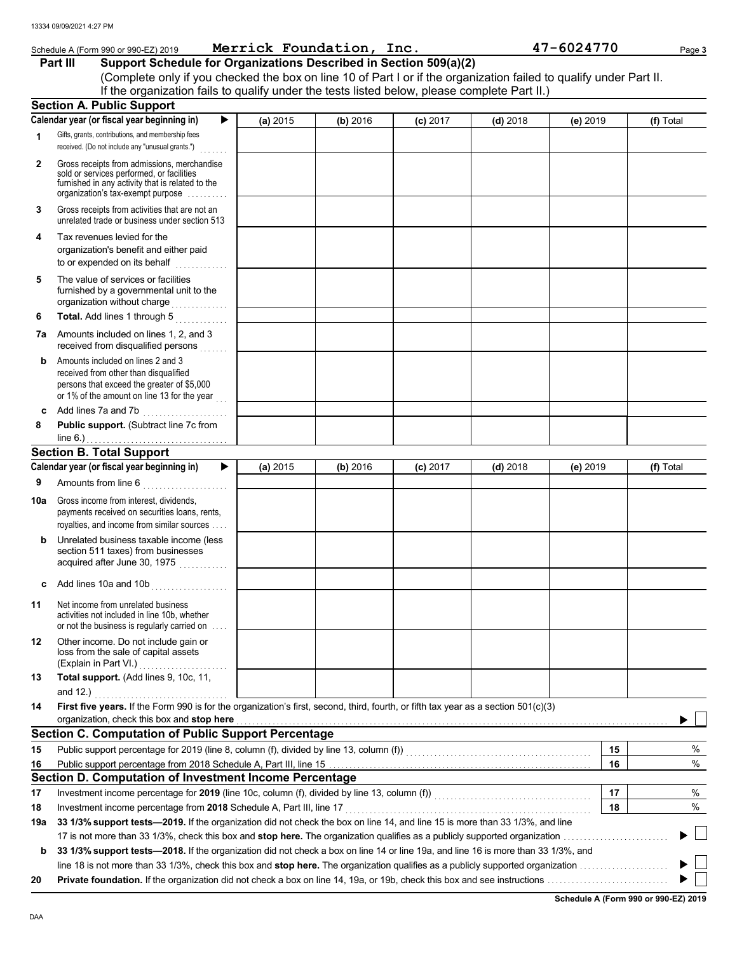|              | Schedule A (Form 990 or 990-EZ) 2019                                                                                                                                              |          | Merrick Foundation, Inc. |            |            | 47-6024770 | Page 3    |
|--------------|-----------------------------------------------------------------------------------------------------------------------------------------------------------------------------------|----------|--------------------------|------------|------------|------------|-----------|
|              | Support Schedule for Organizations Described in Section 509(a)(2)<br>Part III                                                                                                     |          |                          |            |            |            |           |
|              | (Complete only if you checked the box on line 10 of Part I or if the organization failed to qualify under Part II.                                                                |          |                          |            |            |            |           |
|              | If the organization fails to qualify under the tests listed below, please complete Part II.)                                                                                      |          |                          |            |            |            |           |
|              | <b>Section A. Public Support</b>                                                                                                                                                  |          |                          |            |            |            |           |
|              | Calendar year (or fiscal year beginning in)<br>▶                                                                                                                                  | (a) 2015 | (b) 2016                 | $(c)$ 2017 | $(d)$ 2018 | (e) 2019   | (f) Total |
| 1            | Gifts, grants, contributions, and membership fees<br>received. (Do not include any "unusual grants.")                                                                             |          |                          |            |            |            |           |
| $\mathbf{2}$ | Gross receipts from admissions, merchandise<br>sold or services performed, or facilities<br>furnished in any activity that is related to the<br>organization's tax-exempt purpose |          |                          |            |            |            |           |
| 3            | Gross receipts from activities that are not an<br>unrelated trade or business under section 513                                                                                   |          |                          |            |            |            |           |
| 4            | Tax revenues levied for the<br>organization's benefit and either paid                                                                                                             |          |                          |            |            |            |           |
| 5            | The value of services or facilities<br>furnished by a governmental unit to the<br>organization without charge                                                                     |          |                          |            |            |            |           |
| 6            | Total. Add lines 1 through 5                                                                                                                                                      |          |                          |            |            |            |           |
| 7a           | Amounts included on lines 1, 2, and 3<br>received from disqualified persons                                                                                                       |          |                          |            |            |            |           |
| b            | Amounts included on lines 2 and 3<br>received from other than disqualified<br>persons that exceed the greater of \$5,000<br>or 1% of the amount on line 13 for the year           |          |                          |            |            |            |           |
| c            | Add lines 7a and 7b                                                                                                                                                               |          |                          |            |            |            |           |
| 8            | Public support. (Subtract line 7c from<br>line 6.) $\ldots$ $\ldots$ $\ldots$ $\ldots$ $\ldots$ $\ldots$ $\ldots$                                                                 |          |                          |            |            |            |           |
|              | <b>Section B. Total Support</b>                                                                                                                                                   |          |                          |            |            |            |           |
|              | Calendar year (or fiscal year beginning in)<br>▶                                                                                                                                  | (a) 2015 | (b) 2016                 | $(c)$ 2017 | $(d)$ 2018 | (e) 2019   | (f) Total |
| 9            | Amounts from line 6<br>.                                                                                                                                                          |          |                          |            |            |            |           |
| 10a          | Gross income from interest, dividends,<br>payments received on securities loans, rents,<br>royalties, and income from similar sources                                             |          |                          |            |            |            |           |
| b            | Unrelated business taxable income (less)<br>section 511 taxes) from businesses<br>acquired after June 30, 1975                                                                    |          |                          |            |            |            |           |
|              | Add lines 10a and 10b                                                                                                                                                             |          |                          |            |            |            |           |
| 11           | Net income from unrelated business<br>activities not included in line 10b, whether<br>or not the business is regularly carried on                                                 |          |                          |            |            |            |           |
| 12           | Other income. Do not include gain or<br>loss from the sale of capital assets<br>(Explain in Part VI.)                                                                             |          |                          |            |            |            |           |
| 13           | Total support. (Add lines 9, 10c, 11,<br>and $12.$ )                                                                                                                              |          |                          |            |            |            |           |
| 14           | First five years. If the Form 990 is for the organization's first, second, third, fourth, or fifth tax year as a section 501(c)(3)<br>organization, check this box and stop here  |          |                          |            |            |            |           |
|              | <b>Section C. Computation of Public Support Percentage</b>                                                                                                                        |          |                          |            |            |            |           |
| 15           |                                                                                                                                                                                   |          |                          |            |            | 15         | %         |
| 16           |                                                                                                                                                                                   |          |                          |            |            | 16         | %         |
|              | Section D. Computation of Investment Income Percentage                                                                                                                            |          |                          |            |            |            |           |
| 17           | Investment income percentage for 2019 (line 10c, column (f), divided by line 13, column (f)) [[[[[[[[[[[[[[[[                                                                     |          |                          |            |            | 17         | $\%$      |
| 18           | Investment income percentage from 2018 Schedule A, Part III, line 17                                                                                                              |          |                          |            |            | 18         | %         |
| 19a          | 33 1/3% support tests—2019. If the organization did not check the box on line 14, and line 15 is more than 33 1/3%, and line                                                      |          |                          |            |            |            |           |
|              |                                                                                                                                                                                   |          |                          |            |            |            |           |
| b            | 33 1/3% support tests—2018. If the organization did not check a box on line 14 or line 19a, and line 16 is more than 33 1/3%, and                                                 |          |                          |            |            |            |           |
|              |                                                                                                                                                                                   |          |                          |            |            |            |           |
| 20           |                                                                                                                                                                                   |          |                          |            |            |            |           |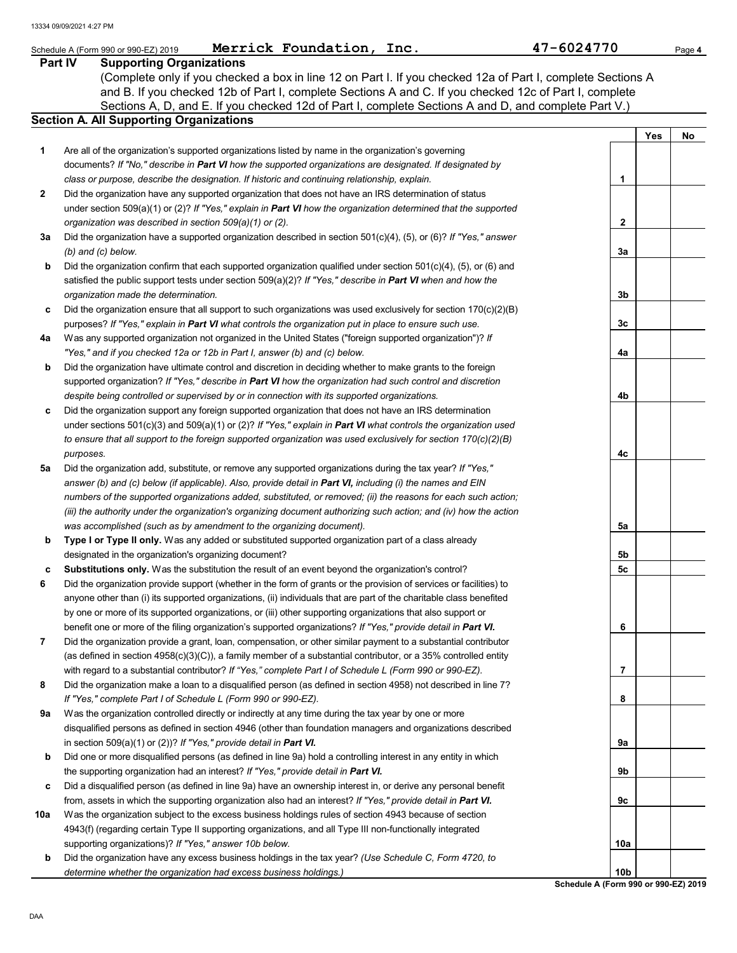|                | 47-6024770<br>Merrick Foundation, Inc.<br>Schedule A (Form 990 or 990-EZ) 2019                                      |     |     | Page 4 |
|----------------|---------------------------------------------------------------------------------------------------------------------|-----|-----|--------|
| <b>Part IV</b> | <b>Supporting Organizations</b>                                                                                     |     |     |        |
|                | (Complete only if you checked a box in line 12 on Part I. If you checked 12a of Part I, complete Sections A         |     |     |        |
|                | and B. If you checked 12b of Part I, complete Sections A and C. If you checked 12c of Part I, complete              |     |     |        |
|                | Sections A, D, and E. If you checked 12d of Part I, complete Sections A and D, and complete Part V.)                |     |     |        |
|                | <b>Section A. All Supporting Organizations</b>                                                                      |     |     |        |
|                |                                                                                                                     |     | Yes | No     |
| 1              | Are all of the organization's supported organizations listed by name in the organization's governing                |     |     |        |
|                | documents? If "No," describe in Part VI how the supported organizations are designated. If designated by            |     |     |        |
|                | class or purpose, describe the designation. If historic and continuing relationship, explain.                       | 1   |     |        |
| 2              | Did the organization have any supported organization that does not have an IRS determination of status              |     |     |        |
|                | under section 509(a)(1) or (2)? If "Yes," explain in Part VI how the organization determined that the supported     |     |     |        |
|                | organization was described in section 509(a)(1) or (2).                                                             | 2   |     |        |
| За             | Did the organization have a supported organization described in section $501(c)(4)$ , (5), or (6)? If "Yes," answer |     |     |        |
|                | $(b)$ and $(c)$ below.                                                                                              | За  |     |        |
| b              | Did the organization confirm that each supported organization qualified under section $501(c)(4)$ , (5), or (6) and |     |     |        |
|                | satisfied the public support tests under section 509(a)(2)? If "Yes," describe in Part VI when and how the          |     |     |        |
|                | organization made the determination.                                                                                | 3b  |     |        |
| c              | Did the organization ensure that all support to such organizations was used exclusively for section $170(c)(2)(B)$  |     |     |        |
|                | purposes? If "Yes," explain in Part VI what controls the organization put in place to ensure such use.              | 3c  |     |        |
| 4a             | Was any supported organization not organized in the United States ("foreign supported organization")? If            |     |     |        |
|                | "Yes," and if you checked 12a or 12b in Part I, answer (b) and (c) below.                                           | 4a  |     |        |
| b              | Did the organization have ultimate control and discretion in deciding whether to make grants to the foreign         |     |     |        |
|                | supported organization? If "Yes," describe in Part VI how the organization had such control and discretion          |     |     |        |
|                | despite being controlled or supervised by or in connection with its supported organizations.                        | 4b  |     |        |
| c              | Did the organization support any foreign supported organization that does not have an IRS determination             |     |     |        |
|                | under sections 501(c)(3) and 509(a)(1) or (2)? If "Yes," explain in Part VI what controls the organization used     |     |     |        |
|                | to ensure that all support to the foreign supported organization was used exclusively for section 170(c)(2)(B)      |     |     |        |
|                | purposes.                                                                                                           | 4c  |     |        |
| 5a             | Did the organization add, substitute, or remove any supported organizations during the tax year? If "Yes,"          |     |     |        |
|                | answer (b) and (c) below (if applicable). Also, provide detail in Part VI, including (i) the names and EIN          |     |     |        |
|                | numbers of the supported organizations added, substituted, or removed; (ii) the reasons for each such action;       |     |     |        |
|                | (iii) the authority under the organization's organizing document authorizing such action; and (iv) how the action   |     |     |        |
|                | was accomplished (such as by amendment to the organizing document).                                                 | 5a  |     |        |
| b              | Type I or Type II only. Was any added or substituted supported organization part of a class already                 |     |     |        |
|                | designated in the organization's organizing document?                                                               | 5b  |     |        |
|                | Substitutions only. Was the substitution the result of an event beyond the organization's control?                  | 5c  |     |        |
|                | Did the organization provide support (whether in the form of grants or the provision of services or facilities) to  |     |     |        |
|                | anyone other than (i) its supported organizations, (ii) individuals that are part of the charitable class benefited |     |     |        |
|                | by one or more of its supported organizations, or (iii) other supporting organizations that also support or         |     |     |        |
|                | benefit one or more of the filing organization's supported organizations? If "Yes," provide detail in Part VI.      | 6   |     |        |
| 7              | Did the organization provide a grant, loan, compensation, or other similar payment to a substantial contributor     |     |     |        |
|                | (as defined in section $4958(c)(3)(C)$ ), a family member of a substantial contributor, or a 35% controlled entity  |     |     |        |
|                | with regard to a substantial contributor? If "Yes," complete Part I of Schedule L (Form 990 or 990-EZ).             | 7   |     |        |
| 8              | Did the organization make a loan to a disqualified person (as defined in section 4958) not described in line 7?     |     |     |        |
|                | If "Yes," complete Part I of Schedule L (Form 990 or 990-EZ).                                                       | 8   |     |        |
| 9а             | Was the organization controlled directly or indirectly at any time during the tax year by one or more               |     |     |        |
|                | disqualified persons as defined in section 4946 (other than foundation managers and organizations described         |     |     |        |
|                | in section 509(a)(1) or (2))? If "Yes," provide detail in Part VI.                                                  | 9а  |     |        |
| b              | Did one or more disqualified persons (as defined in line 9a) hold a controlling interest in any entity in which     |     |     |        |
|                | the supporting organization had an interest? If "Yes," provide detail in Part VI.                                   | 9b  |     |        |
| c              | Did a disqualified person (as defined in line 9a) have an ownership interest in, or derive any personal benefit     |     |     |        |
|                | from, assets in which the supporting organization also had an interest? If "Yes," provide detail in Part VI.        | 9с  |     |        |
| 10a            | Was the organization subject to the excess business holdings rules of section 4943 because of section               |     |     |        |
|                | 4943(f) (regarding certain Type II supporting organizations, and all Type III non-functionally integrated           |     |     |        |
|                | supporting organizations)? If "Yes," answer 10b below.                                                              | 10a |     |        |
| b              | Did the organization have any excess business holdings in the tax year? (Use Schedule C, Form 4720, to              |     |     |        |
|                | determine whether the organization had excess business holdings.)                                                   | 10b |     |        |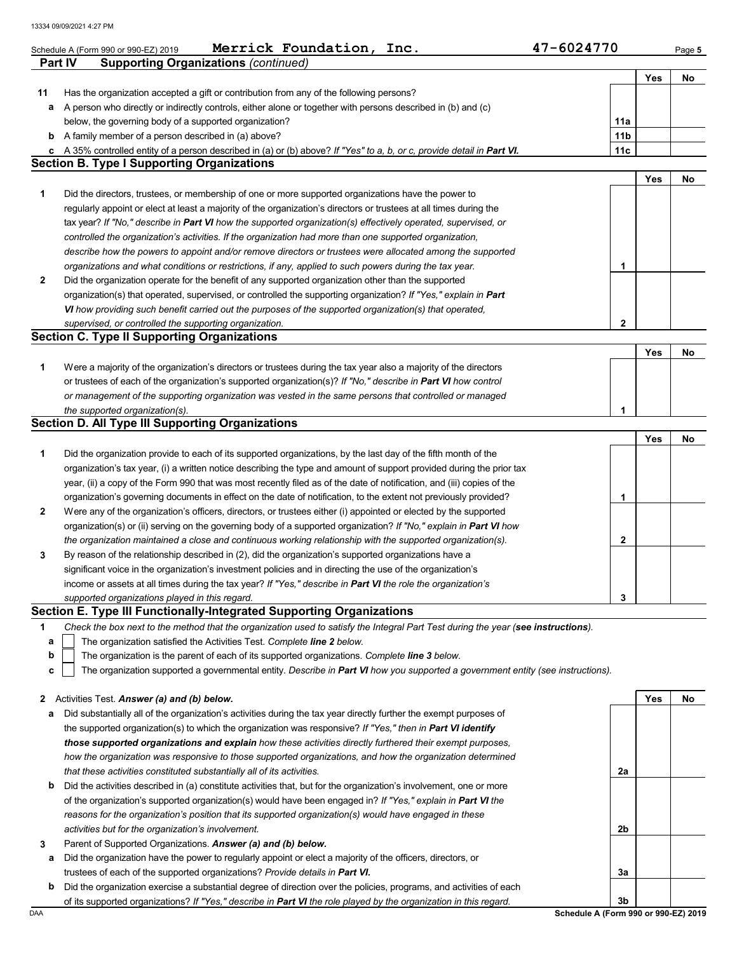|                | Merrick Foundation, Inc.<br>Schedule A (Form 990 or 990-EZ) 2019                                                                                                           | 47-6024770                           |     | Page 5 |
|----------------|----------------------------------------------------------------------------------------------------------------------------------------------------------------------------|--------------------------------------|-----|--------|
| <b>Part IV</b> | <b>Supporting Organizations (continued)</b>                                                                                                                                |                                      |     |        |
|                |                                                                                                                                                                            |                                      | Yes | No     |
| 11             | Has the organization accepted a gift or contribution from any of the following persons?                                                                                    |                                      |     |        |
| а              | A person who directly or indirectly controls, either alone or together with persons described in (b) and (c)                                                               |                                      |     |        |
|                | below, the governing body of a supported organization?                                                                                                                     | 11a                                  |     |        |
| b              | A family member of a person described in (a) above?                                                                                                                        | 11 <sub>b</sub>                      |     |        |
| c              | A 35% controlled entity of a person described in (a) or (b) above? If "Yes" to a, b, or c, provide detail in Part VI.<br><b>Section B. Type I Supporting Organizations</b> | 11c                                  |     |        |
|                |                                                                                                                                                                            |                                      |     |        |
|                | Did the directors, trustees, or membership of one or more supported organizations have the power to                                                                        |                                      | Yes | No     |
| 1              | regularly appoint or elect at least a majority of the organization's directors or trustees at all times during the                                                         |                                      |     |        |
|                | tax year? If "No," describe in Part VI how the supported organization(s) effectively operated, supervised, or                                                              |                                      |     |        |
|                | controlled the organization's activities. If the organization had more than one supported organization,                                                                    |                                      |     |        |
|                | describe how the powers to appoint and/or remove directors or trustees were allocated among the supported                                                                  |                                      |     |        |
|                | organizations and what conditions or restrictions, if any, applied to such powers during the tax year.                                                                     | 1                                    |     |        |
| $\mathbf{2}$   | Did the organization operate for the benefit of any supported organization other than the supported                                                                        |                                      |     |        |
|                | organization(s) that operated, supervised, or controlled the supporting organization? If "Yes," explain in Part                                                            |                                      |     |        |
|                | VI how providing such benefit carried out the purposes of the supported organization(s) that operated,                                                                     |                                      |     |        |
|                | supervised, or controlled the supporting organization.                                                                                                                     | $\overline{2}$                       |     |        |
|                | <b>Section C. Type II Supporting Organizations</b>                                                                                                                         |                                      |     |        |
|                |                                                                                                                                                                            |                                      | Yes | No     |
| 1              | Were a majority of the organization's directors or trustees during the tax year also a majority of the directors                                                           |                                      |     |        |
|                | or trustees of each of the organization's supported organization(s)? If "No," describe in Part VI how control                                                              |                                      |     |        |
|                | or management of the supporting organization was vested in the same persons that controlled or managed                                                                     |                                      |     |        |
|                | the supported organization(s).                                                                                                                                             | 1                                    |     |        |
|                | <b>Section D. All Type III Supporting Organizations</b>                                                                                                                    |                                      |     |        |
|                |                                                                                                                                                                            |                                      | Yes | No     |
| 1              | Did the organization provide to each of its supported organizations, by the last day of the fifth month of the                                                             |                                      |     |        |
|                | organization's tax year, (i) a written notice describing the type and amount of support provided during the prior tax                                                      |                                      |     |        |
|                | year, (ii) a copy of the Form 990 that was most recently filed as of the date of notification, and (iii) copies of the                                                     |                                      |     |        |
|                | organization's governing documents in effect on the date of notification, to the extent not previously provided?                                                           | 1                                    |     |        |
| $\mathbf{2}$   | Were any of the organization's officers, directors, or trustees either (i) appointed or elected by the supported                                                           |                                      |     |        |
|                | organization(s) or (ii) serving on the governing body of a supported organization? If "No," explain in Part VI how                                                         |                                      |     |        |
|                | the organization maintained a close and continuous working relationship with the supported organization(s).                                                                | 2                                    |     |        |
| 3              | By reason of the relationship described in (2), did the organization's supported organizations have a                                                                      |                                      |     |        |
|                | significant voice in the organization's investment policies and in directing the use of the organization's                                                                 |                                      |     |        |
|                | income or assets at all times during the tax year? If "Yes," describe in Part VI the role the organization's                                                               |                                      |     |        |
|                | supported organizations played in this regard.<br>Section E. Type III Functionally-Integrated Supporting Organizations                                                     | 3                                    |     |        |
|                | Check the box next to the method that the organization used to satisfy the Integral Part Test during the year (see instructions).                                          |                                      |     |        |
| 1<br>a         | The organization satisfied the Activities Test. Complete line 2 below.                                                                                                     |                                      |     |        |
| b              | The organization is the parent of each of its supported organizations. Complete line 3 below.                                                                              |                                      |     |        |
| c              | The organization supported a governmental entity. Describe in Part VI how you supported a government entity (see instructions).                                            |                                      |     |        |
|                |                                                                                                                                                                            |                                      |     |        |
| 2              | Activities Test. Answer (a) and (b) below.                                                                                                                                 |                                      | Yes | No     |
| а              | Did substantially all of the organization's activities during the tax year directly further the exempt purposes of                                                         |                                      |     |        |
|                | the supported organization(s) to which the organization was responsive? If "Yes," then in Part VI identify                                                                 |                                      |     |        |
|                | those supported organizations and explain how these activities directly furthered their exempt purposes,                                                                   |                                      |     |        |
|                | how the organization was responsive to those supported organizations, and how the organization determined                                                                  |                                      |     |        |
|                | that these activities constituted substantially all of its activities.                                                                                                     | 2a                                   |     |        |
| b              | Did the activities described in (a) constitute activities that, but for the organization's involvement, one or more                                                        |                                      |     |        |
|                | of the organization's supported organization(s) would have been engaged in? If "Yes," explain in Part VI the                                                               |                                      |     |        |
|                | reasons for the organization's position that its supported organization(s) would have engaged in these                                                                     |                                      |     |        |
|                | activities but for the organization's involvement.                                                                                                                         | 2b                                   |     |        |
| 3              | Parent of Supported Organizations. Answer (a) and (b) below.                                                                                                               |                                      |     |        |
| а              | Did the organization have the power to regularly appoint or elect a majority of the officers, directors, or                                                                |                                      |     |        |
|                | trustees of each of the supported organizations? Provide details in Part VI.                                                                                               | 3a                                   |     |        |
| b              | Did the organization exercise a substantial degree of direction over the policies, programs, and activities of each                                                        |                                      |     |        |
|                | of its supported organizations? If "Yes," describe in Part VI the role played by the organization in this regard.                                                          | 3b                                   |     |        |
| DAA            |                                                                                                                                                                            | Schedule A (Form 990 or 990-EZ) 2019 |     |        |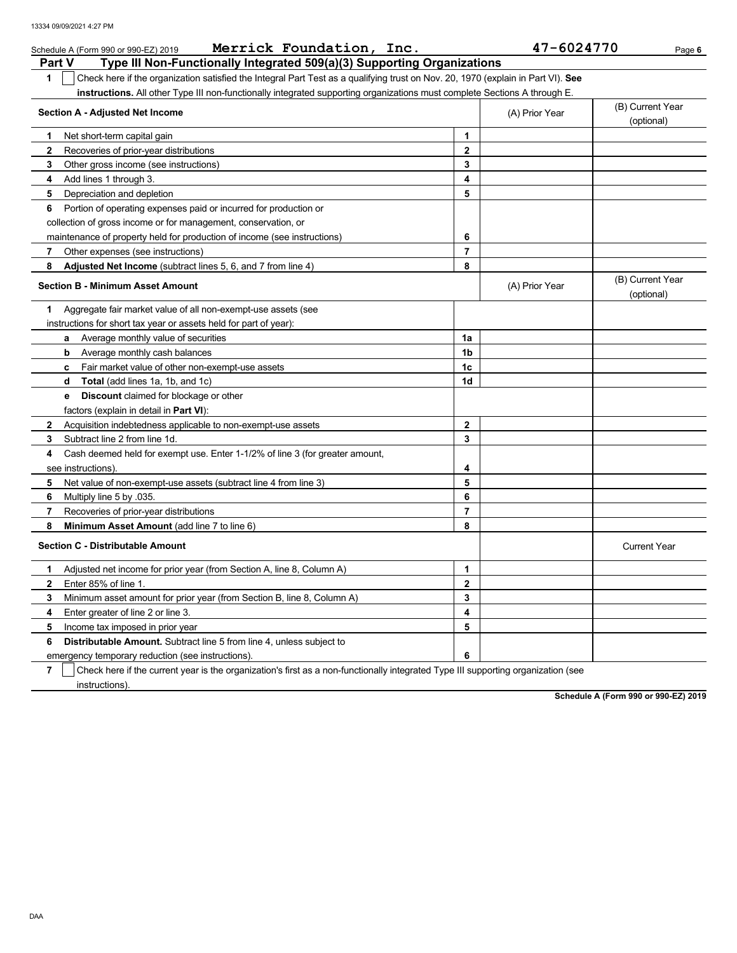| Merrick Foundation, Inc.<br>Schedule A (Form 990 or 990-EZ) 2019                                                                                             |                         | 47-6024770     | Page 6                         |
|--------------------------------------------------------------------------------------------------------------------------------------------------------------|-------------------------|----------------|--------------------------------|
| Type III Non-Functionally Integrated 509(a)(3) Supporting Organizations<br><b>Part V</b>                                                                     |                         |                |                                |
| Check here if the organization satisfied the Integral Part Test as a qualifying trust on Nov. 20, 1970 (explain in Part VI). See<br>1                        |                         |                |                                |
| instructions. All other Type III non-functionally integrated supporting organizations must complete Sections A through E.<br>Section A - Adjusted Net Income |                         | (A) Prior Year | (B) Current Year               |
|                                                                                                                                                              |                         |                | (optional)                     |
| Net short-term capital gain<br>1<br>$\mathbf{2}$                                                                                                             | 1<br>$\mathbf{2}$       |                |                                |
| Recoveries of prior-year distributions<br>3                                                                                                                  | 3                       |                |                                |
| Other gross income (see instructions)<br>Add lines 1 through 3.<br>4                                                                                         | 4                       |                |                                |
| 5<br>Depreciation and depletion                                                                                                                              | 5                       |                |                                |
| 6<br>Portion of operating expenses paid or incurred for production or                                                                                        |                         |                |                                |
| collection of gross income or for management, conservation, or                                                                                               |                         |                |                                |
| maintenance of property held for production of income (see instructions)                                                                                     | 6                       |                |                                |
| 7<br>Other expenses (see instructions)                                                                                                                       | $\overline{7}$          |                |                                |
| 8<br>Adjusted Net Income (subtract lines 5, 6, and 7 from line 4)                                                                                            | 8                       |                |                                |
| <b>Section B - Minimum Asset Amount</b>                                                                                                                      |                         | (A) Prior Year | (B) Current Year<br>(optional) |
| Aggregate fair market value of all non-exempt-use assets (see<br>1.                                                                                          |                         |                |                                |
| instructions for short tax year or assets held for part of year):                                                                                            |                         |                |                                |
| <b>a</b> Average monthly value of securities                                                                                                                 | 1a                      |                |                                |
| b<br>Average monthly cash balances                                                                                                                           | 1 <sub>b</sub>          |                |                                |
| Fair market value of other non-exempt-use assets<br>c                                                                                                        | 1c                      |                |                                |
| Total (add lines 1a, 1b, and 1c)<br>d                                                                                                                        | 1d                      |                |                                |
| <b>Discount</b> claimed for blockage or other<br>е                                                                                                           |                         |                |                                |
| factors (explain in detail in Part VI):                                                                                                                      |                         |                |                                |
| $\mathbf{2}$<br>Acquisition indebtedness applicable to non-exempt-use assets                                                                                 | $\mathbf{2}$            |                |                                |
| Subtract line 2 from line 1d.<br>3                                                                                                                           | 3                       |                |                                |
| Cash deemed held for exempt use. Enter 1-1/2% of line 3 (for greater amount,<br>4                                                                            |                         |                |                                |
| see instructions)                                                                                                                                            | 4                       |                |                                |
| 5<br>Net value of non-exempt-use assets (subtract line 4 from line 3)                                                                                        | 5                       |                |                                |
| 6<br>Multiply line 5 by .035.                                                                                                                                | 6                       |                |                                |
| 7<br>Recoveries of prior-year distributions                                                                                                                  | $\overline{7}$          |                |                                |
| 8<br>Minimum Asset Amount (add line 7 to line 6)                                                                                                             | 8                       |                |                                |
| <b>Section C - Distributable Amount</b>                                                                                                                      |                         |                | <b>Current Year</b>            |
| Adjusted net income for prior year (from Section A, line 8, Column A)<br>1                                                                                   | 1                       |                |                                |
| Enter 85% of line 1.<br>$\mathbf{2}$                                                                                                                         | $\mathbf{2}$            |                |                                |
| 3<br>Minimum asset amount for prior year (from Section B, line 8, Column A)                                                                                  | 3                       |                |                                |
| 4<br>Enter greater of line 2 or line 3.                                                                                                                      | $\overline{\mathbf{4}}$ |                |                                |
| 5<br>Income tax imposed in prior year                                                                                                                        | 5                       |                |                                |
| 6<br><b>Distributable Amount.</b> Subtract line 5 from line 4, unless subject to                                                                             |                         |                |                                |
| emergency temporary reduction (see instructions).                                                                                                            | 6                       |                |                                |

**7** instructions). Check here if the current year is the organization's first as a non-functionally integrated Type III supporting organization (see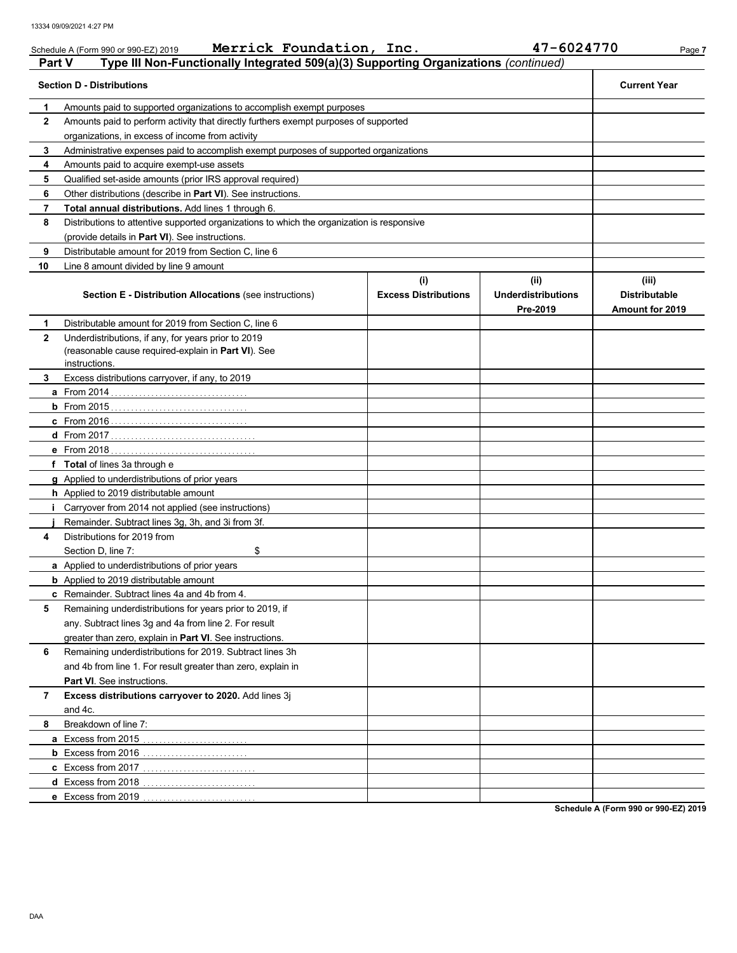|               | Merrick Foundation, Inc.<br>Schedule A (Form 990 or 990-EZ) 2019                           |                             | 47-6024770                            | Page 7                                         |
|---------------|--------------------------------------------------------------------------------------------|-----------------------------|---------------------------------------|------------------------------------------------|
| <b>Part V</b> | Type III Non-Functionally Integrated 509(a)(3) Supporting Organizations (continued)        |                             |                                       |                                                |
|               | <b>Section D - Distributions</b>                                                           |                             |                                       | <b>Current Year</b>                            |
| 1             | Amounts paid to supported organizations to accomplish exempt purposes                      |                             |                                       |                                                |
| $\mathbf{2}$  | Amounts paid to perform activity that directly furthers exempt purposes of supported       |                             |                                       |                                                |
|               | organizations, in excess of income from activity                                           |                             |                                       |                                                |
| 3             | Administrative expenses paid to accomplish exempt purposes of supported organizations      |                             |                                       |                                                |
| 4             | Amounts paid to acquire exempt-use assets                                                  |                             |                                       |                                                |
| 5             | Qualified set-aside amounts (prior IRS approval required)                                  |                             |                                       |                                                |
| 6             | Other distributions (describe in Part VI). See instructions.                               |                             |                                       |                                                |
| 7             | Total annual distributions. Add lines 1 through 6.                                         |                             |                                       |                                                |
| 8             | Distributions to attentive supported organizations to which the organization is responsive |                             |                                       |                                                |
|               | (provide details in <b>Part VI</b> ). See instructions.                                    |                             |                                       |                                                |
| 9             | Distributable amount for 2019 from Section C, line 6                                       |                             |                                       |                                                |
| 10            | Line 8 amount divided by line 9 amount                                                     |                             |                                       |                                                |
|               |                                                                                            | (i)                         | (ii)                                  | (iii)                                          |
|               | <b>Section E - Distribution Allocations (see instructions)</b>                             | <b>Excess Distributions</b> | <b>Underdistributions</b><br>Pre-2019 | <b>Distributable</b><br><b>Amount for 2019</b> |
| 1             | Distributable amount for 2019 from Section C, line 6                                       |                             |                                       |                                                |
| $\mathbf{2}$  | Underdistributions, if any, for years prior to 2019                                        |                             |                                       |                                                |
|               | (reasonable cause required-explain in Part VI). See                                        |                             |                                       |                                                |
|               | instructions.                                                                              |                             |                                       |                                                |
| 3             | Excess distributions carryover, if any, to 2019                                            |                             |                                       |                                                |
|               |                                                                                            |                             |                                       |                                                |
|               |                                                                                            |                             |                                       |                                                |
|               |                                                                                            |                             |                                       |                                                |
|               |                                                                                            |                             |                                       |                                                |
|               |                                                                                            |                             |                                       |                                                |
|               | f Total of lines 3a through e                                                              |                             |                                       |                                                |
|               | <b>g</b> Applied to underdistributions of prior years                                      |                             |                                       |                                                |
|               | h Applied to 2019 distributable amount                                                     |                             |                                       |                                                |
| т.            | Carryover from 2014 not applied (see instructions)                                         |                             |                                       |                                                |
|               | Remainder. Subtract lines 3g, 3h, and 3i from 3f.                                          |                             |                                       |                                                |
| 4             | Distributions for 2019 from                                                                |                             |                                       |                                                |
|               | Section D. line 7:<br>\$                                                                   |                             |                                       |                                                |
|               | <b>a</b> Applied to underdistributions of prior years                                      |                             |                                       |                                                |
|               | <b>b</b> Applied to 2019 distributable amount                                              |                             |                                       |                                                |
|               | c Remainder. Subtract lines 4a and 4b from 4.                                              |                             |                                       |                                                |
| 5             | Remaining underdistributions for years prior to 2019, if                                   |                             |                                       |                                                |
|               | any. Subtract lines 3g and 4a from line 2. For result                                      |                             |                                       |                                                |
|               | greater than zero, explain in Part VI. See instructions.                                   |                             |                                       |                                                |
| 6             | Remaining underdistributions for 2019. Subtract lines 3h                                   |                             |                                       |                                                |
|               | and 4b from line 1. For result greater than zero, explain in                               |                             |                                       |                                                |
|               | Part VI. See instructions.                                                                 |                             |                                       |                                                |
| 7             | Excess distributions carryover to 2020. Add lines 3j                                       |                             |                                       |                                                |
|               | and 4c.                                                                                    |                             |                                       |                                                |
| 8             | Breakdown of line 7:                                                                       |                             |                                       |                                                |
|               |                                                                                            |                             |                                       |                                                |
|               |                                                                                            |                             |                                       |                                                |
|               |                                                                                            |                             |                                       |                                                |
|               |                                                                                            |                             |                                       |                                                |
|               | <b>e</b> Excess from 2019                                                                  |                             |                                       |                                                |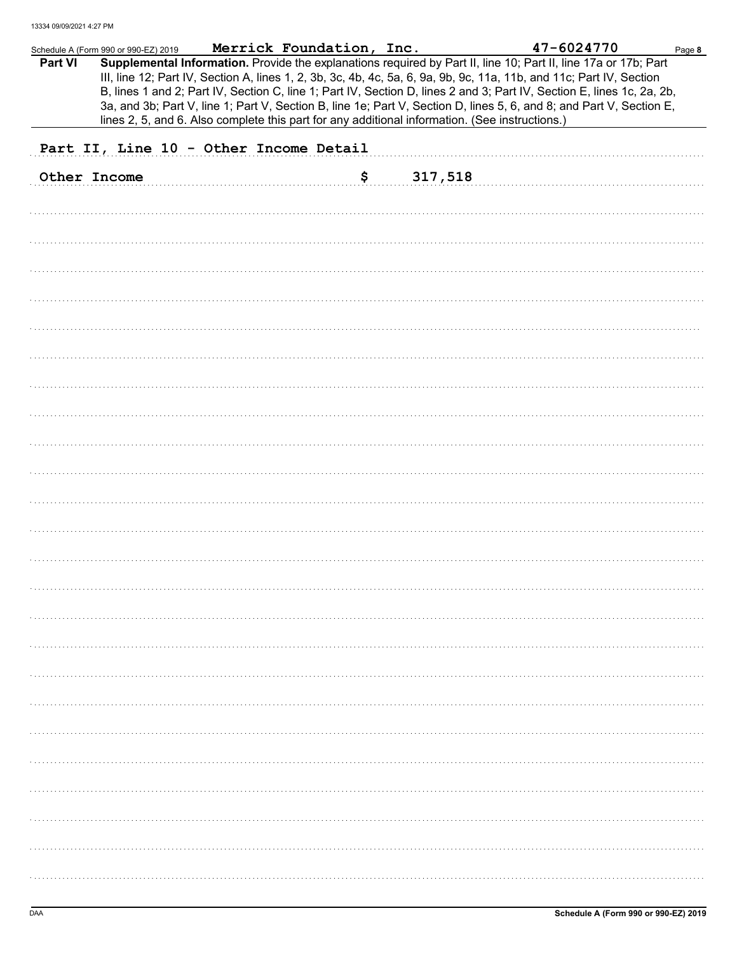|         | Schedule A (Form 990 or 990-EZ) 2019   | Merrick Foundation, Inc. |                                                                                                | 47-6024770                                                                                                                                                                                                                                                                                                                                                                                                                                                                                | Page 8 |
|---------|----------------------------------------|--------------------------|------------------------------------------------------------------------------------------------|-------------------------------------------------------------------------------------------------------------------------------------------------------------------------------------------------------------------------------------------------------------------------------------------------------------------------------------------------------------------------------------------------------------------------------------------------------------------------------------------|--------|
| Part VI |                                        |                          | lines 2, 5, and 6. Also complete this part for any additional information. (See instructions.) | Supplemental Information. Provide the explanations required by Part II, line 10; Part II, line 17a or 17b; Part<br>III, line 12; Part IV, Section A, lines 1, 2, 3b, 3c, 4b, 4c, 5a, 6, 9a, 9b, 9c, 11a, 11b, and 11c; Part IV, Section<br>B, lines 1 and 2; Part IV, Section C, line 1; Part IV, Section D, lines 2 and 3; Part IV, Section E, lines 1c, 2a, 2b,<br>3a, and 3b; Part V, line 1; Part V, Section B, line 1e; Part V, Section D, lines 5, 6, and 8; and Part V, Section E, |        |
|         | Part II, Line 10 - Other Income Detail |                          |                                                                                                |                                                                                                                                                                                                                                                                                                                                                                                                                                                                                           |        |
|         | Other Income                           | \$                       | 317,518                                                                                        |                                                                                                                                                                                                                                                                                                                                                                                                                                                                                           |        |
|         |                                        |                          |                                                                                                |                                                                                                                                                                                                                                                                                                                                                                                                                                                                                           |        |
|         |                                        |                          |                                                                                                |                                                                                                                                                                                                                                                                                                                                                                                                                                                                                           |        |
|         |                                        |                          |                                                                                                |                                                                                                                                                                                                                                                                                                                                                                                                                                                                                           |        |
|         |                                        |                          |                                                                                                |                                                                                                                                                                                                                                                                                                                                                                                                                                                                                           |        |
|         |                                        |                          |                                                                                                |                                                                                                                                                                                                                                                                                                                                                                                                                                                                                           |        |
|         |                                        |                          |                                                                                                |                                                                                                                                                                                                                                                                                                                                                                                                                                                                                           |        |
|         |                                        |                          |                                                                                                |                                                                                                                                                                                                                                                                                                                                                                                                                                                                                           |        |
|         |                                        |                          |                                                                                                |                                                                                                                                                                                                                                                                                                                                                                                                                                                                                           |        |
|         |                                        |                          |                                                                                                |                                                                                                                                                                                                                                                                                                                                                                                                                                                                                           |        |
|         |                                        |                          |                                                                                                |                                                                                                                                                                                                                                                                                                                                                                                                                                                                                           |        |
|         |                                        |                          |                                                                                                |                                                                                                                                                                                                                                                                                                                                                                                                                                                                                           |        |
|         |                                        |                          |                                                                                                |                                                                                                                                                                                                                                                                                                                                                                                                                                                                                           |        |
|         |                                        |                          |                                                                                                |                                                                                                                                                                                                                                                                                                                                                                                                                                                                                           |        |
|         |                                        |                          |                                                                                                |                                                                                                                                                                                                                                                                                                                                                                                                                                                                                           |        |
|         |                                        |                          |                                                                                                |                                                                                                                                                                                                                                                                                                                                                                                                                                                                                           |        |
|         |                                        |                          |                                                                                                |                                                                                                                                                                                                                                                                                                                                                                                                                                                                                           |        |
|         |                                        |                          |                                                                                                |                                                                                                                                                                                                                                                                                                                                                                                                                                                                                           |        |
|         |                                        |                          |                                                                                                |                                                                                                                                                                                                                                                                                                                                                                                                                                                                                           |        |
|         |                                        |                          |                                                                                                |                                                                                                                                                                                                                                                                                                                                                                                                                                                                                           |        |
|         |                                        |                          |                                                                                                |                                                                                                                                                                                                                                                                                                                                                                                                                                                                                           |        |
|         |                                        |                          |                                                                                                |                                                                                                                                                                                                                                                                                                                                                                                                                                                                                           |        |
|         |                                        |                          |                                                                                                |                                                                                                                                                                                                                                                                                                                                                                                                                                                                                           |        |
|         |                                        |                          |                                                                                                |                                                                                                                                                                                                                                                                                                                                                                                                                                                                                           |        |
|         |                                        |                          |                                                                                                |                                                                                                                                                                                                                                                                                                                                                                                                                                                                                           |        |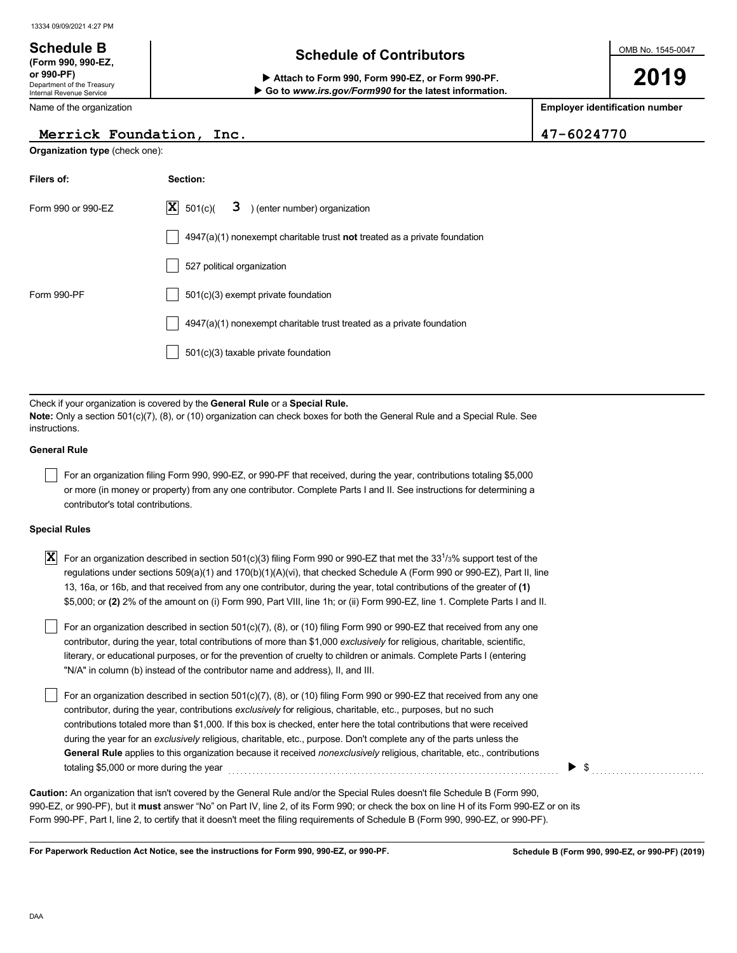Department of the Treasury Internal Revenue Service

**(Form 990, 990-EZ,**

## **Schedule of Contributors Schedule B**

**or 990-PF) Attach to Form 990, Form 990-EZ, or Form 990-PF. Go to** *www.irs.gov/Form990* **for the latest information.** OMB No. 1545-0047

**2019**

**Employer identification number**

|  | Name of the organization |
|--|--------------------------|
|--|--------------------------|

### **Merrick Foundation, Inc. 47-6024770**

**Organization type** (check one):

| Filers of:         | Section:                                                                    |  |  |  |  |  |  |
|--------------------|-----------------------------------------------------------------------------|--|--|--|--|--|--|
| Form 990 or 990-EZ | $ \mathbf{X} $ 501(c)( $3$ ) (enter number) organization                    |  |  |  |  |  |  |
|                    | $4947(a)(1)$ nonexempt charitable trust not treated as a private foundation |  |  |  |  |  |  |
|                    | 527 political organization                                                  |  |  |  |  |  |  |
| Form 990-PF        | 501(c)(3) exempt private foundation                                         |  |  |  |  |  |  |
|                    | 4947(a)(1) nonexempt charitable trust treated as a private foundation       |  |  |  |  |  |  |
|                    | 501(c)(3) taxable private foundation                                        |  |  |  |  |  |  |

Check if your organization is covered by the **General Rule** or a **Special Rule. Note:** Only a section 501(c)(7), (8), or (10) organization can check boxes for both the General Rule and a Special Rule. See **instructions** 

### **General Rule**

 $|\;\;|$  For an organization filing Form 990, 990-EZ, or 990-PF that received, during the year, contributions totaling \$5,000 or more (in money or property) from any one contributor. Complete Parts I and II. See instructions for determining a contributor's total contributions.

### **Special Rules**

 $\bar{\bm{\mathrm{X}}}$  For an organization described in section 501(c)(3) filing Form 990 or 990-EZ that met the 33<sup>1</sup>/3% support test of the regulations under sections 509(a)(1) and 170(b)(1)(A)(vi), that checked Schedule A (Form 990 or 990-EZ), Part II, line 13, 16a, or 16b, and that received from any one contributor, during the year, total contributions of the greater of **(1)** \$5,000; or **(2)** 2% of the amount on (i) Form 990, Part VIII, line 1h; or (ii) Form 990-EZ, line 1. Complete Parts I and II.

literary, or educational purposes, or for the prevention of cruelty to children or animals. Complete Parts I (entering For an organization described in section 501(c)(7), (8), or (10) filing Form 990 or 990-EZ that received from any one contributor, during the year, total contributions of more than \$1,000 *exclusively* for religious, charitable, scientific, "N/A" in column (b) instead of the contributor name and address), II, and III.

For an organization described in section 501(c)(7), (8), or (10) filing Form 990 or 990-EZ that received from any one contributor, during the year, contributions *exclusively* for religious, charitable, etc., purposes, but no such contributions totaled more than \$1,000. If this box is checked, enter here the total contributions that were received during the year for an *exclusively* religious, charitable, etc., purpose. Don't complete any of the parts unless the **General Rule** applies to this organization because it received *nonexclusively* religious, charitable, etc., contributions totaling \$5,000 or more during the year . . . . . . . . . . . . . . . . . . . . . . . . . . . . . . . . . . . . . . . . . . . . . . . . . . . . . . . . . . . . . . . . . . . . . . . . . . . . . . . . . .

990-EZ, or 990-PF), but it **must** answer "No" on Part IV, line 2, of its Form 990; or check the box on line H of its Form 990-EZ or on its Form 990-PF, Part I, line 2, to certify that it doesn't meet the filing requirements of Schedule B (Form 990, 990-EZ, or 990-PF). **Caution:** An organization that isn't covered by the General Rule and/or the Special Rules doesn't file Schedule B (Form 990,

**For Paperwork Reduction Act Notice, see the instructions for Form 990, 990-EZ, or 990-PF.**

▶

\$ . . . . . . . . . . . . . . . . . . . . . . . . . . . .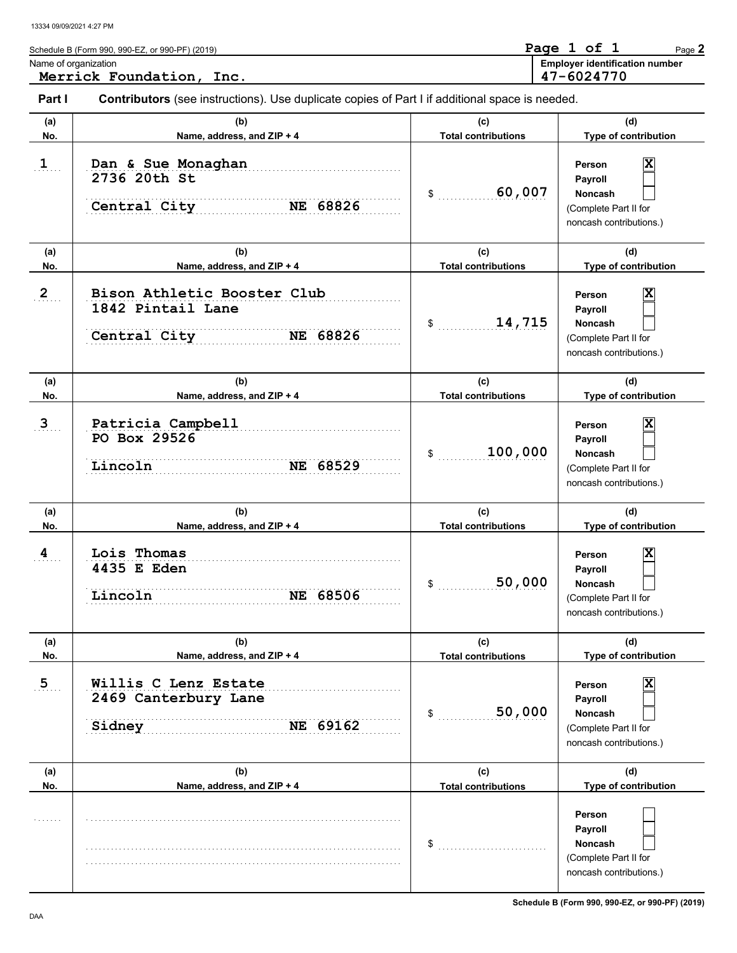| Name of organization  | Schedule B (Form 990, 990-EZ, or 990-PF) (2019)                                                       |                                   | Page 1 of 1<br>Page 2<br><b>Employer identification number</b>                                           |
|-----------------------|-------------------------------------------------------------------------------------------------------|-----------------------------------|----------------------------------------------------------------------------------------------------------|
|                       | Merrick Foundation, Inc.                                                                              |                                   | 47-6024770                                                                                               |
| Part I                | <b>Contributors</b> (see instructions). Use duplicate copies of Part I if additional space is needed. |                                   |                                                                                                          |
| (a)<br>No.            | (b)<br>Name, address, and ZIP + 4                                                                     | (c)<br><b>Total contributions</b> | (d)<br>Type of contribution                                                                              |
| $\mathbf{1}_{\ldots}$ | Dan & Sue Monaghan<br>2736 20th St<br>Central City<br>NE 68826                                        | 60,007<br>\$                      | X<br>Person<br>Payroll<br>Noncash<br>(Complete Part II for<br>noncash contributions.)                    |
| (a)<br>No.            | (b)<br>Name, address, and ZIP + 4                                                                     | (c)<br><b>Total contributions</b> | (d)<br>Type of contribution                                                                              |
| $2_{\ldots}$          | Bison Athletic Booster Club<br>1842 Pintail Lane<br>Central City<br>NE 68826                          | 14,715<br>\$                      | X<br>Person<br>Payroll<br>Noncash<br>(Complete Part II for<br>noncash contributions.)                    |
| (a)<br>No.            | (b)<br>Name, address, and ZIP + 4                                                                     | (c)<br><b>Total contributions</b> | (d)<br>Type of contribution                                                                              |
| $3_{\ldots}$          | Patricia Campbell<br>PO Box 29526<br>Lincoln<br>NE 68529                                              | 100,000<br>\$                     | X<br>Person<br>Payroll<br>Noncash<br>(Complete Part II for<br>noncash contributions.)                    |
| (a)<br>No.            | (b)<br>Name, address, and ZIP + 4                                                                     | (c)<br><b>Total contributions</b> | (d)<br>Type of contribution                                                                              |
| 4                     | Lois Thomas<br>4435 E Eden<br>Lincoln<br>NE 68506                                                     | 50,000<br>\$                      | X<br>Person<br><b>Payroll</b><br>Noncash<br>(Complete Part II for<br>noncash contributions.)             |
| (a)<br>No.            | (b)<br>Name, address, and ZIP + 4                                                                     | (c)<br><b>Total contributions</b> | (d)<br>Type of contribution                                                                              |
| $\overline{5}$        | Willis C Lenz Estate<br>2469 Canterbury Lane<br>Sidney<br>NE 69162                                    | 50,000<br>\$                      | Person<br>Payroll<br><b>Noncash</b><br>(Complete Part II for<br>noncash contributions.)                  |
| (a)                   | (b)                                                                                                   | (c)                               | (d)                                                                                                      |
| No.                   | Name, address, and ZIP + 4                                                                            | <b>Total contributions</b><br>\$  | Type of contribution<br>Person<br>Payroll<br>Noncash<br>(Complete Part II for<br>noncash contributions.) |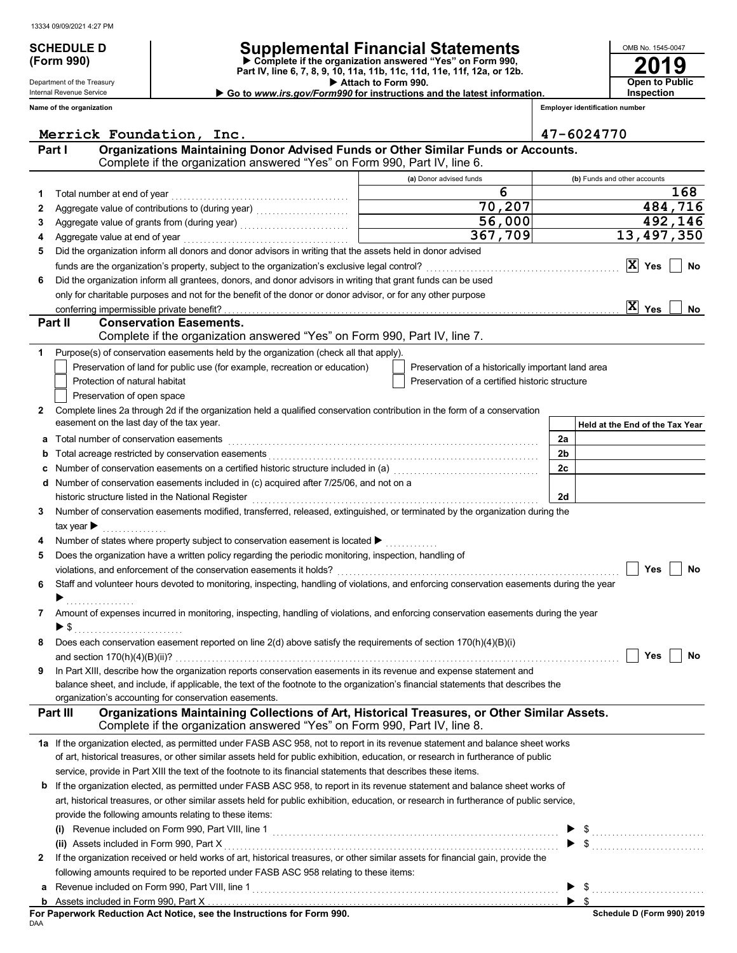Department of the Treasury Internal Revenue Service

**(Form 990)**

## **SCHEDULE D Supplemental Financial Statements**

 **Attach to Form 990. Part IV, line 6, 7, 8, 9, 10, 11a, 11b, 11c, 11d, 11e, 11f, 12a, or 12b. Complete if the organization answered "Yes" on Form 990,** ▶ Go to www.irs.gov/Form990 for instructions and the latest information.

**Employer identification number**

**2019**

**Open to Public Inspection**

OMB No. 1545-0047

|   | Name of the organization                                                                                                                                                                             | <b>Employer identification number</b>                                                        |                                                                                                                                                                                                                                |  |  |  |
|---|------------------------------------------------------------------------------------------------------------------------------------------------------------------------------------------------------|----------------------------------------------------------------------------------------------|--------------------------------------------------------------------------------------------------------------------------------------------------------------------------------------------------------------------------------|--|--|--|
|   |                                                                                                                                                                                                      |                                                                                              | 47-6024770                                                                                                                                                                                                                     |  |  |  |
|   | Merrick Foundation, Inc.<br>Organizations Maintaining Donor Advised Funds or Other Similar Funds or Accounts.<br>Part I<br>Complete if the organization answered "Yes" on Form 990, Part IV, line 6. |                                                                                              |                                                                                                                                                                                                                                |  |  |  |
|   |                                                                                                                                                                                                      | (a) Donor advised funds                                                                      | (b) Funds and other accounts                                                                                                                                                                                                   |  |  |  |
| 1 | Total number at end of year                                                                                                                                                                          | 6                                                                                            | 168                                                                                                                                                                                                                            |  |  |  |
| 2 |                                                                                                                                                                                                      | 70,207                                                                                       | 484,716                                                                                                                                                                                                                        |  |  |  |
| 3 |                                                                                                                                                                                                      | 56,000<br>$\overline{\phantom{a}}$ and $\overline{\phantom{a}}$ and $\overline{\phantom{a}}$ | 492,146                                                                                                                                                                                                                        |  |  |  |
| 4 |                                                                                                                                                                                                      | 367,709                                                                                      | 13,497,350                                                                                                                                                                                                                     |  |  |  |
| 5 | Did the organization inform all donors and donor advisors in writing that the assets held in donor advised                                                                                           |                                                                                              |                                                                                                                                                                                                                                |  |  |  |
|   |                                                                                                                                                                                                      |                                                                                              | $ X $ Yes<br>No                                                                                                                                                                                                                |  |  |  |
| 6 | Did the organization inform all grantees, donors, and donor advisors in writing that grant funds can be used                                                                                         |                                                                                              |                                                                                                                                                                                                                                |  |  |  |
|   | only for charitable purposes and not for the benefit of the donor or donor advisor, or for any other purpose                                                                                         |                                                                                              |                                                                                                                                                                                                                                |  |  |  |
|   |                                                                                                                                                                                                      |                                                                                              | $X$ Yes<br>No                                                                                                                                                                                                                  |  |  |  |
|   | Part II<br><b>Conservation Easements.</b>                                                                                                                                                            |                                                                                              |                                                                                                                                                                                                                                |  |  |  |
|   | Complete if the organization answered "Yes" on Form 990, Part IV, line 7.                                                                                                                            |                                                                                              |                                                                                                                                                                                                                                |  |  |  |
|   | Purpose(s) of conservation easements held by the organization (check all that apply).                                                                                                                |                                                                                              |                                                                                                                                                                                                                                |  |  |  |
|   | Preservation of land for public use (for example, recreation or education)                                                                                                                           | Preservation of a historically important land area                                           |                                                                                                                                                                                                                                |  |  |  |
|   | Protection of natural habitat                                                                                                                                                                        | Preservation of a certified historic structure                                               |                                                                                                                                                                                                                                |  |  |  |
|   | Preservation of open space                                                                                                                                                                           |                                                                                              |                                                                                                                                                                                                                                |  |  |  |
| 2 | Complete lines 2a through 2d if the organization held a qualified conservation contribution in the form of a conservation                                                                            |                                                                                              |                                                                                                                                                                                                                                |  |  |  |
|   | easement on the last day of the tax year.                                                                                                                                                            |                                                                                              | Held at the End of the Tax Year                                                                                                                                                                                                |  |  |  |
| а |                                                                                                                                                                                                      |                                                                                              | 2a                                                                                                                                                                                                                             |  |  |  |
| b |                                                                                                                                                                                                      |                                                                                              | 2 <sub>b</sub>                                                                                                                                                                                                                 |  |  |  |
| с |                                                                                                                                                                                                      |                                                                                              | 2c                                                                                                                                                                                                                             |  |  |  |
| d | Number of conservation easements included in (c) acquired after 7/25/06, and not on a                                                                                                                |                                                                                              |                                                                                                                                                                                                                                |  |  |  |
|   | historic structure listed in the National Register                                                                                                                                                   |                                                                                              | 2d                                                                                                                                                                                                                             |  |  |  |
| 3 | Number of conservation easements modified, transferred, released, extinguished, or terminated by the organization during the                                                                         |                                                                                              |                                                                                                                                                                                                                                |  |  |  |
|   | tax year $\blacktriangleright$                                                                                                                                                                       |                                                                                              |                                                                                                                                                                                                                                |  |  |  |
|   | Number of states where property subject to conservation easement is located ▶                                                                                                                        |                                                                                              |                                                                                                                                                                                                                                |  |  |  |
| 5 | Does the organization have a written policy regarding the periodic monitoring, inspection, handling of                                                                                               |                                                                                              |                                                                                                                                                                                                                                |  |  |  |
|   | violations, and enforcement of the conservation easements it holds?                                                                                                                                  |                                                                                              | Yes<br>No                                                                                                                                                                                                                      |  |  |  |
| 6 | Staff and volunteer hours devoted to monitoring, inspecting, handling of violations, and enforcing conservation easements during the year                                                            |                                                                                              |                                                                                                                                                                                                                                |  |  |  |
| 7 | Amount of expenses incurred in monitoring, inspecting, handling of violations, and enforcing conservation easements during the year<br>▶ \$                                                          |                                                                                              |                                                                                                                                                                                                                                |  |  |  |
|   | Does each conservation easement reported on line 2(d) above satisfy the requirements of section 170(h)(4)(B)(i)                                                                                      |                                                                                              |                                                                                                                                                                                                                                |  |  |  |
|   | and section $170(h)(4)(B)(ii)$ ?                                                                                                                                                                     |                                                                                              | Yes<br>No                                                                                                                                                                                                                      |  |  |  |
| 9 | In Part XIII, describe how the organization reports conservation easements in its revenue and expense statement and                                                                                  |                                                                                              |                                                                                                                                                                                                                                |  |  |  |
|   | balance sheet, and include, if applicable, the text of the footnote to the organization's financial statements that describes the                                                                    |                                                                                              |                                                                                                                                                                                                                                |  |  |  |
|   | organization's accounting for conservation easements.                                                                                                                                                |                                                                                              |                                                                                                                                                                                                                                |  |  |  |
|   | Organizations Maintaining Collections of Art, Historical Treasures, or Other Similar Assets.<br><b>Part III</b><br>Complete if the organization answered "Yes" on Form 990, Part IV, line 8.         |                                                                                              |                                                                                                                                                                                                                                |  |  |  |
|   | 1a If the organization elected, as permitted under FASB ASC 958, not to report in its revenue statement and balance sheet works                                                                      |                                                                                              |                                                                                                                                                                                                                                |  |  |  |
|   | of art, historical treasures, or other similar assets held for public exhibition, education, or research in furtherance of public                                                                    |                                                                                              |                                                                                                                                                                                                                                |  |  |  |
|   | service, provide in Part XIII the text of the footnote to its financial statements that describes these items.                                                                                       |                                                                                              |                                                                                                                                                                                                                                |  |  |  |
| b | If the organization elected, as permitted under FASB ASC 958, to report in its revenue statement and balance sheet works of                                                                          |                                                                                              |                                                                                                                                                                                                                                |  |  |  |
|   | art, historical treasures, or other similar assets held for public exhibition, education, or research in furtherance of public service,                                                              |                                                                                              |                                                                                                                                                                                                                                |  |  |  |
|   | provide the following amounts relating to these items:                                                                                                                                               |                                                                                              |                                                                                                                                                                                                                                |  |  |  |
|   | (i)                                                                                                                                                                                                  |                                                                                              |                                                                                                                                                                                                                                |  |  |  |
|   | (ii) Assets included in Form 990, Part X                                                                                                                                                             |                                                                                              | and the complete state of the complete state of the complete state of the complete state of the complete state of the complete state of the complete state of the complete state of the complete state of the complete state o |  |  |  |
| 2 | If the organization received or held works of art, historical treasures, or other similar assets for financial gain, provide the                                                                     |                                                                                              |                                                                                                                                                                                                                                |  |  |  |
|   | following amounts required to be reported under FASB ASC 958 relating to these items:                                                                                                                |                                                                                              |                                                                                                                                                                                                                                |  |  |  |
| a | Revenue included on Form 990, Part VIII, line 1                                                                                                                                                      |                                                                                              | $\frac{1}{2}$<br>▶                                                                                                                                                                                                             |  |  |  |
|   |                                                                                                                                                                                                      |                                                                                              |                                                                                                                                                                                                                                |  |  |  |

|     | For Paperwork Reduction Act Notice, see the Instructions for Form 990. |
|-----|------------------------------------------------------------------------|
| DAA |                                                                        |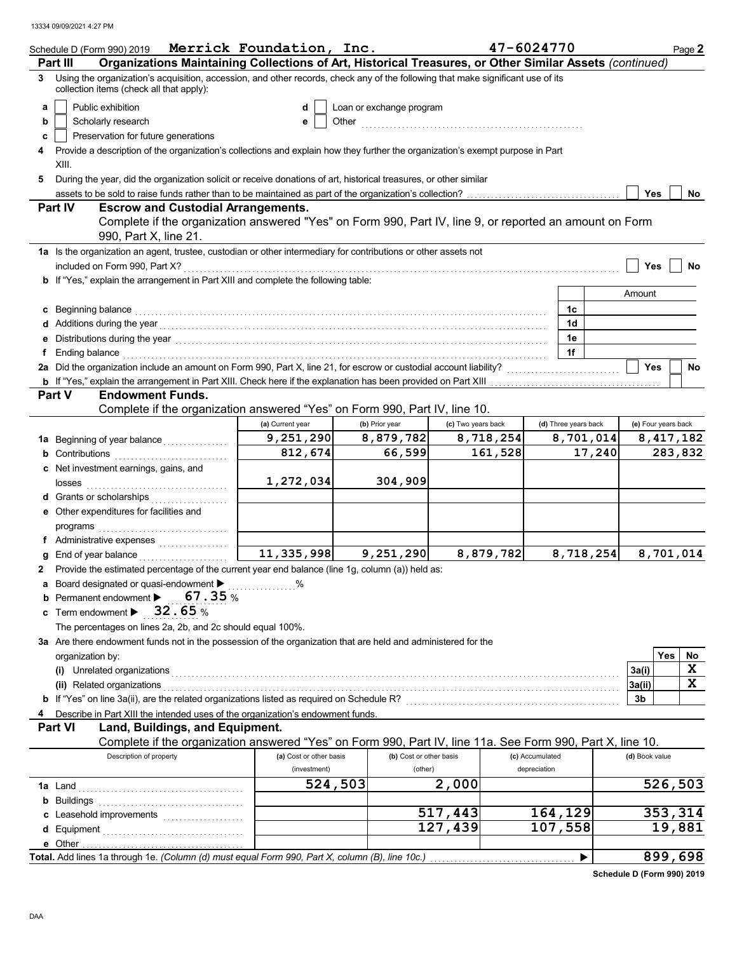|   | Schedule D (Form 990) 2019                                                                                                                                                                                                      | Merrick Foundation, Inc. |                          |                    | 47-6024770           |        |                     | Page 2    |
|---|---------------------------------------------------------------------------------------------------------------------------------------------------------------------------------------------------------------------------------|--------------------------|--------------------------|--------------------|----------------------|--------|---------------------|-----------|
|   | Organizations Maintaining Collections of Art, Historical Treasures, or Other Similar Assets (continued)<br><b>Part III</b>                                                                                                      |                          |                          |                    |                      |        |                     |           |
| 3 | Using the organization's acquisition, accession, and other records, check any of the following that make significant use of its<br>collection items (check all that apply):                                                     |                          |                          |                    |                      |        |                     |           |
| a | Public exhibition                                                                                                                                                                                                               | d                        | Loan or exchange program |                    |                      |        |                     |           |
| b | Scholarly research                                                                                                                                                                                                              | е                        |                          |                    |                      |        |                     |           |
| c | Preservation for future generations                                                                                                                                                                                             |                          |                          |                    |                      |        |                     |           |
|   | Provide a description of the organization's collections and explain how they further the organization's exempt purpose in Part                                                                                                  |                          |                          |                    |                      |        |                     |           |
|   | XIII.                                                                                                                                                                                                                           |                          |                          |                    |                      |        |                     |           |
| 5 | During the year, did the organization solicit or receive donations of art, historical treasures, or other similar                                                                                                               |                          |                          |                    |                      |        |                     |           |
|   |                                                                                                                                                                                                                                 |                          |                          |                    |                      |        | Yes                 | No        |
|   | <b>Part IV</b><br><b>Escrow and Custodial Arrangements.</b>                                                                                                                                                                     |                          |                          |                    |                      |        |                     |           |
|   | Complete if the organization answered "Yes" on Form 990, Part IV, line 9, or reported an amount on Form<br>990, Part X, line 21.                                                                                                |                          |                          |                    |                      |        |                     |           |
|   | 1a Is the organization an agent, trustee, custodian or other intermediary for contributions or other assets not                                                                                                                 |                          |                          |                    |                      |        |                     |           |
|   | included on Form 990, Part X?                                                                                                                                                                                                   |                          |                          |                    |                      |        | <b>Yes</b>          | No        |
|   | <b>b</b> If "Yes," explain the arrangement in Part XIII and complete the following table:                                                                                                                                       |                          |                          |                    |                      |        |                     |           |
|   |                                                                                                                                                                                                                                 |                          |                          |                    |                      | Amount |                     |           |
| c | Beginning balance                                                                                                                                                                                                               |                          |                          |                    | 1c                   |        |                     |           |
|   | Additions during the year<br>interaction continuous continuous continuous continuous contractions and the year of the set of the set of the set of the set of the set of the set of the set of the set of the set of the set of |                          |                          |                    | 1d                   |        |                     |           |
|   | Distributions during the year [1, 1, 2010] [1, 2010] [1, 2010] [1, 2010] [1, 2010] [1, 2010] [1, 2010] [1, 2010                                                                                                                 |                          |                          |                    | 1e                   |        |                     |           |
|   | Ending balance with a construction of the construction of the construction of the construction of the construction of the construction of the construction of the construction of the construction of the construction of the   |                          |                          |                    | 1f                   |        |                     |           |
|   | 2a Did the organization include an amount on Form 990, Part X, line 21, for escrow or custodial account liability?                                                                                                              |                          |                          |                    |                      |        | <b>Yes</b>          | <b>No</b> |
|   |                                                                                                                                                                                                                                 |                          |                          |                    |                      |        |                     |           |
|   | <b>Endowment Funds.</b><br>Part V                                                                                                                                                                                               |                          |                          |                    |                      |        |                     |           |
|   | Complete if the organization answered "Yes" on Form 990, Part IV, line 10.                                                                                                                                                      |                          |                          |                    |                      |        |                     |           |
|   |                                                                                                                                                                                                                                 | (a) Current year         | (b) Prior year           | (c) Two years back | (d) Three years back |        | (e) Four years back |           |
|   | 1a Beginning of year balance                                                                                                                                                                                                    | 9,251,290                | 8,879,782                | 8,718,254          | 8,701,014            |        |                     | 8,417,182 |
|   |                                                                                                                                                                                                                                 | 812,674                  | 66,599                   | 161,528            |                      | 17,240 |                     | 283,832   |
|   | Net investment earnings, gains, and                                                                                                                                                                                             |                          |                          |                    |                      |        |                     |           |
|   | losses                                                                                                                                                                                                                          | 1,272,034                | 304,909                  |                    |                      |        |                     |           |
|   | Grants or scholarships<br>.                                                                                                                                                                                                     |                          |                          |                    |                      |        |                     |           |
|   | Other expenditures for facilities and                                                                                                                                                                                           |                          |                          |                    |                      |        |                     |           |
|   | programs                                                                                                                                                                                                                        |                          |                          |                    |                      |        |                     |           |
|   | f Administrative expenses                                                                                                                                                                                                       |                          |                          |                    |                      |        |                     |           |
|   | End of year balance                                                                                                                                                                                                             | 11, 335, 998             | 9,251,290                | 8,879,782          | 8,718,254            |        |                     | 8,701,014 |
| 2 | Provide the estimated percentage of the current year end balance (line 1g, column (a)) held as:                                                                                                                                 |                          |                          |                    |                      |        |                     |           |
| а | Board designated or quasi-endowment > %                                                                                                                                                                                         |                          |                          |                    |                      |        |                     |           |
|   | 67.35%<br>Permanent endowment >                                                                                                                                                                                                 |                          |                          |                    |                      |        |                     |           |
|   | 32.65%<br>Term endowment ▶                                                                                                                                                                                                      |                          |                          |                    |                      |        |                     |           |
|   | The percentages on lines 2a, 2b, and 2c should equal 100%.                                                                                                                                                                      |                          |                          |                    |                      |        |                     |           |
|   | 3a Are there endowment funds not in the possession of the organization that are held and administered for the                                                                                                                   |                          |                          |                    |                      |        |                     |           |
|   | organization by:                                                                                                                                                                                                                |                          |                          |                    |                      |        | Yes                 | No        |
|   | (i) Unrelated organizations                                                                                                                                                                                                     |                          |                          |                    |                      | 3a(i)  |                     | X         |
|   | (ii) Related organizations                                                                                                                                                                                                      |                          |                          |                    |                      | 3a(ii) |                     | X         |
|   | b If "Yes" on line 3a(ii), are the related organizations listed as required on Schedule R? [[[[[[[[[[[[[[[[[[]]]]]]                                                                                                             |                          |                          |                    |                      | 3b     |                     |           |
|   | Describe in Part XIII the intended uses of the organization's endowment funds.                                                                                                                                                  |                          |                          |                    |                      |        |                     |           |
|   | <b>Part VI</b><br>Land, Buildings, and Equipment.                                                                                                                                                                               |                          |                          |                    |                      |        |                     |           |
|   | Complete if the organization answered "Yes" on Form 990, Part IV, line 11a. See Form 990, Part X, line 10.                                                                                                                      |                          |                          |                    |                      |        |                     |           |
|   | Description of property                                                                                                                                                                                                         | (a) Cost or other basis  | (b) Cost or other basis  |                    | (c) Accumulated      |        | (d) Book value      |           |
|   |                                                                                                                                                                                                                                 | (investment)             | (other)                  |                    | depreciation         |        |                     |           |
|   | 1a Land                                                                                                                                                                                                                         | 524,503                  |                          | 2,000              |                      |        |                     | 526,503   |
| b | <b>Buildings</b>                                                                                                                                                                                                                |                          |                          |                    |                      |        |                     |           |
|   |                                                                                                                                                                                                                                 |                          |                          | 517,443            | 164,129              |        |                     | 353,314   |
| d |                                                                                                                                                                                                                                 |                          |                          | 127,439            | 107,558              |        |                     | 19,881    |
|   |                                                                                                                                                                                                                                 |                          |                          |                    |                      |        |                     |           |
|   | Total. Add lines 1a through 1e. (Column (d) must equal Form 990, Part X, column (B), line 10c.)                                                                                                                                 |                          |                          |                    | ▶                    |        |                     | 899,698   |

**Schedule D (Form 990) 2019**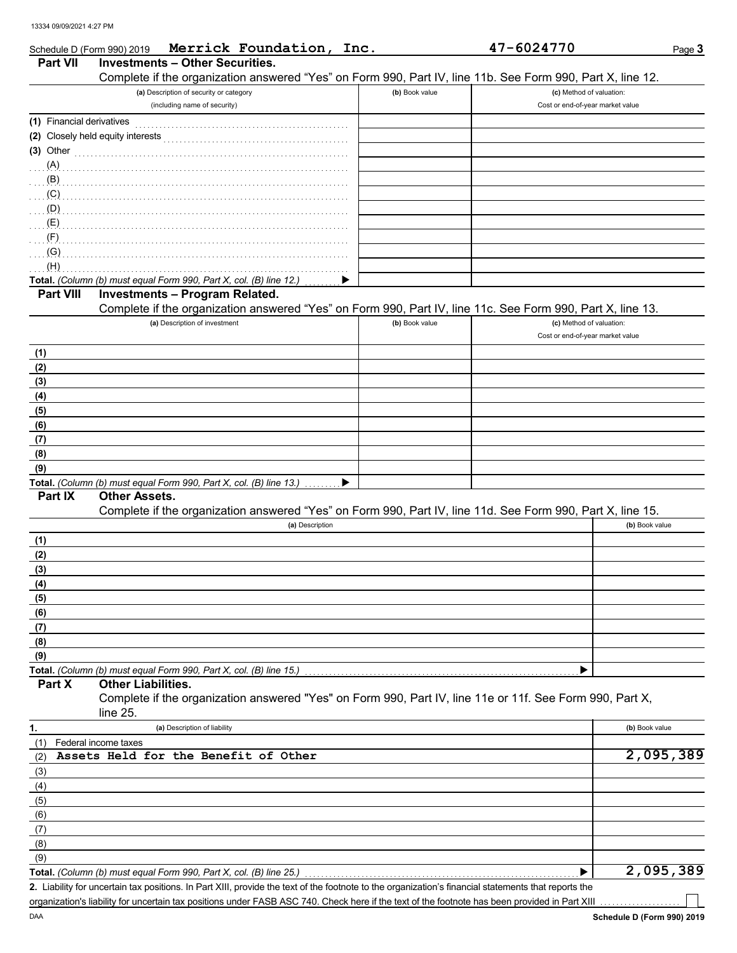DAA

| <b>Investments - Other Securities.</b><br><b>Part VII</b><br>Complete if the organization answered "Yes" on Form 990, Part IV, line 11b. See Form 990, Part X, line 12.<br>(a) Description of security or category<br>(b) Book value<br>(c) Method of valuation:<br>(including name of security)<br>Cost or end-of-year market value<br>(1) Financial derivatives<br>$(3)$ Other<br>(A)<br>(B)<br>(C)<br>(D)<br>(E)<br>(F)<br>(G)<br>(H)<br>Total. (Column (b) must equal Form 990, Part X, col. (B) line 12.)<br><b>Investments - Program Related.</b><br><b>Part VIII</b><br>Complete if the organization answered "Yes" on Form 990, Part IV, line 11c. See Form 990, Part X, line 13.<br>(a) Description of investment<br>(b) Book value<br>(c) Method of valuation:<br>Cost or end-of-year market value<br>(1)<br>(2)<br>(3)<br>(4)<br>(5)<br>(6)<br>(7)<br>(8)<br>(9)<br>Total. (Column (b) must equal Form 990, Part X, col. (B) line 13.)<br>▶<br><b>Other Assets.</b><br>Part IX<br>Complete if the organization answered "Yes" on Form 990, Part IV, line 11d. See Form 990, Part X, line 15.<br>(a) Description<br>(b) Book value<br>(1)<br>(2)<br>(3)<br>(4)<br>(5)<br>(6)<br>(7)<br>(8)<br>(9)<br>Total. (Column (b) must equal Form 990, Part X, col. (B) line 15.)<br><b>Other Liabilities.</b><br>Part X<br>Complete if the organization answered "Yes" on Form 990, Part IV, line 11e or 11f. See Form 990, Part X,<br>line $25$ .<br>(a) Description of liability<br>(b) Book value<br>1.<br>(1)<br>Federal income taxes<br>Assets Held for the Benefit of Other<br>(2)<br>(3)<br>(4)<br>(5)<br>(6)<br>(7)<br>(8)<br>(9)<br>Total. (Column (b) must equal Form 990, Part X, col. (B) line 25.)<br>2. Liability for uncertain tax positions. In Part XIII, provide the text of the footnote to the organization's financial statements that reports the | Schedule D (Form 990) 2019 |  | Merrick Foundation, Inc. |  | 47-6024770 | Page 3 |
|--------------------------------------------------------------------------------------------------------------------------------------------------------------------------------------------------------------------------------------------------------------------------------------------------------------------------------------------------------------------------------------------------------------------------------------------------------------------------------------------------------------------------------------------------------------------------------------------------------------------------------------------------------------------------------------------------------------------------------------------------------------------------------------------------------------------------------------------------------------------------------------------------------------------------------------------------------------------------------------------------------------------------------------------------------------------------------------------------------------------------------------------------------------------------------------------------------------------------------------------------------------------------------------------------------------------------------------------------------------------------------------------------------------------------------------------------------------------------------------------------------------------------------------------------------------------------------------------------------------------------------------------------------------------------------------------------------------------------------------------------------------------------------------------------------------------------------------------------------------------------|----------------------------|--|--------------------------|--|------------|--------|
| 2,095,389<br>2,095,389                                                                                                                                                                                                                                                                                                                                                                                                                                                                                                                                                                                                                                                                                                                                                                                                                                                                                                                                                                                                                                                                                                                                                                                                                                                                                                                                                                                                                                                                                                                                                                                                                                                                                                                                                                                                                                                   |                            |  |                          |  |            |        |
|                                                                                                                                                                                                                                                                                                                                                                                                                                                                                                                                                                                                                                                                                                                                                                                                                                                                                                                                                                                                                                                                                                                                                                                                                                                                                                                                                                                                                                                                                                                                                                                                                                                                                                                                                                                                                                                                          |                            |  |                          |  |            |        |
|                                                                                                                                                                                                                                                                                                                                                                                                                                                                                                                                                                                                                                                                                                                                                                                                                                                                                                                                                                                                                                                                                                                                                                                                                                                                                                                                                                                                                                                                                                                                                                                                                                                                                                                                                                                                                                                                          |                            |  |                          |  |            |        |
|                                                                                                                                                                                                                                                                                                                                                                                                                                                                                                                                                                                                                                                                                                                                                                                                                                                                                                                                                                                                                                                                                                                                                                                                                                                                                                                                                                                                                                                                                                                                                                                                                                                                                                                                                                                                                                                                          |                            |  |                          |  |            |        |
|                                                                                                                                                                                                                                                                                                                                                                                                                                                                                                                                                                                                                                                                                                                                                                                                                                                                                                                                                                                                                                                                                                                                                                                                                                                                                                                                                                                                                                                                                                                                                                                                                                                                                                                                                                                                                                                                          |                            |  |                          |  |            |        |
|                                                                                                                                                                                                                                                                                                                                                                                                                                                                                                                                                                                                                                                                                                                                                                                                                                                                                                                                                                                                                                                                                                                                                                                                                                                                                                                                                                                                                                                                                                                                                                                                                                                                                                                                                                                                                                                                          |                            |  |                          |  |            |        |
|                                                                                                                                                                                                                                                                                                                                                                                                                                                                                                                                                                                                                                                                                                                                                                                                                                                                                                                                                                                                                                                                                                                                                                                                                                                                                                                                                                                                                                                                                                                                                                                                                                                                                                                                                                                                                                                                          |                            |  |                          |  |            |        |
|                                                                                                                                                                                                                                                                                                                                                                                                                                                                                                                                                                                                                                                                                                                                                                                                                                                                                                                                                                                                                                                                                                                                                                                                                                                                                                                                                                                                                                                                                                                                                                                                                                                                                                                                                                                                                                                                          |                            |  |                          |  |            |        |
|                                                                                                                                                                                                                                                                                                                                                                                                                                                                                                                                                                                                                                                                                                                                                                                                                                                                                                                                                                                                                                                                                                                                                                                                                                                                                                                                                                                                                                                                                                                                                                                                                                                                                                                                                                                                                                                                          |                            |  |                          |  |            |        |
|                                                                                                                                                                                                                                                                                                                                                                                                                                                                                                                                                                                                                                                                                                                                                                                                                                                                                                                                                                                                                                                                                                                                                                                                                                                                                                                                                                                                                                                                                                                                                                                                                                                                                                                                                                                                                                                                          |                            |  |                          |  |            |        |
|                                                                                                                                                                                                                                                                                                                                                                                                                                                                                                                                                                                                                                                                                                                                                                                                                                                                                                                                                                                                                                                                                                                                                                                                                                                                                                                                                                                                                                                                                                                                                                                                                                                                                                                                                                                                                                                                          |                            |  |                          |  |            |        |
|                                                                                                                                                                                                                                                                                                                                                                                                                                                                                                                                                                                                                                                                                                                                                                                                                                                                                                                                                                                                                                                                                                                                                                                                                                                                                                                                                                                                                                                                                                                                                                                                                                                                                                                                                                                                                                                                          |                            |  |                          |  |            |        |
|                                                                                                                                                                                                                                                                                                                                                                                                                                                                                                                                                                                                                                                                                                                                                                                                                                                                                                                                                                                                                                                                                                                                                                                                                                                                                                                                                                                                                                                                                                                                                                                                                                                                                                                                                                                                                                                                          |                            |  |                          |  |            |        |
|                                                                                                                                                                                                                                                                                                                                                                                                                                                                                                                                                                                                                                                                                                                                                                                                                                                                                                                                                                                                                                                                                                                                                                                                                                                                                                                                                                                                                                                                                                                                                                                                                                                                                                                                                                                                                                                                          |                            |  |                          |  |            |        |
|                                                                                                                                                                                                                                                                                                                                                                                                                                                                                                                                                                                                                                                                                                                                                                                                                                                                                                                                                                                                                                                                                                                                                                                                                                                                                                                                                                                                                                                                                                                                                                                                                                                                                                                                                                                                                                                                          |                            |  |                          |  |            |        |
|                                                                                                                                                                                                                                                                                                                                                                                                                                                                                                                                                                                                                                                                                                                                                                                                                                                                                                                                                                                                                                                                                                                                                                                                                                                                                                                                                                                                                                                                                                                                                                                                                                                                                                                                                                                                                                                                          |                            |  |                          |  |            |        |
|                                                                                                                                                                                                                                                                                                                                                                                                                                                                                                                                                                                                                                                                                                                                                                                                                                                                                                                                                                                                                                                                                                                                                                                                                                                                                                                                                                                                                                                                                                                                                                                                                                                                                                                                                                                                                                                                          |                            |  |                          |  |            |        |
|                                                                                                                                                                                                                                                                                                                                                                                                                                                                                                                                                                                                                                                                                                                                                                                                                                                                                                                                                                                                                                                                                                                                                                                                                                                                                                                                                                                                                                                                                                                                                                                                                                                                                                                                                                                                                                                                          |                            |  |                          |  |            |        |
|                                                                                                                                                                                                                                                                                                                                                                                                                                                                                                                                                                                                                                                                                                                                                                                                                                                                                                                                                                                                                                                                                                                                                                                                                                                                                                                                                                                                                                                                                                                                                                                                                                                                                                                                                                                                                                                                          |                            |  |                          |  |            |        |
|                                                                                                                                                                                                                                                                                                                                                                                                                                                                                                                                                                                                                                                                                                                                                                                                                                                                                                                                                                                                                                                                                                                                                                                                                                                                                                                                                                                                                                                                                                                                                                                                                                                                                                                                                                                                                                                                          |                            |  |                          |  |            |        |
|                                                                                                                                                                                                                                                                                                                                                                                                                                                                                                                                                                                                                                                                                                                                                                                                                                                                                                                                                                                                                                                                                                                                                                                                                                                                                                                                                                                                                                                                                                                                                                                                                                                                                                                                                                                                                                                                          |                            |  |                          |  |            |        |
|                                                                                                                                                                                                                                                                                                                                                                                                                                                                                                                                                                                                                                                                                                                                                                                                                                                                                                                                                                                                                                                                                                                                                                                                                                                                                                                                                                                                                                                                                                                                                                                                                                                                                                                                                                                                                                                                          |                            |  |                          |  |            |        |
|                                                                                                                                                                                                                                                                                                                                                                                                                                                                                                                                                                                                                                                                                                                                                                                                                                                                                                                                                                                                                                                                                                                                                                                                                                                                                                                                                                                                                                                                                                                                                                                                                                                                                                                                                                                                                                                                          |                            |  |                          |  |            |        |
|                                                                                                                                                                                                                                                                                                                                                                                                                                                                                                                                                                                                                                                                                                                                                                                                                                                                                                                                                                                                                                                                                                                                                                                                                                                                                                                                                                                                                                                                                                                                                                                                                                                                                                                                                                                                                                                                          |                            |  |                          |  |            |        |
|                                                                                                                                                                                                                                                                                                                                                                                                                                                                                                                                                                                                                                                                                                                                                                                                                                                                                                                                                                                                                                                                                                                                                                                                                                                                                                                                                                                                                                                                                                                                                                                                                                                                                                                                                                                                                                                                          |                            |  |                          |  |            |        |
|                                                                                                                                                                                                                                                                                                                                                                                                                                                                                                                                                                                                                                                                                                                                                                                                                                                                                                                                                                                                                                                                                                                                                                                                                                                                                                                                                                                                                                                                                                                                                                                                                                                                                                                                                                                                                                                                          |                            |  |                          |  |            |        |
|                                                                                                                                                                                                                                                                                                                                                                                                                                                                                                                                                                                                                                                                                                                                                                                                                                                                                                                                                                                                                                                                                                                                                                                                                                                                                                                                                                                                                                                                                                                                                                                                                                                                                                                                                                                                                                                                          |                            |  |                          |  |            |        |
|                                                                                                                                                                                                                                                                                                                                                                                                                                                                                                                                                                                                                                                                                                                                                                                                                                                                                                                                                                                                                                                                                                                                                                                                                                                                                                                                                                                                                                                                                                                                                                                                                                                                                                                                                                                                                                                                          |                            |  |                          |  |            |        |
|                                                                                                                                                                                                                                                                                                                                                                                                                                                                                                                                                                                                                                                                                                                                                                                                                                                                                                                                                                                                                                                                                                                                                                                                                                                                                                                                                                                                                                                                                                                                                                                                                                                                                                                                                                                                                                                                          |                            |  |                          |  |            |        |
|                                                                                                                                                                                                                                                                                                                                                                                                                                                                                                                                                                                                                                                                                                                                                                                                                                                                                                                                                                                                                                                                                                                                                                                                                                                                                                                                                                                                                                                                                                                                                                                                                                                                                                                                                                                                                                                                          |                            |  |                          |  |            |        |
|                                                                                                                                                                                                                                                                                                                                                                                                                                                                                                                                                                                                                                                                                                                                                                                                                                                                                                                                                                                                                                                                                                                                                                                                                                                                                                                                                                                                                                                                                                                                                                                                                                                                                                                                                                                                                                                                          |                            |  |                          |  |            |        |
|                                                                                                                                                                                                                                                                                                                                                                                                                                                                                                                                                                                                                                                                                                                                                                                                                                                                                                                                                                                                                                                                                                                                                                                                                                                                                                                                                                                                                                                                                                                                                                                                                                                                                                                                                                                                                                                                          |                            |  |                          |  |            |        |
|                                                                                                                                                                                                                                                                                                                                                                                                                                                                                                                                                                                                                                                                                                                                                                                                                                                                                                                                                                                                                                                                                                                                                                                                                                                                                                                                                                                                                                                                                                                                                                                                                                                                                                                                                                                                                                                                          |                            |  |                          |  |            |        |
|                                                                                                                                                                                                                                                                                                                                                                                                                                                                                                                                                                                                                                                                                                                                                                                                                                                                                                                                                                                                                                                                                                                                                                                                                                                                                                                                                                                                                                                                                                                                                                                                                                                                                                                                                                                                                                                                          |                            |  |                          |  |            |        |
|                                                                                                                                                                                                                                                                                                                                                                                                                                                                                                                                                                                                                                                                                                                                                                                                                                                                                                                                                                                                                                                                                                                                                                                                                                                                                                                                                                                                                                                                                                                                                                                                                                                                                                                                                                                                                                                                          |                            |  |                          |  |            |        |
|                                                                                                                                                                                                                                                                                                                                                                                                                                                                                                                                                                                                                                                                                                                                                                                                                                                                                                                                                                                                                                                                                                                                                                                                                                                                                                                                                                                                                                                                                                                                                                                                                                                                                                                                                                                                                                                                          |                            |  |                          |  |            |        |
|                                                                                                                                                                                                                                                                                                                                                                                                                                                                                                                                                                                                                                                                                                                                                                                                                                                                                                                                                                                                                                                                                                                                                                                                                                                                                                                                                                                                                                                                                                                                                                                                                                                                                                                                                                                                                                                                          |                            |  |                          |  |            |        |
|                                                                                                                                                                                                                                                                                                                                                                                                                                                                                                                                                                                                                                                                                                                                                                                                                                                                                                                                                                                                                                                                                                                                                                                                                                                                                                                                                                                                                                                                                                                                                                                                                                                                                                                                                                                                                                                                          |                            |  |                          |  |            |        |
|                                                                                                                                                                                                                                                                                                                                                                                                                                                                                                                                                                                                                                                                                                                                                                                                                                                                                                                                                                                                                                                                                                                                                                                                                                                                                                                                                                                                                                                                                                                                                                                                                                                                                                                                                                                                                                                                          |                            |  |                          |  |            |        |
|                                                                                                                                                                                                                                                                                                                                                                                                                                                                                                                                                                                                                                                                                                                                                                                                                                                                                                                                                                                                                                                                                                                                                                                                                                                                                                                                                                                                                                                                                                                                                                                                                                                                                                                                                                                                                                                                          |                            |  |                          |  |            |        |
|                                                                                                                                                                                                                                                                                                                                                                                                                                                                                                                                                                                                                                                                                                                                                                                                                                                                                                                                                                                                                                                                                                                                                                                                                                                                                                                                                                                                                                                                                                                                                                                                                                                                                                                                                                                                                                                                          |                            |  |                          |  |            |        |
|                                                                                                                                                                                                                                                                                                                                                                                                                                                                                                                                                                                                                                                                                                                                                                                                                                                                                                                                                                                                                                                                                                                                                                                                                                                                                                                                                                                                                                                                                                                                                                                                                                                                                                                                                                                                                                                                          |                            |  |                          |  |            |        |
|                                                                                                                                                                                                                                                                                                                                                                                                                                                                                                                                                                                                                                                                                                                                                                                                                                                                                                                                                                                                                                                                                                                                                                                                                                                                                                                                                                                                                                                                                                                                                                                                                                                                                                                                                                                                                                                                          |                            |  |                          |  |            |        |
|                                                                                                                                                                                                                                                                                                                                                                                                                                                                                                                                                                                                                                                                                                                                                                                                                                                                                                                                                                                                                                                                                                                                                                                                                                                                                                                                                                                                                                                                                                                                                                                                                                                                                                                                                                                                                                                                          |                            |  |                          |  |            |        |
|                                                                                                                                                                                                                                                                                                                                                                                                                                                                                                                                                                                                                                                                                                                                                                                                                                                                                                                                                                                                                                                                                                                                                                                                                                                                                                                                                                                                                                                                                                                                                                                                                                                                                                                                                                                                                                                                          |                            |  |                          |  |            |        |
|                                                                                                                                                                                                                                                                                                                                                                                                                                                                                                                                                                                                                                                                                                                                                                                                                                                                                                                                                                                                                                                                                                                                                                                                                                                                                                                                                                                                                                                                                                                                                                                                                                                                                                                                                                                                                                                                          |                            |  |                          |  |            |        |
|                                                                                                                                                                                                                                                                                                                                                                                                                                                                                                                                                                                                                                                                                                                                                                                                                                                                                                                                                                                                                                                                                                                                                                                                                                                                                                                                                                                                                                                                                                                                                                                                                                                                                                                                                                                                                                                                          |                            |  |                          |  |            |        |
|                                                                                                                                                                                                                                                                                                                                                                                                                                                                                                                                                                                                                                                                                                                                                                                                                                                                                                                                                                                                                                                                                                                                                                                                                                                                                                                                                                                                                                                                                                                                                                                                                                                                                                                                                                                                                                                                          |                            |  |                          |  |            |        |
|                                                                                                                                                                                                                                                                                                                                                                                                                                                                                                                                                                                                                                                                                                                                                                                                                                                                                                                                                                                                                                                                                                                                                                                                                                                                                                                                                                                                                                                                                                                                                                                                                                                                                                                                                                                                                                                                          |                            |  |                          |  |            |        |
|                                                                                                                                                                                                                                                                                                                                                                                                                                                                                                                                                                                                                                                                                                                                                                                                                                                                                                                                                                                                                                                                                                                                                                                                                                                                                                                                                                                                                                                                                                                                                                                                                                                                                                                                                                                                                                                                          |                            |  |                          |  |            |        |
|                                                                                                                                                                                                                                                                                                                                                                                                                                                                                                                                                                                                                                                                                                                                                                                                                                                                                                                                                                                                                                                                                                                                                                                                                                                                                                                                                                                                                                                                                                                                                                                                                                                                                                                                                                                                                                                                          |                            |  |                          |  |            |        |
|                                                                                                                                                                                                                                                                                                                                                                                                                                                                                                                                                                                                                                                                                                                                                                                                                                                                                                                                                                                                                                                                                                                                                                                                                                                                                                                                                                                                                                                                                                                                                                                                                                                                                                                                                                                                                                                                          |                            |  |                          |  |            |        |
|                                                                                                                                                                                                                                                                                                                                                                                                                                                                                                                                                                                                                                                                                                                                                                                                                                                                                                                                                                                                                                                                                                                                                                                                                                                                                                                                                                                                                                                                                                                                                                                                                                                                                                                                                                                                                                                                          |                            |  |                          |  |            |        |
|                                                                                                                                                                                                                                                                                                                                                                                                                                                                                                                                                                                                                                                                                                                                                                                                                                                                                                                                                                                                                                                                                                                                                                                                                                                                                                                                                                                                                                                                                                                                                                                                                                                                                                                                                                                                                                                                          |                            |  |                          |  |            |        |

organization's liability for uncertain tax positions under FASB ASC 740. Check here if the text of the footnote has been provided in Part XIII

ヿ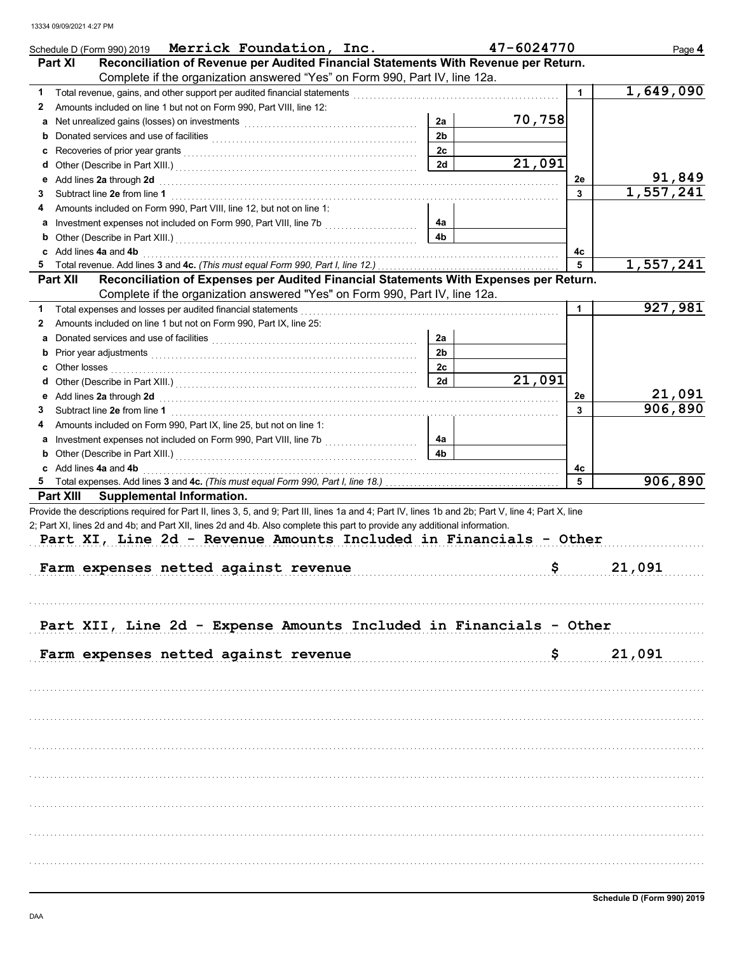| Schedule D (Form 990) 2019 Merrick Foundation, Inc.                                                                                                                                                                                      |                | 47-6024770 |         | Page 4    |
|------------------------------------------------------------------------------------------------------------------------------------------------------------------------------------------------------------------------------------------|----------------|------------|---------|-----------|
| Reconciliation of Revenue per Audited Financial Statements With Revenue per Return.<br>Part XI                                                                                                                                           |                |            |         |           |
| Complete if the organization answered "Yes" on Form 990, Part IV, line 12a.                                                                                                                                                              |                |            |         |           |
| 1                                                                                                                                                                                                                                        |                |            | 1       | 1,649,090 |
| Amounts included on line 1 but not on Form 990, Part VIII, line 12:<br>2                                                                                                                                                                 |                |            |         |           |
| a                                                                                                                                                                                                                                        | 2a             | 70,758     |         |           |
| b                                                                                                                                                                                                                                        | 2 <sub>b</sub> |            |         |           |
| c                                                                                                                                                                                                                                        | 2c             | 21,091     |         |           |
| d                                                                                                                                                                                                                                        | 2d             |            |         | 91,849    |
| Add lines 2a through 2d [11] All and the contract of the contract of the contract of the contract of the contract of the contract of the contract of the contract of the contract of the contract of the contract of the contr<br>е<br>3 |                |            | 2e<br>3 | 1,557,241 |
| Amounts included on Form 990, Part VIII, line 12, but not on line 1:<br>4                                                                                                                                                                |                |            |         |           |
| а                                                                                                                                                                                                                                        | 4a             |            |         |           |
| b                                                                                                                                                                                                                                        | 4b             |            |         |           |
| c Add lines 4a and 4b                                                                                                                                                                                                                    |                |            | 4c      |           |
| 5.                                                                                                                                                                                                                                       |                |            | 5       | 1,557,241 |
| Reconciliation of Expenses per Audited Financial Statements With Expenses per Return.<br><b>Part XII</b>                                                                                                                                 |                |            |         |           |
| Complete if the organization answered "Yes" on Form 990, Part IV, line 12a.                                                                                                                                                              |                |            |         |           |
| Total expenses and losses per audited financial statements<br>1.                                                                                                                                                                         |                |            | 1       | 927,981   |
| Amounts included on line 1 but not on Form 990, Part IX, line 25:<br>2                                                                                                                                                                   |                |            |         |           |
| a                                                                                                                                                                                                                                        | 2a             |            |         |           |
| b                                                                                                                                                                                                                                        | 2 <sub>b</sub> |            |         |           |
| Other losses<br>c                                                                                                                                                                                                                        | 2c             |            |         |           |
| Other (Describe in Part XIII.) [11] [2010] [2010] [2010] [2010] [2010] [2010] [2010] [2010] [2010] [2010] [2010] [2010] [2010] [2010] [2010] [2010] [2010] [2010] [2010] [2010] [2010] [2010] [2010] [2010] [2010] [2010] [201<br>d      | 2d             | 21,091     |         |           |
|                                                                                                                                                                                                                                          |                |            | 2e      | 21,091    |
| 3                                                                                                                                                                                                                                        |                |            | 3       | 906,890   |
| Amounts included on Form 990, Part IX, line 25, but not on line 1:<br>4                                                                                                                                                                  |                |            |         |           |
| а                                                                                                                                                                                                                                        | 4a             |            |         |           |
| b                                                                                                                                                                                                                                        | 4b             |            |         |           |
| c Add lines 4a and 4b                                                                                                                                                                                                                    |                |            | 4c      |           |
| 5<br>Part XIII Supplemental Information.                                                                                                                                                                                                 |                |            | 5       | 906,890   |
| 2; Part XI, lines 2d and 4b; and Part XII, lines 2d and 4b. Also complete this part to provide any additional information.<br>Part XI, Line 2d - Revenue Amounts Included in Financials - Other<br>Farm expenses netted against revenue  |                | \$         |         | 21,091    |
| Part XII, Line 2d - Expense Amounts Included in Financials - Other<br>Farm expenses netted against revenue                                                                                                                               |                | Ş.         |         | 21,091    |
|                                                                                                                                                                                                                                          |                |            |         |           |
|                                                                                                                                                                                                                                          |                |            |         |           |
|                                                                                                                                                                                                                                          |                |            |         |           |
|                                                                                                                                                                                                                                          |                |            |         |           |
|                                                                                                                                                                                                                                          |                |            |         |           |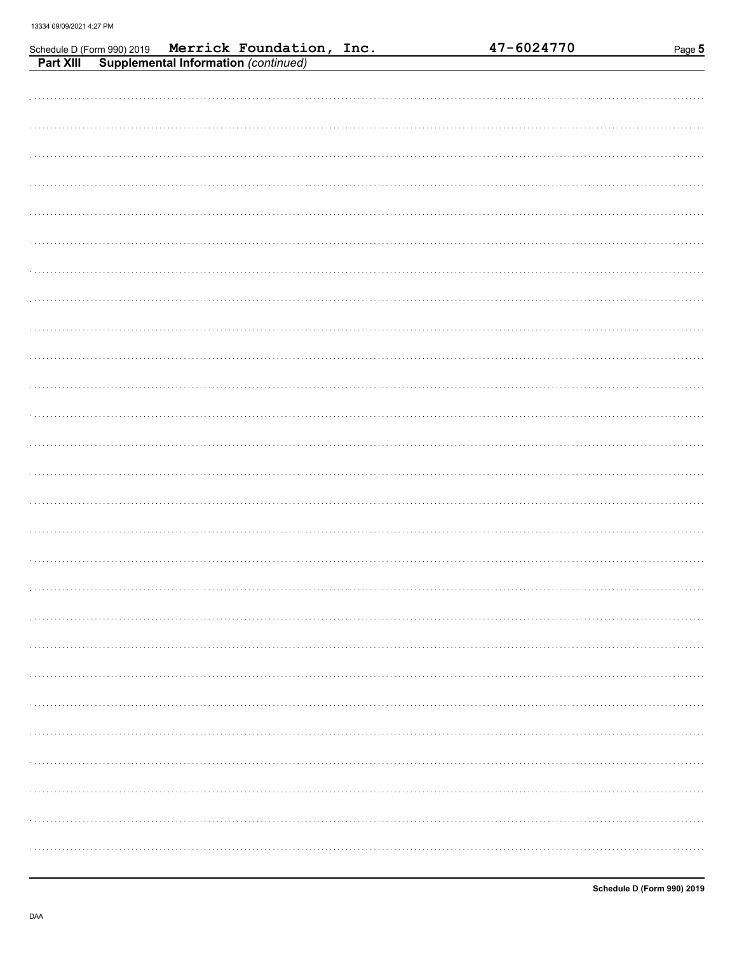|  | Schedule D (Form 990) 2019 Merrick Foundation, Inc.<br>Part XIII Supplemental Information (continued) |  | 47-6024770 | Page 5 |  |
|--|-------------------------------------------------------------------------------------------------------|--|------------|--------|--|
|  |                                                                                                       |  |            |        |  |
|  |                                                                                                       |  |            |        |  |
|  |                                                                                                       |  |            |        |  |
|  |                                                                                                       |  |            |        |  |
|  |                                                                                                       |  |            |        |  |
|  |                                                                                                       |  |            |        |  |
|  |                                                                                                       |  |            |        |  |
|  |                                                                                                       |  |            |        |  |
|  |                                                                                                       |  |            |        |  |
|  |                                                                                                       |  |            |        |  |
|  |                                                                                                       |  |            |        |  |
|  |                                                                                                       |  |            |        |  |
|  |                                                                                                       |  |            |        |  |
|  |                                                                                                       |  |            |        |  |
|  |                                                                                                       |  |            |        |  |
|  |                                                                                                       |  |            |        |  |
|  |                                                                                                       |  |            |        |  |
|  |                                                                                                       |  |            |        |  |
|  |                                                                                                       |  |            |        |  |
|  |                                                                                                       |  |            |        |  |
|  |                                                                                                       |  |            |        |  |
|  |                                                                                                       |  |            |        |  |
|  |                                                                                                       |  |            |        |  |
|  |                                                                                                       |  |            |        |  |
|  |                                                                                                       |  |            |        |  |
|  |                                                                                                       |  |            |        |  |
|  |                                                                                                       |  |            |        |  |
|  |                                                                                                       |  |            |        |  |
|  |                                                                                                       |  |            | .      |  |
|  |                                                                                                       |  |            |        |  |
|  |                                                                                                       |  |            |        |  |
|  |                                                                                                       |  |            |        |  |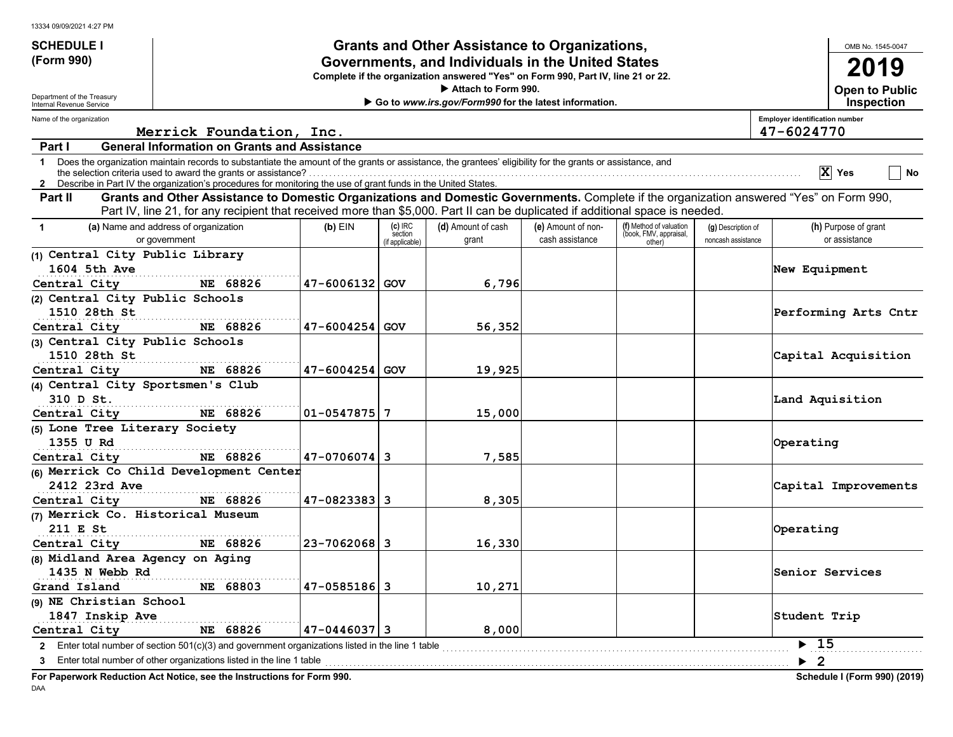| <b>Grants and Other Assistance to Organizations,</b><br><b>SCHEDULE I</b> |                                                                                                                                                                                                                                                                                 |                                                   |                                         |                                                                                  |                                       |                                                             | OMB No. 1545-0047                        |                                                     |
|---------------------------------------------------------------------------|---------------------------------------------------------------------------------------------------------------------------------------------------------------------------------------------------------------------------------------------------------------------------------|---------------------------------------------------|-----------------------------------------|----------------------------------------------------------------------------------|---------------------------------------|-------------------------------------------------------------|------------------------------------------|-----------------------------------------------------|
| (Form 990)                                                                |                                                                                                                                                                                                                                                                                 | Governments, and Individuals in the United States |                                         |                                                                                  |                                       |                                                             |                                          | 2019                                                |
|                                                                           |                                                                                                                                                                                                                                                                                 |                                                   |                                         | Complete if the organization answered "Yes" on Form 990, Part IV, line 21 or 22. |                                       |                                                             |                                          |                                                     |
| Department of the Treasury                                                |                                                                                                                                                                                                                                                                                 |                                                   |                                         | Attach to Form 990.                                                              |                                       |                                                             |                                          | <b>Open to Public</b>                               |
| Internal Revenue Service                                                  |                                                                                                                                                                                                                                                                                 |                                                   |                                         | Go to www.irs.gov/Form990 for the latest information.                            |                                       |                                                             |                                          | Inspection                                          |
| Name of the organization                                                  | Merrick Foundation, Inc.                                                                                                                                                                                                                                                        |                                                   |                                         |                                                                                  |                                       |                                                             |                                          | <b>Employer identification number</b><br>47-6024770 |
| Part I                                                                    | <b>General Information on Grants and Assistance</b>                                                                                                                                                                                                                             |                                                   |                                         |                                                                                  |                                       |                                                             |                                          |                                                     |
|                                                                           | 1 Does the organization maintain records to substantiate the amount of the grants or assistance, the grantees' eligibility for the grants or assistance, and<br>2 Describe in Part IV the organization's procedures for monitoring the use of grant funds in the United States. |                                                   |                                         |                                                                                  |                                       |                                                             |                                          | $ X $ Yes<br>No                                     |
| Part II                                                                   | Grants and Other Assistance to Domestic Organizations and Domestic Governments. Complete if the organization answered "Yes" on Form 990,                                                                                                                                        |                                                   |                                         |                                                                                  |                                       |                                                             |                                          |                                                     |
|                                                                           | Part IV, line 21, for any recipient that received more than \$5,000. Part II can be duplicated if additional space is needed.                                                                                                                                                   |                                                   |                                         |                                                                                  |                                       |                                                             |                                          |                                                     |
| $\mathbf{1}$                                                              | (a) Name and address of organization<br>or government                                                                                                                                                                                                                           | $(b)$ EIN                                         | $(c)$ IRC<br>section<br>(if applicable) | (d) Amount of cash<br>grant                                                      | (e) Amount of non-<br>cash assistance | (f) Method of valuation<br>(book, FMV, appraisal,<br>other) | (g) Description of<br>noncash assistance | (h) Purpose of grant<br>or assistance               |
| (1) Central City Public Library                                           |                                                                                                                                                                                                                                                                                 |                                                   |                                         |                                                                                  |                                       |                                                             |                                          |                                                     |
| 1604 5th Ave                                                              |                                                                                                                                                                                                                                                                                 |                                                   |                                         |                                                                                  |                                       |                                                             |                                          | New Equipment                                       |
| Central City                                                              | NE 68826                                                                                                                                                                                                                                                                        | 47-6006132 GOV                                    |                                         | 6,796                                                                            |                                       |                                                             |                                          |                                                     |
| (2) Central City Public Schools                                           |                                                                                                                                                                                                                                                                                 |                                                   |                                         |                                                                                  |                                       |                                                             |                                          |                                                     |
| 1510 28th St                                                              |                                                                                                                                                                                                                                                                                 |                                                   |                                         |                                                                                  |                                       |                                                             |                                          | Performing Arts Cntr                                |
| Central City                                                              | NE 68826                                                                                                                                                                                                                                                                        | 47-6004254 GOV                                    |                                         | 56,352                                                                           |                                       |                                                             |                                          |                                                     |
| (3) Central City Public Schools                                           |                                                                                                                                                                                                                                                                                 |                                                   |                                         |                                                                                  |                                       |                                                             |                                          |                                                     |
| 1510 28th St                                                              |                                                                                                                                                                                                                                                                                 |                                                   |                                         |                                                                                  |                                       |                                                             |                                          | Capital Acquisition                                 |
| Central City                                                              | NE 68826                                                                                                                                                                                                                                                                        | 47-6004254 GOV                                    |                                         | 19,925                                                                           |                                       |                                                             |                                          |                                                     |
| (4) Central City Sportsmen's Club                                         |                                                                                                                                                                                                                                                                                 |                                                   |                                         |                                                                                  |                                       |                                                             |                                          |                                                     |
| 310 D St.                                                                 |                                                                                                                                                                                                                                                                                 |                                                   |                                         |                                                                                  |                                       |                                                             |                                          | Land Aquisition                                     |
| Central City                                                              | NE 68826                                                                                                                                                                                                                                                                        | 01-0547875 7                                      |                                         | 15,000                                                                           |                                       |                                                             |                                          |                                                     |
| (5) Lone Tree Literary Society                                            |                                                                                                                                                                                                                                                                                 |                                                   |                                         |                                                                                  |                                       |                                                             |                                          |                                                     |
| 1355 U Rd                                                                 |                                                                                                                                                                                                                                                                                 |                                                   |                                         |                                                                                  |                                       |                                                             |                                          | Operating                                           |
| Central City                                                              | NE 68826                                                                                                                                                                                                                                                                        | 47-0706074 3                                      |                                         | 7,585                                                                            |                                       |                                                             |                                          |                                                     |
|                                                                           | (6) Merrick Co Child Development Center                                                                                                                                                                                                                                         |                                                   |                                         |                                                                                  |                                       |                                                             |                                          |                                                     |
| 2412 23rd Ave                                                             |                                                                                                                                                                                                                                                                                 |                                                   |                                         |                                                                                  |                                       |                                                             |                                          | Capital Improvements                                |
| Central City                                                              | NE 68826                                                                                                                                                                                                                                                                        | 47-0823383 3                                      |                                         | 8,305                                                                            |                                       |                                                             |                                          |                                                     |
| (7) Merrick Co. Historical Museum                                         |                                                                                                                                                                                                                                                                                 |                                                   |                                         |                                                                                  |                                       |                                                             |                                          |                                                     |
| 211 E St                                                                  |                                                                                                                                                                                                                                                                                 |                                                   |                                         |                                                                                  |                                       |                                                             |                                          | Operating                                           |
| Central City                                                              | NE 68826                                                                                                                                                                                                                                                                        | 23-7062068 3                                      |                                         | 16,330                                                                           |                                       |                                                             |                                          |                                                     |
| (8) Midland Area Agency on Aging                                          |                                                                                                                                                                                                                                                                                 |                                                   |                                         |                                                                                  |                                       |                                                             |                                          |                                                     |
| 1435 N Webb Rd                                                            |                                                                                                                                                                                                                                                                                 |                                                   |                                         |                                                                                  |                                       |                                                             |                                          | Senior Services                                     |
| Grand Island                                                              | NE 68803                                                                                                                                                                                                                                                                        | 47-0585186 3                                      |                                         | 10,271                                                                           |                                       |                                                             |                                          |                                                     |
| (9) NE Christian School                                                   |                                                                                                                                                                                                                                                                                 |                                                   |                                         |                                                                                  |                                       |                                                             |                                          |                                                     |
| 1847 Inskip Ave                                                           |                                                                                                                                                                                                                                                                                 |                                                   |                                         |                                                                                  |                                       |                                                             |                                          | Student Trip                                        |
| Central City                                                              | NE 68826                                                                                                                                                                                                                                                                        | 47-0446037 3                                      |                                         | 8,000                                                                            |                                       |                                                             |                                          |                                                     |
|                                                                           | 2 Enter total number of section 501(c)(3) and government organizations listed in the line 1 table                                                                                                                                                                               |                                                   |                                         |                                                                                  |                                       |                                                             |                                          | $\blacktriangleright$ 15                            |
|                                                                           |                                                                                                                                                                                                                                                                                 |                                                   |                                         |                                                                                  |                                       |                                                             |                                          | $\blacktriangleright$ 2                             |
|                                                                           |                                                                                                                                                                                                                                                                                 |                                                   |                                         |                                                                                  |                                       |                                                             |                                          |                                                     |

**For Paperwork Reduction Act Notice, see the Instructions for Form 990. Schedule I (Form 990) (2019)** DAA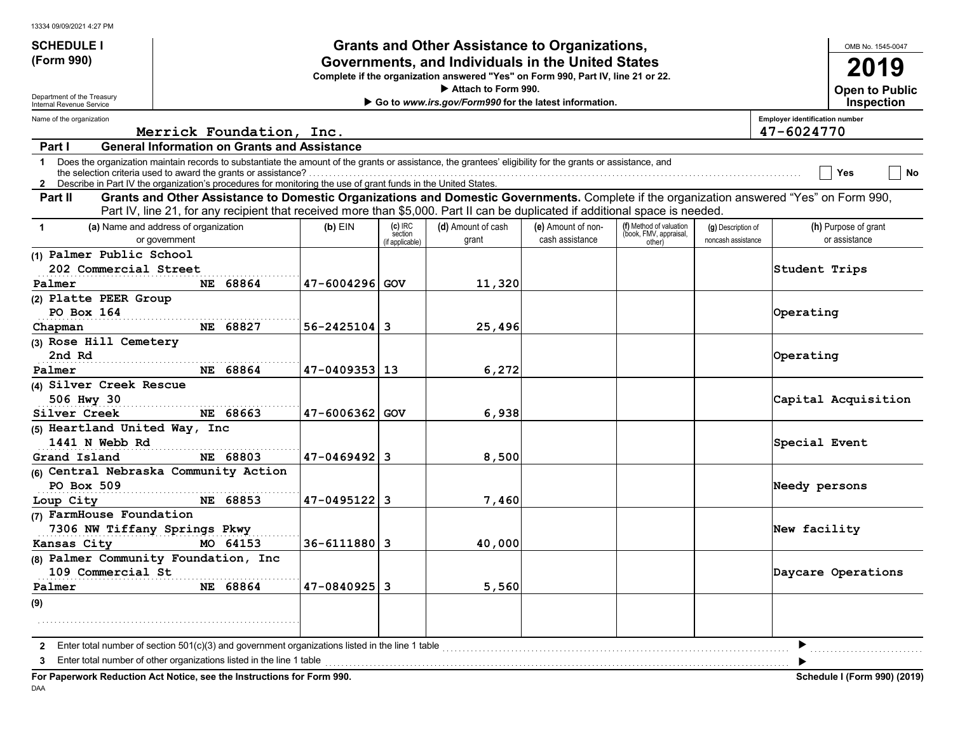| 13334 09/09/2021 4:27 PM |  |  |
|--------------------------|--|--|

| <b>SCHEDULE I</b>                                                                                                                                                                                                                                                                                                                                              |               |                                                     |                    |                                         | <b>Grants and Other Assistance to Organizations,</b>                                                                                                                                                                                                                      |                                       |                                                             |                                          |                                       | OMB No. 1545-0047                          |
|----------------------------------------------------------------------------------------------------------------------------------------------------------------------------------------------------------------------------------------------------------------------------------------------------------------------------------------------------------------|---------------|-----------------------------------------------------|--------------------|-----------------------------------------|---------------------------------------------------------------------------------------------------------------------------------------------------------------------------------------------------------------------------------------------------------------------------|---------------------------------------|-------------------------------------------------------------|------------------------------------------|---------------------------------------|--------------------------------------------|
| (Form 990)                                                                                                                                                                                                                                                                                                                                                     |               |                                                     |                    |                                         | Governments, and Individuals in the United States                                                                                                                                                                                                                         |                                       |                                                             |                                          |                                       | 2019                                       |
|                                                                                                                                                                                                                                                                                                                                                                |               |                                                     |                    |                                         | Complete if the organization answered "Yes" on Form 990, Part IV, line 21 or 22.                                                                                                                                                                                          |                                       |                                                             |                                          |                                       |                                            |
| Department of the Treasury<br>Internal Revenue Service                                                                                                                                                                                                                                                                                                         |               |                                                     |                    |                                         | Attach to Form 990.<br>Go to www.irs.gov/Form990 for the latest information.                                                                                                                                                                                              |                                       |                                                             |                                          |                                       | <b>Open to Public</b><br><b>Inspection</b> |
| Name of the organization                                                                                                                                                                                                                                                                                                                                       |               |                                                     |                    |                                         |                                                                                                                                                                                                                                                                           |                                       |                                                             |                                          | <b>Employer identification number</b> |                                            |
|                                                                                                                                                                                                                                                                                                                                                                |               | Merrick Foundation, Inc.                            |                    |                                         |                                                                                                                                                                                                                                                                           |                                       |                                                             |                                          | 47-6024770                            |                                            |
| Part I                                                                                                                                                                                                                                                                                                                                                         |               | <b>General Information on Grants and Assistance</b> |                    |                                         |                                                                                                                                                                                                                                                                           |                                       |                                                             |                                          |                                       |                                            |
| Does the organization maintain records to substantiate the amount of the grants or assistance, the grantees' eligibility for the grants or assistance, and<br>$\mathbf 1$<br>the selection criteria used to award the grants or assistance?<br>2 Describe in Part IV the organization's procedures for monitoring the use of grant funds in the United States. |               |                                                     |                    |                                         |                                                                                                                                                                                                                                                                           |                                       |                                                             |                                          |                                       | No<br>Yes                                  |
| Part II                                                                                                                                                                                                                                                                                                                                                        |               |                                                     |                    |                                         | Grants and Other Assistance to Domestic Organizations and Domestic Governments. Complete if the organization answered "Yes" on Form 990,<br>Part IV, line 21, for any recipient that received more than \$5,000. Part II can be duplicated if additional space is needed. |                                       |                                                             |                                          |                                       |                                            |
| (a) Name and address of organization<br>$\mathbf{1}$                                                                                                                                                                                                                                                                                                           | or government |                                                     | $(b)$ EIN          | $(c)$ IRC<br>section<br>(if applicable) | (d) Amount of cash<br>grant                                                                                                                                                                                                                                               | (e) Amount of non-<br>cash assistance | (f) Method of valuation<br>(book, FMV, appraisal,<br>other) | (g) Description of<br>noncash assistance |                                       | (h) Purpose of grant<br>or assistance      |
| (1) Palmer Public School                                                                                                                                                                                                                                                                                                                                       |               |                                                     |                    |                                         |                                                                                                                                                                                                                                                                           |                                       |                                                             |                                          |                                       |                                            |
| 202 Commercial Street                                                                                                                                                                                                                                                                                                                                          |               |                                                     |                    |                                         |                                                                                                                                                                                                                                                                           |                                       |                                                             |                                          | Student Trips                         |                                            |
| Palmer                                                                                                                                                                                                                                                                                                                                                         |               | NE 68864                                            | 47-6004296 GOV     |                                         | 11,320                                                                                                                                                                                                                                                                    |                                       |                                                             |                                          |                                       |                                            |
| (2) Platte PEER Group                                                                                                                                                                                                                                                                                                                                          |               |                                                     |                    |                                         |                                                                                                                                                                                                                                                                           |                                       |                                                             |                                          |                                       |                                            |
| PO Box 164                                                                                                                                                                                                                                                                                                                                                     |               |                                                     |                    |                                         |                                                                                                                                                                                                                                                                           |                                       |                                                             |                                          | Operating                             |                                            |
| Chapman                                                                                                                                                                                                                                                                                                                                                        |               | NE 68827                                            | $56 - 2425104$ 3   |                                         | 25,496                                                                                                                                                                                                                                                                    |                                       |                                                             |                                          |                                       |                                            |
| (3) Rose Hill Cemetery                                                                                                                                                                                                                                                                                                                                         |               |                                                     |                    |                                         |                                                                                                                                                                                                                                                                           |                                       |                                                             |                                          |                                       |                                            |
| 2nd Rd                                                                                                                                                                                                                                                                                                                                                         |               |                                                     |                    |                                         |                                                                                                                                                                                                                                                                           |                                       |                                                             |                                          | Operating                             |                                            |
| Palmer                                                                                                                                                                                                                                                                                                                                                         |               | NE 68864                                            | 47-0409353 13      |                                         | 6,272                                                                                                                                                                                                                                                                     |                                       |                                                             |                                          |                                       |                                            |
| (4) Silver Creek Rescue                                                                                                                                                                                                                                                                                                                                        |               |                                                     |                    |                                         |                                                                                                                                                                                                                                                                           |                                       |                                                             |                                          |                                       |                                            |
| 506 Hwy 30<br>Silver Creek                                                                                                                                                                                                                                                                                                                                     |               | NE 68663                                            | 47-6006362 GOV     |                                         | 6,938                                                                                                                                                                                                                                                                     |                                       |                                                             |                                          |                                       | Capital Acquisition                        |
| (5) Heartland United Way, Inc                                                                                                                                                                                                                                                                                                                                  |               |                                                     |                    |                                         |                                                                                                                                                                                                                                                                           |                                       |                                                             |                                          |                                       |                                            |
| 1441 N Webb Rd                                                                                                                                                                                                                                                                                                                                                 |               |                                                     |                    |                                         |                                                                                                                                                                                                                                                                           |                                       |                                                             |                                          | Special Event                         |                                            |
| Grand Island                                                                                                                                                                                                                                                                                                                                                   |               | NE 68803                                            | $47 - 0469492$ 3   |                                         | 8,500                                                                                                                                                                                                                                                                     |                                       |                                                             |                                          |                                       |                                            |
| (6) Central Nebraska Community Action                                                                                                                                                                                                                                                                                                                          |               |                                                     |                    |                                         |                                                                                                                                                                                                                                                                           |                                       |                                                             |                                          |                                       |                                            |
| PO Box 509                                                                                                                                                                                                                                                                                                                                                     |               |                                                     |                    |                                         |                                                                                                                                                                                                                                                                           |                                       |                                                             |                                          | Needy persons                         |                                            |
| Loup City                                                                                                                                                                                                                                                                                                                                                      |               | NE 68853                                            | $47 - 0495122$ 3   |                                         | 7,460                                                                                                                                                                                                                                                                     |                                       |                                                             |                                          |                                       |                                            |
| (7) FarmHouse Foundation                                                                                                                                                                                                                                                                                                                                       |               |                                                     |                    |                                         |                                                                                                                                                                                                                                                                           |                                       |                                                             |                                          |                                       |                                            |
| 7306 NW Tiffany Springs Pkwy                                                                                                                                                                                                                                                                                                                                   |               |                                                     |                    |                                         |                                                                                                                                                                                                                                                                           |                                       |                                                             |                                          | New facility                          |                                            |
| Kansas City                                                                                                                                                                                                                                                                                                                                                    |               | MO 64153                                            | $36 - 6111880$   3 |                                         | 40,000                                                                                                                                                                                                                                                                    |                                       |                                                             |                                          |                                       |                                            |
| (8) Palmer Community Foundation, Inc                                                                                                                                                                                                                                                                                                                           |               |                                                     |                    |                                         |                                                                                                                                                                                                                                                                           |                                       |                                                             |                                          |                                       |                                            |
| 109 Commercial St                                                                                                                                                                                                                                                                                                                                              |               |                                                     |                    |                                         |                                                                                                                                                                                                                                                                           |                                       |                                                             |                                          |                                       | Daycare Operations                         |
| Palmer                                                                                                                                                                                                                                                                                                                                                         |               | NE 68864                                            | $47 - 0840925$ 3   |                                         | 5,560                                                                                                                                                                                                                                                                     |                                       |                                                             |                                          |                                       |                                            |
| (9)                                                                                                                                                                                                                                                                                                                                                            |               |                                                     |                    |                                         |                                                                                                                                                                                                                                                                           |                                       |                                                             |                                          |                                       |                                            |
|                                                                                                                                                                                                                                                                                                                                                                |               |                                                     |                    |                                         |                                                                                                                                                                                                                                                                           |                                       |                                                             |                                          |                                       |                                            |
| Enter total number of section $501(c)(3)$ and government organizations listed in the line 1 table<br>$\mathbf{2}$                                                                                                                                                                                                                                              |               |                                                     |                    |                                         |                                                                                                                                                                                                                                                                           |                                       |                                                             |                                          |                                       |                                            |
| Enter total number of other organizations listed in the line 1 table<br>3                                                                                                                                                                                                                                                                                      |               |                                                     |                    | .                                       |                                                                                                                                                                                                                                                                           |                                       |                                                             |                                          |                                       |                                            |
| For Paperwork Reduction Act Notice, see the Instructions for Form 990.                                                                                                                                                                                                                                                                                         |               |                                                     |                    |                                         |                                                                                                                                                                                                                                                                           |                                       |                                                             |                                          |                                       | <b>Schedule I (Form 990) (2019)</b>        |

DAA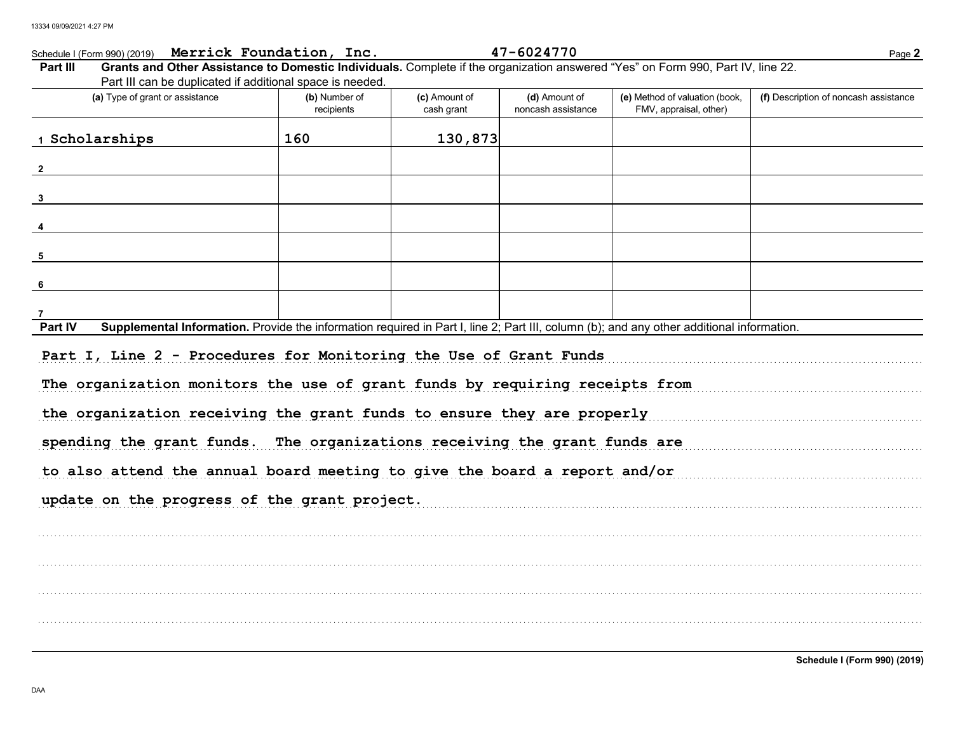## Schedule I (Form 990) (2019) Merrick Foundation, Inc.

| 47-6024770 |  |  |  |
|------------|--|--|--|
|------------|--|--|--|

Page 2

| Grants and Other Assistance to Domestic Individuals. Complete if the organization answered "Yes" on Form 990, Part IV, line 22.<br>Part III<br>Part III can be duplicated if additional space is needed. |                             |                             |                                     |                                                          |                                       |
|----------------------------------------------------------------------------------------------------------------------------------------------------------------------------------------------------------|-----------------------------|-----------------------------|-------------------------------------|----------------------------------------------------------|---------------------------------------|
| (a) Type of grant or assistance                                                                                                                                                                          | (b) Number of<br>recipients | (c) Amount of<br>cash grant | (d) Amount of<br>noncash assistance | (e) Method of valuation (book,<br>FMV, appraisal, other) | (f) Description of noncash assistance |
| 1 Scholarships                                                                                                                                                                                           | 160                         | 130,873                     |                                     |                                                          |                                       |
| $\overline{2}$                                                                                                                                                                                           |                             |                             |                                     |                                                          |                                       |
| $\mathbf{3}$                                                                                                                                                                                             |                             |                             |                                     |                                                          |                                       |
|                                                                                                                                                                                                          |                             |                             |                                     |                                                          |                                       |
| -5                                                                                                                                                                                                       |                             |                             |                                     |                                                          |                                       |
| 6                                                                                                                                                                                                        |                             |                             |                                     |                                                          |                                       |
| $\overline{7}$                                                                                                                                                                                           |                             |                             |                                     |                                                          |                                       |
| Supplemental Information. Provide the information required in Part I, line 2; Part III, column (b); and any other additional information.<br>Part IV                                                     |                             |                             |                                     |                                                          |                                       |
| Part I, Line 2 - Procedures for Monitoring the Use of Grant Funds                                                                                                                                        |                             |                             |                                     |                                                          |                                       |
| The organization monitors the use of grant funds by requiring receipts from<br>the organization receiving the grant funds to ensure they are properly                                                    |                             |                             |                                     |                                                          |                                       |
| spending the grant funds. The organizations receiving the grant funds are                                                                                                                                |                             |                             |                                     |                                                          |                                       |
| to also attend the annual board meeting to give the board a report and/or                                                                                                                                |                             |                             |                                     |                                                          |                                       |
| update on the progress of the grant project.                                                                                                                                                             |                             |                             |                                     |                                                          |                                       |
|                                                                                                                                                                                                          |                             |                             |                                     |                                                          |                                       |
|                                                                                                                                                                                                          |                             |                             |                                     |                                                          |                                       |
|                                                                                                                                                                                                          |                             |                             |                                     |                                                          |                                       |
|                                                                                                                                                                                                          |                             |                             |                                     |                                                          |                                       |
|                                                                                                                                                                                                          |                             |                             |                                     |                                                          |                                       |
|                                                                                                                                                                                                          |                             |                             |                                     |                                                          | Schedule I (Form 990) (2019)          |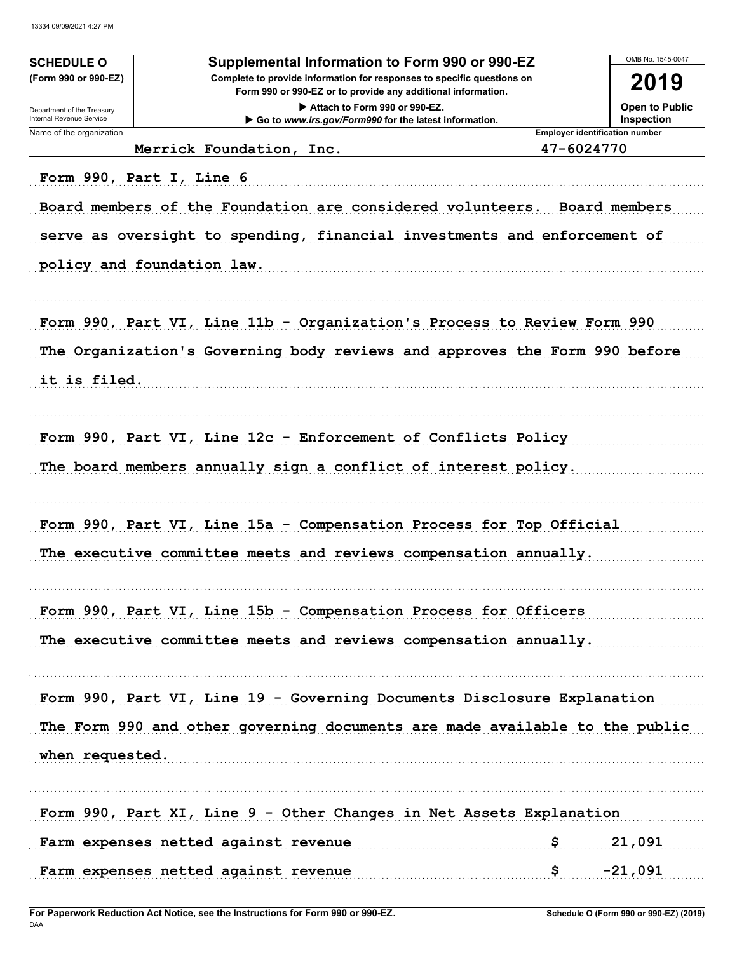| <b>SCHEDULE O</b>          | Supplemental Information to Form 990 or 990-EZ                                                                                                       |                                       | OMB No. 1545-0047     |
|----------------------------|------------------------------------------------------------------------------------------------------------------------------------------------------|---------------------------------------|-----------------------|
| (Form 990 or 990-EZ)       | Complete to provide information for responses to specific questions on<br>Form 990 or 990-EZ or to provide any additional information.               |                                       | 2019                  |
| Department of the Treasury | Attach to Form 990 or 990-EZ.                                                                                                                        |                                       | <b>Open to Public</b> |
| Internal Revenue Service   | Go to www.irs.gov/Form990 for the latest information.                                                                                                |                                       | Inspection            |
| Name of the organization   |                                                                                                                                                      | <b>Employer identification number</b> |                       |
|                            | Merrick Foundation, Inc.                                                                                                                             | 47-6024770                            |                       |
|                            | Form 990, Part I, Line 6                                                                                                                             |                                       |                       |
|                            | Board members of the Foundation are considered volunteers. Board members<br>serve as oversight to spending, financial investments and enforcement of |                                       |                       |
|                            | policy and foundation law.                                                                                                                           |                                       |                       |
|                            |                                                                                                                                                      |                                       |                       |
|                            | Form 990, Part VI, Line 11b - Organization's Process to Review Form 990                                                                              |                                       |                       |
|                            | The Organization's Governing body reviews and approves the Form 990 before                                                                           |                                       |                       |
| it is filed.               |                                                                                                                                                      |                                       |                       |
|                            | Form 990, Part VI, Line 12c - Enforcement of Conflicts Policy                                                                                        |                                       |                       |
|                            | The board members annually sign a conflict of interest policy.                                                                                       |                                       |                       |
|                            | Form 990, Part VI, Line 15a - Compensation Process for Top Official                                                                                  |                                       |                       |
|                            | The executive committee meets and reviews compensation annually.                                                                                     |                                       |                       |
|                            | Form 990, Part VI, Line 15b - Compensation Process for Officers                                                                                      |                                       |                       |
|                            | The executive committee meets and reviews compensation annually.                                                                                     |                                       |                       |
|                            | Form 990, Part VI, Line 19 - Governing Documents Disclosure Explanation                                                                              |                                       |                       |
|                            | The Form 990 and other governing documents are made available to the public                                                                          |                                       |                       |
| when requested.            |                                                                                                                                                      |                                       |                       |
|                            | Form 990, Part XI, Line 9 - Other Changes in Net Assets Explanation                                                                                  |                                       |                       |
|                            | Farm expenses netted against revenue                                                                                                                 | \$                                    | 21,091                |
|                            | Farm expenses netted against revenue                                                                                                                 | \$                                    | $-21,091$             |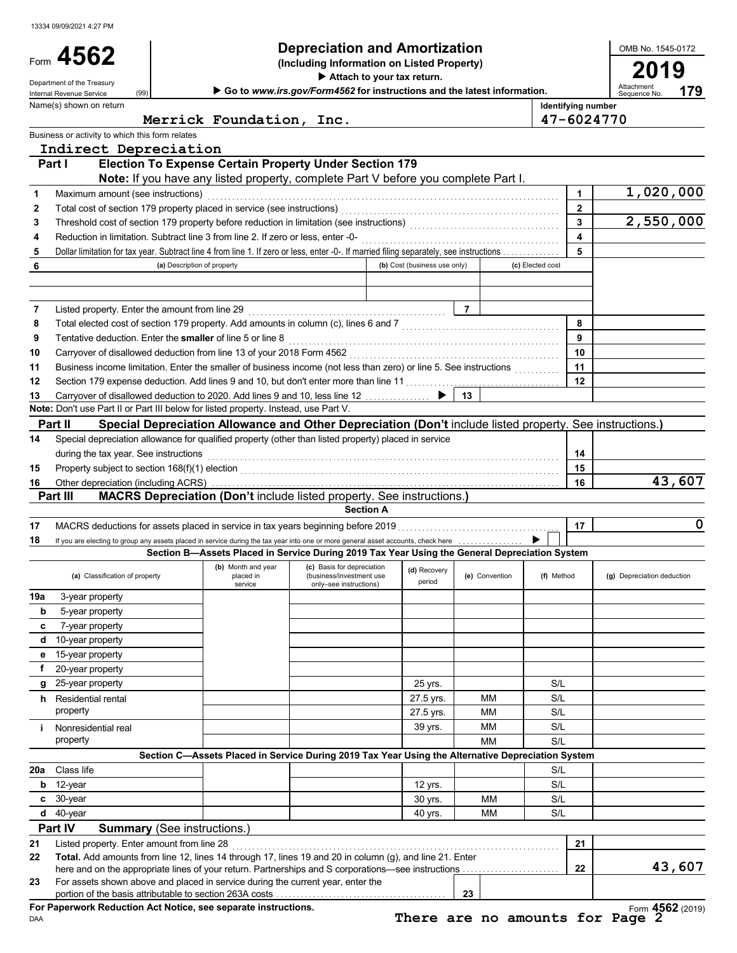|                | Form 4562                                                                                                                               |                             | <b>Depreciation and Amortization</b><br>(Including Information on Listed Property)                       |                              |                |                    |                | OMB No. 1545-0172          |        |
|----------------|-----------------------------------------------------------------------------------------------------------------------------------------|-----------------------------|----------------------------------------------------------------------------------------------------------|------------------------------|----------------|--------------------|----------------|----------------------------|--------|
|                | Department of the Treasury                                                                                                              |                             | Attach to your tax return.                                                                               |                              |                |                    |                | 2019                       |        |
|                | (99)<br>Internal Revenue Service                                                                                                        |                             | Go to www.irs.gov/Form4562 for instructions and the latest information.                                  |                              |                |                    |                | Attachment<br>Sequence No. | 179    |
|                | Name(s) shown on return                                                                                                                 |                             |                                                                                                          |                              |                | Identifying number |                |                            |        |
|                |                                                                                                                                         | Merrick Foundation, Inc.    |                                                                                                          |                              |                | 47-6024770         |                |                            |        |
|                | Business or activity to which this form relates                                                                                         |                             |                                                                                                          |                              |                |                    |                |                            |        |
|                | Indirect Depreciation<br>Part I                                                                                                         |                             | <b>Election To Expense Certain Property Under Section 179</b>                                            |                              |                |                    |                |                            |        |
|                |                                                                                                                                         |                             | Note: If you have any listed property, complete Part V before you complete Part I.                       |                              |                |                    |                |                            |        |
| 1              | Maximum amount (see instructions)                                                                                                       |                             |                                                                                                          |                              |                |                    | $\mathbf 1$    | 1,020,000                  |        |
| 2              |                                                                                                                                         |                             |                                                                                                          |                              |                |                    | $\overline{2}$ |                            |        |
| 3              | Threshold cost of section 179 property before reduction in limitation (see instructions) [[[[[[[[[[[[[[[[[[[[[                          |                             |                                                                                                          |                              |                |                    | $\overline{3}$ | 2,550,000                  |        |
| 4              |                                                                                                                                         |                             |                                                                                                          |                              |                |                    | 4              |                            |        |
| 5              | Dollar limitation for tax year. Subtract line 4 from line 1. If zero or less, enter -0-. If married filing separately, see instructions |                             |                                                                                                          |                              |                |                    | 5              |                            |        |
| 6              |                                                                                                                                         | (a) Description of property |                                                                                                          | (b) Cost (business use only) |                | (c) Elected cost   |                |                            |        |
|                |                                                                                                                                         |                             |                                                                                                          |                              |                |                    |                |                            |        |
| 7              | Listed property. Enter the amount from line 29                                                                                          |                             |                                                                                                          |                              | $\overline{7}$ |                    |                |                            |        |
| 8              |                                                                                                                                         |                             |                                                                                                          |                              |                |                    | 8              |                            |        |
| 9              | Tentative deduction. Enter the smaller of line 5 or line 8                                                                              |                             |                                                                                                          |                              |                |                    | 9              |                            |        |
| 10             |                                                                                                                                         |                             |                                                                                                          |                              |                |                    | 10             |                            |        |
| 11             | Business income limitation. Enter the smaller of business income (not less than zero) or line 5. See instructions                       |                             |                                                                                                          |                              |                |                    | 11             |                            |        |
| 12             | Section 179 expense deduction. Add lines 9 and 10, but don't enter more than line 11                                                    |                             |                                                                                                          |                              |                |                    | 12             |                            |        |
| 13             | Carryover of disallowed deduction to 2020. Add lines 9 and 10, less line 12                                                             |                             |                                                                                                          |                              | 13             |                    |                |                            |        |
|                | Note: Don't use Part II or Part III below for listed property. Instead, use Part V.                                                     |                             |                                                                                                          |                              |                |                    |                |                            |        |
|                | Part II                                                                                                                                 |                             | Special Depreciation Allowance and Other Depreciation (Don't include listed property. See instructions.) |                              |                |                    |                |                            |        |
| 14             | Special depreciation allowance for qualified property (other than listed property) placed in service                                    |                             |                                                                                                          |                              |                |                    | 14             |                            |        |
| 15             | during the tax year. See instructions                                                                                                   |                             |                                                                                                          |                              |                |                    | 15             |                            |        |
| 16             | Other depreciation (including ACRS)                                                                                                     |                             |                                                                                                          |                              |                |                    | 16             |                            | 43,607 |
|                | <b>Part III</b>                                                                                                                         |                             | <b>MACRS Depreciation (Don't include listed property. See instructions.)</b>                             |                              |                |                    |                |                            |        |
|                |                                                                                                                                         |                             | <b>Section A</b>                                                                                         |                              |                |                    |                |                            |        |
| 17             | MACRS deductions for assets placed in service in tax years beginning before 2019                                                        |                             |                                                                                                          |                              |                |                    | 17             |                            | 0      |
| 18             | If you are electing to group any assets placed in service during the tax year into one or more general asset accounts, check here       |                             |                                                                                                          |                              |                |                    |                |                            |        |
|                |                                                                                                                                         |                             | Section B-Assets Placed in Service During 2019 Tax Year Using the General Depreciation System            |                              |                |                    |                |                            |        |
|                | (a) Classification of property                                                                                                          | placed in                   | (b) Month and year (c) Basis for depreciation (d) Recovery (c) Convention<br>(business/investment use    | period                       | (e) Convention | (f) Method         |                | (g) Depreciation deduction |        |
| 19a            | 3-year property                                                                                                                         | service                     | only-see instructions)                                                                                   |                              |                |                    |                |                            |        |
| b              | 5-year property                                                                                                                         |                             |                                                                                                          |                              |                |                    |                |                            |        |
| c              | 7-year property                                                                                                                         |                             |                                                                                                          |                              |                |                    |                |                            |        |
|                | d 10-year property                                                                                                                      |                             |                                                                                                          |                              |                |                    |                |                            |        |
|                |                                                                                                                                         |                             |                                                                                                          |                              |                |                    |                |                            |        |
| е              | 15-year property                                                                                                                        |                             |                                                                                                          |                              |                |                    |                |                            |        |
| f              | 20-year property                                                                                                                        |                             |                                                                                                          |                              |                |                    |                |                            |        |
| g              | 25-year property                                                                                                                        |                             |                                                                                                          | 25 yrs.                      |                | S/L                |                |                            |        |
|                | <b>h</b> Residential rental                                                                                                             |                             |                                                                                                          | 27.5 yrs.                    | МM             | S/L                |                |                            |        |
|                | property                                                                                                                                |                             |                                                                                                          | 27.5 yrs.                    | МM             | S/L                |                |                            |        |
| j.             | Nonresidential real                                                                                                                     |                             |                                                                                                          | 39 yrs.                      | МM             | S/L                |                |                            |        |
|                | property                                                                                                                                |                             |                                                                                                          |                              | <b>MM</b>      | S/L                |                |                            |        |
| 20a            | Class life                                                                                                                              |                             | Section C-Assets Placed in Service During 2019 Tax Year Using the Alternative Depreciation System        |                              |                |                    |                |                            |        |
| b              | 12-year                                                                                                                                 |                             |                                                                                                          | 12 yrs.                      |                | S/L<br>S/L         |                |                            |        |
|                | $c30-year$                                                                                                                              |                             |                                                                                                          | 30 yrs.                      | MМ             | S/L                |                |                            |        |
|                | $d$ 40-year                                                                                                                             |                             |                                                                                                          | 40 yrs.                      | MМ             | S/L                |                |                            |        |
|                | Part IV<br><b>Summary (See instructions.)</b>                                                                                           |                             |                                                                                                          |                              |                |                    |                |                            |        |
|                | Listed property. Enter amount from line 28                                                                                              |                             |                                                                                                          |                              |                |                    | 21             |                            |        |
|                | Total. Add amounts from line 12, lines 14 through 17, lines 19 and 20 in column (g), and line 21. Enter                                 |                             |                                                                                                          |                              |                |                    |                |                            |        |
| 21<br>22<br>23 | For assets shown above and placed in service during the current year, enter the                                                         |                             |                                                                                                          |                              |                |                    | 22             |                            | 43,607 |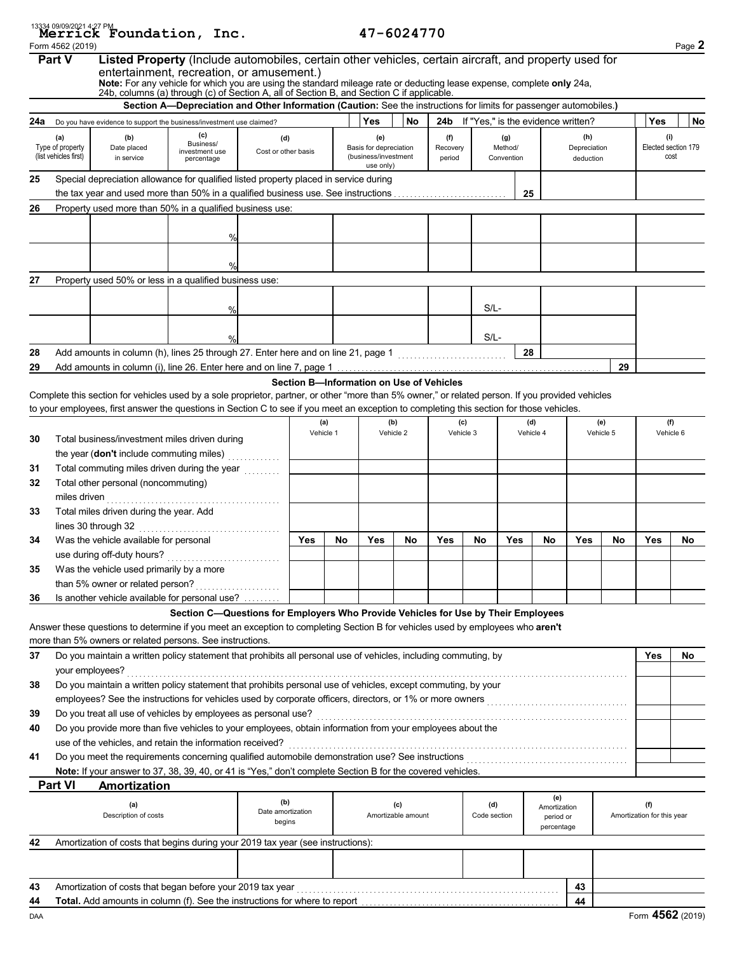|          |                                   | 13334 09/09/2021 4:27 PM<br>Merrick Foundation, Inc.                                                                                                                                                             |                                                                                                                    |                     |                                          |                  |                               | 47-6024770                |                 |                                        |                |                           |                     |                  |                                   |                     |
|----------|-----------------------------------|------------------------------------------------------------------------------------------------------------------------------------------------------------------------------------------------------------------|--------------------------------------------------------------------------------------------------------------------|---------------------|------------------------------------------|------------------|-------------------------------|---------------------------|-----------------|----------------------------------------|----------------|---------------------------|---------------------|------------------|-----------------------------------|---------------------|
|          | Form 4562 (2019)<br><b>Part V</b> | Listed Property (Include automobiles, certain other vehicles, certain aircraft, and property used for<br>entertainment, recreation, or amusement.)                                                               |                                                                                                                    |                     |                                          |                  |                               |                           |                 |                                        |                |                           |                     |                  |                                   | Page 2              |
|          |                                   | Note: For any vehicle for which you are using the standard mileage rate or deducting lease expense, complete only 24a, 24b, columns (a) through (c) of Section A, all of Section B, and Section C if applicable. |                                                                                                                    |                     |                                          |                  |                               |                           |                 |                                        |                |                           |                     |                  |                                   |                     |
|          |                                   |                                                                                                                                                                                                                  | Section A-Depreciation and Other Information (Caution: See the instructions for limits for passenger automobiles.) |                     |                                          |                  |                               |                           |                 |                                        |                |                           |                     |                  |                                   |                     |
| 24a      |                                   | Do you have evidence to support the business/investment use claimed?                                                                                                                                             |                                                                                                                    |                     |                                          |                  | Yes                           | No                        |                 | 24b If "Yes," is the evidence written? |                |                           |                     |                  | Yes                               | No                  |
|          | (a)<br>Type of property           | (b)<br>Date placed                                                                                                                                                                                               | (c)<br>Business/                                                                                                   | (d)                 |                                          |                  | (e)<br>Basis for depreciation |                           | (f)<br>Recovery |                                        | (g)<br>Method/ |                           | (h)<br>Depreciation |                  | (i)                               | Elected section 179 |
|          | (list vehicles first)             | in service                                                                                                                                                                                                       | investment use<br>percentage                                                                                       | Cost or other basis |                                          |                  | (business/investment          |                           | period          |                                        | Convention     |                           | deduction           |                  |                                   | cost                |
| 25       |                                   | Special depreciation allowance for qualified listed property placed in service during                                                                                                                            |                                                                                                                    |                     |                                          |                  | use only)                     |                           |                 |                                        |                |                           |                     |                  |                                   |                     |
|          |                                   | the tax year and used more than 50% in a qualified business use. See instructions                                                                                                                                |                                                                                                                    |                     |                                          |                  |                               |                           |                 |                                        |                | 25                        |                     |                  |                                   |                     |
| 26       |                                   | Property used more than 50% in a qualified business use:                                                                                                                                                         |                                                                                                                    |                     |                                          |                  |                               |                           |                 |                                        |                |                           |                     |                  |                                   |                     |
|          |                                   |                                                                                                                                                                                                                  |                                                                                                                    |                     |                                          |                  |                               |                           |                 |                                        |                |                           |                     |                  |                                   |                     |
|          |                                   |                                                                                                                                                                                                                  | %                                                                                                                  |                     |                                          |                  |                               |                           |                 |                                        |                |                           |                     |                  |                                   |                     |
|          |                                   |                                                                                                                                                                                                                  |                                                                                                                    |                     |                                          |                  |                               |                           |                 |                                        |                |                           |                     |                  |                                   |                     |
|          |                                   |                                                                                                                                                                                                                  | $\frac{0}{0}$                                                                                                      |                     |                                          |                  |                               |                           |                 |                                        |                |                           |                     |                  |                                   |                     |
| 27       |                                   | Property used 50% or less in a qualified business use:                                                                                                                                                           |                                                                                                                    |                     |                                          |                  |                               |                           |                 |                                        |                |                           |                     |                  |                                   |                     |
|          |                                   |                                                                                                                                                                                                                  |                                                                                                                    |                     |                                          |                  |                               |                           |                 | $S/L-$                                 |                |                           |                     |                  |                                   |                     |
|          |                                   |                                                                                                                                                                                                                  | %                                                                                                                  |                     |                                          |                  |                               |                           |                 |                                        |                |                           |                     |                  |                                   |                     |
|          |                                   |                                                                                                                                                                                                                  | $\frac{0}{c}$                                                                                                      |                     |                                          |                  |                               |                           |                 | $S/L-$                                 |                |                           |                     |                  |                                   |                     |
| 28       |                                   | Add amounts in column (h), lines 25 through 27. Enter here and on line 21, page 1                                                                                                                                |                                                                                                                    |                     |                                          |                  |                               |                           |                 |                                        | 28             |                           |                     |                  |                                   |                     |
| 29       |                                   |                                                                                                                                                                                                                  |                                                                                                                    |                     |                                          |                  |                               |                           |                 |                                        |                |                           |                     | 29               |                                   |                     |
|          |                                   |                                                                                                                                                                                                                  |                                                                                                                    |                     | Section B-Information on Use of Vehicles |                  |                               |                           |                 |                                        |                |                           |                     |                  |                                   |                     |
|          |                                   | Complete this section for vehicles used by a sole proprietor, partner, or other "more than 5% owner," or related person. If you provided vehicles                                                                |                                                                                                                    |                     |                                          |                  |                               |                           |                 |                                        |                |                           |                     |                  |                                   |                     |
|          |                                   | to your employees, first answer the questions in Section C to see if you meet an exception to completing this section for those vehicles.                                                                        |                                                                                                                    |                     |                                          |                  |                               |                           |                 |                                        |                |                           |                     |                  |                                   |                     |
|          |                                   |                                                                                                                                                                                                                  |                                                                                                                    |                     |                                          | (a)<br>Vehicle 1 |                               | (b)<br>Vehicle 2          |                 | (c)<br>Vehicle 3                       |                | (d)<br>Vehicle 4          |                     | (e)<br>Vehicle 5 | Vehicle 6                         | (f)                 |
| 30       |                                   | Total business/investment miles driven during                                                                                                                                                                    |                                                                                                                    |                     |                                          |                  |                               |                           |                 |                                        |                |                           |                     |                  |                                   |                     |
|          |                                   | the year (don't include commuting miles)                                                                                                                                                                         |                                                                                                                    |                     |                                          |                  |                               |                           |                 |                                        |                |                           |                     |                  |                                   |                     |
| 31<br>32 |                                   | Total commuting miles driven during the year<br>Total other personal (noncommuting)                                                                                                                              |                                                                                                                    |                     |                                          |                  |                               |                           |                 |                                        |                |                           |                     |                  |                                   |                     |
|          | miles driven                      |                                                                                                                                                                                                                  |                                                                                                                    |                     |                                          |                  |                               |                           |                 |                                        |                |                           |                     |                  |                                   |                     |
| 33       |                                   | Total miles driven during the year. Add                                                                                                                                                                          |                                                                                                                    |                     |                                          |                  |                               |                           |                 |                                        |                |                           |                     |                  |                                   |                     |
|          |                                   |                                                                                                                                                                                                                  |                                                                                                                    |                     |                                          |                  |                               |                           |                 |                                        |                |                           |                     |                  |                                   |                     |
| 34       |                                   | Was the vehicle available for personal                                                                                                                                                                           |                                                                                                                    |                     | Yes                                      | No               | Yes                           | No                        | Yes             | No                                     | Yes            | <b>No</b>                 | Yes                 | No               | Yes                               | No                  |
|          |                                   |                                                                                                                                                                                                                  |                                                                                                                    |                     |                                          |                  |                               |                           |                 |                                        |                |                           |                     |                  |                                   |                     |
| 35       |                                   | Was the vehicle used primarily by a more                                                                                                                                                                         |                                                                                                                    |                     |                                          |                  |                               |                           |                 |                                        |                |                           |                     |                  |                                   |                     |
|          |                                   | than 5% owner or related person?                                                                                                                                                                                 |                                                                                                                    |                     |                                          |                  |                               |                           |                 |                                        |                |                           |                     |                  |                                   |                     |
| 36       |                                   | Is another vehicle available for personal use?                                                                                                                                                                   |                                                                                                                    |                     |                                          |                  |                               |                           |                 |                                        |                |                           |                     |                  |                                   |                     |
|          |                                   | Answer these questions to determine if you meet an exception to completing Section B for vehicles used by employees who aren't                                                                                   | Section C-Questions for Employers Who Provide Vehicles for Use by Their Employees                                  |                     |                                          |                  |                               |                           |                 |                                        |                |                           |                     |                  |                                   |                     |
|          |                                   | more than 5% owners or related persons. See instructions.                                                                                                                                                        |                                                                                                                    |                     |                                          |                  |                               |                           |                 |                                        |                |                           |                     |                  |                                   |                     |
| 37       |                                   | Do you maintain a written policy statement that prohibits all personal use of vehicles, including commuting, by                                                                                                  |                                                                                                                    |                     |                                          |                  |                               |                           |                 |                                        |                |                           |                     |                  | Yes                               | No                  |
|          | your employees?                   |                                                                                                                                                                                                                  |                                                                                                                    |                     |                                          |                  |                               |                           |                 |                                        |                |                           |                     |                  |                                   |                     |
| 38       |                                   | Do you maintain a written policy statement that prohibits personal use of vehicles, except commuting, by your                                                                                                    |                                                                                                                    |                     |                                          |                  |                               |                           |                 |                                        |                |                           |                     |                  |                                   |                     |
|          |                                   |                                                                                                                                                                                                                  |                                                                                                                    |                     |                                          |                  |                               |                           |                 |                                        |                |                           |                     |                  |                                   |                     |
| 39       |                                   | Do you treat all use of vehicles by employees as personal use?                                                                                                                                                   |                                                                                                                    |                     |                                          |                  |                               |                           |                 |                                        |                |                           |                     |                  |                                   |                     |
| 40       |                                   | Do you provide more than five vehicles to your employees, obtain information from your employees about the                                                                                                       |                                                                                                                    |                     |                                          |                  |                               |                           |                 |                                        |                |                           |                     |                  |                                   |                     |
|          |                                   | use of the vehicles, and retain the information received?                                                                                                                                                        |                                                                                                                    |                     |                                          |                  |                               |                           |                 |                                        |                |                           |                     |                  |                                   |                     |
| 41       |                                   | Note: If your answer to 37, 38, 39, 40, or 41 is "Yes," don't complete Section B for the covered vehicles.                                                                                                       |                                                                                                                    |                     |                                          |                  |                               |                           |                 |                                        |                |                           |                     |                  |                                   |                     |
|          | <b>Part VI</b>                    | Amortization                                                                                                                                                                                                     |                                                                                                                    |                     |                                          |                  |                               |                           |                 |                                        |                |                           |                     |                  |                                   |                     |
|          |                                   |                                                                                                                                                                                                                  |                                                                                                                    | (b)                 |                                          |                  |                               |                           |                 |                                        |                | (e)                       |                     |                  |                                   |                     |
|          |                                   | (a)<br>Description of costs                                                                                                                                                                                      |                                                                                                                    | Date amortization   |                                          |                  |                               | (c)<br>Amortizable amount |                 | (d)<br>Code section                    |                | Amortization<br>period or |                     |                  | (f)<br>Amortization for this year |                     |
|          |                                   |                                                                                                                                                                                                                  |                                                                                                                    | begins              |                                          |                  |                               |                           |                 |                                        |                | percentage                |                     |                  |                                   |                     |
| 42       |                                   | Amortization of costs that begins during your 2019 tax year (see instructions):                                                                                                                                  |                                                                                                                    |                     |                                          |                  |                               |                           |                 |                                        |                |                           |                     |                  |                                   |                     |
|          |                                   |                                                                                                                                                                                                                  |                                                                                                                    |                     |                                          |                  |                               |                           |                 |                                        |                |                           |                     |                  |                                   |                     |
|          |                                   |                                                                                                                                                                                                                  |                                                                                                                    |                     |                                          |                  |                               |                           |                 |                                        |                |                           |                     |                  |                                   |                     |
| 43       |                                   |                                                                                                                                                                                                                  |                                                                                                                    |                     |                                          |                  |                               |                           |                 |                                        |                |                           | 43                  |                  |                                   |                     |
| 44       |                                   |                                                                                                                                                                                                                  |                                                                                                                    |                     |                                          |                  |                               |                           |                 |                                        |                |                           | 44                  |                  |                                   |                     |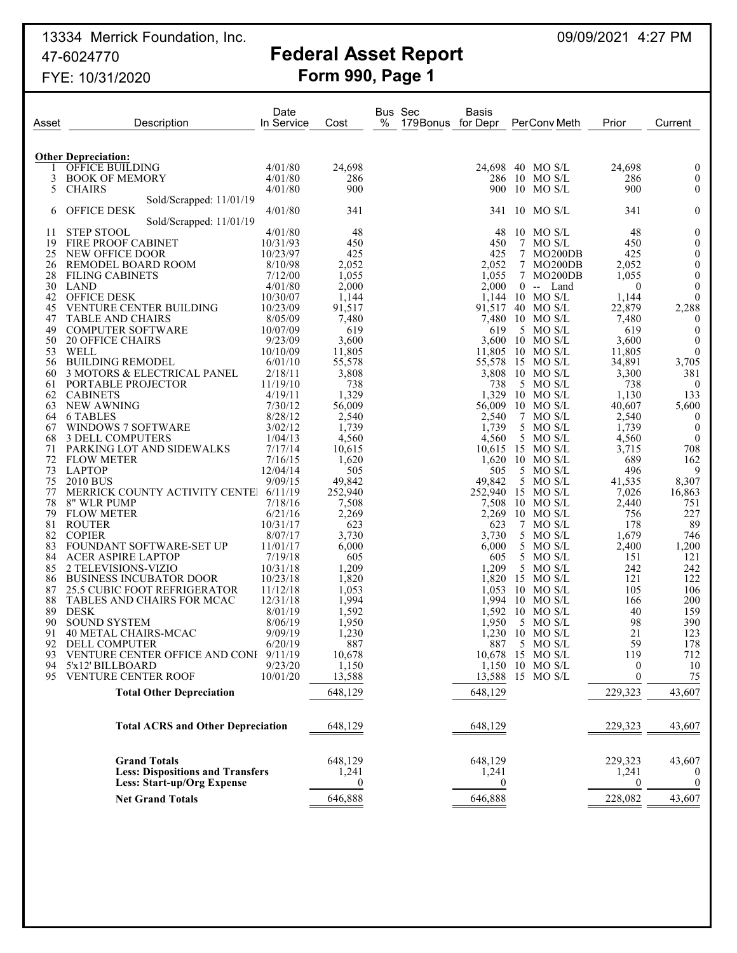13334 Merrick Foundation, Inc. 2008. 2009 2009/2021 1:27 PM 47-6024770 **Federal Asset Report**

# FYE: 10/31/2020 **Form 990, Page 1**

| Asset    | Description                                   | Date<br>In Service | Cost           | Bus Sec<br>%<br>179Bonus for Depr | Basis          |   | PerConv Meth               | Prior            | Current          |
|----------|-----------------------------------------------|--------------------|----------------|-----------------------------------|----------------|---|----------------------------|------------------|------------------|
|          |                                               |                    |                |                                   |                |   |                            |                  |                  |
|          | <b>Other Depreciation:</b><br>OFFICE BUILDING | 4/01/80            | 24,698         |                                   | 24,698         |   | 40 MO S/L                  | 24,698           | $\theta$         |
| 3        | <b>BOOK OF MEMORY</b>                         | 4/01/80            | 286            |                                   | 286            |   | $10$ MO S/L                | 286              | $\boldsymbol{0}$ |
| 5        | <b>CHAIRS</b>                                 | 4/01/80            | 900            |                                   | 900            |   | $10$ MO S/L                | 900              | $\theta$         |
|          | Sold/Scrapped: 11/01/19                       |                    |                |                                   |                |   |                            |                  |                  |
| 6        | <b>OFFICE DESK</b>                            | 4/01/80            | 341            |                                   | 341            |   | $10$ MO S/L                | 341              | $\mathbf{0}$     |
| 11       | Sold/Scrapped: 11/01/19<br><b>STEP STOOL</b>  | 4/01/80            | 48             |                                   | 48             |   | $10$ MO S/L                | 48               | $\overline{0}$   |
| 19       | <b>FIRE PROOF CABINET</b>                     | 10/31/93           | 450            |                                   | 450            | 7 | MO S/L                     | 450              | $\boldsymbol{0}$ |
| 25       | NEW OFFICE DOOR                               | 10/23/97           | 425            |                                   | 425            |   | 7 MO200DB                  | 425              | $\boldsymbol{0}$ |
| 26       | REMODEL BOARD ROOM                            | 8/10/98            | 2,052          |                                   | 2,052          | 7 | MO200DB                    | 2.052            | $\boldsymbol{0}$ |
| 28       | <b>FILING CABINETS</b>                        | 7/12/00            | 1,055          |                                   | 1,055          |   | 7 MO200DB                  | 1,055            | $\boldsymbol{0}$ |
| 30       | LAND                                          | 4/01/80            | 2,000          |                                   | 2,000          |   | $0 -$<br>Land              | $\boldsymbol{0}$ | $\mathbf{0}$     |
| 42       | <b>OFFICE DESK</b>                            | 10/30/07           | 1,144          |                                   | 1,144          |   | $10$ MO S/L                | 1,144            | $\theta$         |
| 45       | VENTURE CENTER BUILDING                       | 10/23/09           | 91,517         |                                   |                |   | 91,517 40 MO S/L           | 22,879           | 2,288            |
| 47       | <b>TABLE AND CHAIRS</b>                       | 8/05/09            | 7,480          |                                   |                |   | 7,480 10 MO S/L            | 7,480            | $\theta$         |
| 49       | <b>COMPUTER SOFTWARE</b>                      | 10/07/09           | 619            |                                   | 619            |   | 5 MO S/L                   | 619              | $\boldsymbol{0}$ |
| 50       | <b>20 OFFICE CHAIRS</b>                       | 9/23/09            | 3,600          |                                   | 3,600          |   | $10$ MO S/L                | 3,600            | $\overline{0}$   |
| 53       | WELL                                          | 10/10/09           | 11,805         |                                   | 11,805         |   | $10$ MO S/L                | 11,805           | $\overline{0}$   |
| 56       | <b>BUILDING REMODEL</b>                       | 6/01/10            | 55,578         |                                   | 55,578         |   | 15 MO S/L                  | 34,891           | 3,705            |
| 60       | 3 MOTORS & ELECTRICAL PANEL                   | 2/18/11            | 3,808          |                                   | 3,808          |   | $10$ MO S/L                | 3,300            | 381              |
| 61       | <b>PORTABLE PROJECTOR</b>                     | 11/19/10           | 738            |                                   | 738            |   | 5 MO S/L                   | 738              | $\theta$         |
| 62       | <b>CABINETS</b>                               | 4/19/11            | 1,329          |                                   | 1,329          |   | $10$ MO S/L                | 1,130            | 133              |
| 63       | <b>NEW AWNING</b>                             | 7/30/12            | 56,009         |                                   | 56,009         |   | $10$ MO S/L                | 40,607           | 5,600            |
| 64       | 6 TABLES                                      | 8/28/12            | 2,540          |                                   | 2,540          |   | 7 MO S/L                   | 2,540            | $\bf{0}$         |
| 67       | WINDOWS 7 SOFTWARE                            | 3/02/12            | 1,739          |                                   | 1,739          |   | 5 MO S/L                   | 1,739            | $\bf{0}$         |
| 68       | 3 DELL COMPUTERS                              | 1/04/13            | 4,560          |                                   | 4,560          |   | 5 MO S/L                   | 4,560            | $\theta$         |
| 71       | PARKING LOT AND SIDEWALKS                     | 7/17/14            | 10,615         |                                   |                |   | 10,615 15 MO S/L           | 3,715            | 708              |
| 72       | <b>FLOW METER</b>                             | 7/16/15            | 1,620          |                                   |                |   | 1,620 10 MO S/L            | 689              | 162              |
| 73       | <b>LAPTOP</b>                                 | 12/04/14           | 505            |                                   | 505            |   | 5 MO S/L                   | 496              | 9                |
| 75       | 2010 BUS                                      | 9/09/15            | 49,842         |                                   | 49,842         |   | 5 MO S/L                   | 41,535           | 8,307            |
| 77<br>78 | MERRICK COUNTY ACTIVITY CENTEL                | 6/11/19<br>7/18/16 | 252,940        |                                   |                |   | 252,940 15 MO S/L          | 7,026            | 16,863           |
| 79       | 8" WLR PUMP<br><b>FLOW METER</b>              | 6/21/16            | 7,508<br>2,269 |                                   | 7,508<br>2,269 |   | $10$ MO S/L<br>$10$ MO S/L | 2,440<br>756     | 751<br>227       |
| 81       | <b>ROUTER</b>                                 | 10/31/17           | 623            |                                   | 623            |   | 7 MO S/L                   | 178              | 89               |
| 82       | <b>COPIER</b>                                 | 8/07/17            | 3,730          |                                   | 3,730          |   | 5 MO S/L                   | 1,679            | 746              |
| 83       | FOUNDANT SOFTWARE-SET UP                      | 11/01/17           | 6,000          |                                   | 6,000          |   | 5 MO S/L                   | 2,400            | 1,200            |
| 84       | <b>ACER ASPIRE LAPTOP</b>                     | 7/19/18            | 605            |                                   | 605            |   | 5 MO S/L                   | 151              | 121              |
| 85       | 2 TELEVISIONS-VIZIO                           | 10/31/18           | 1,209          |                                   | 1,209          |   | 5 MO S/L                   | 242              | 242              |
| 86       | <b>BUSINESS INCUBATOR DOOR</b>                | 10/23/18           | 1,820          |                                   |                |   | 1,820 15 MO S/L            | 121              | 122              |
| 87       | <b>25.5 CUBIC FOOT REFRIGERATOR</b>           | 11/12/18           | 1,053          |                                   | 1,053          |   | $10$ MO S/L                | 105              | 106              |
| 88       | TABLES AND CHAIRS FOR MCAC                    | 12/31/18           | 1,994          |                                   |                |   | 1,994 10 MO S/L            | 166              | 200              |
| 89       | <b>DESK</b>                                   | 8/01/19            | 1,592          |                                   |                |   | 1.592 10 MO S/L            | 40               | 159              |
| 90       | <b>SOUND SYSTEM</b>                           | 8/06/19            | 1,950          |                                   | 1,950          |   | 5 MO S/L                   | 98               | 390              |
| 91       | 40 METAL CHAIRS-MCAC                          | 9/09/19            | 1,230          |                                   |                |   | 1.230 10 MO S/L            | 21               | 123              |
| 92       | DELL COMPUTER                                 | 6/20/19            | 887            |                                   |                |   | 887 5 MO S/L               | 59               | 178              |
| 93       | VENTURE CENTER OFFICE AND CONF 9/11/19        |                    | 10,678         |                                   |                |   | 10,678 15 MO S/L           | 119              | 712              |
| 94       | 5'x12' BILLBOARD                              | 9/23/20            | 1,150          |                                   |                |   | 1,150 10 MO S/L            | 0                | 10               |
| 95       | VENTURE CENTER ROOF                           | 10/01/20           | 13,588         |                                   |                |   | 13,588 15 MO S/L           | $\boldsymbol{0}$ | 75               |
|          | <b>Total Other Depreciation</b>               |                    | 648,129        |                                   | 648,129        |   |                            | 229,323          | 43,607           |
|          | <b>Total ACRS and Other Depreciation</b>      |                    | 648,129        |                                   | 648,129        |   |                            | 229,323          | 43,607           |
|          | <b>Grand Totals</b>                           |                    | 648,129        |                                   | 648,129        |   |                            | 229,323          | 43,607           |
|          | <b>Less: Dispositions and Transfers</b>       |                    | 1,241          |                                   | 1,241          |   |                            | 1,241            |                  |
|          | Less: Start-up/Org Expense                    |                    | $\bf{0}$       |                                   | $\mathbf{0}$   |   |                            | $\bf{0}$         | $\mathbf{0}$     |
|          | <b>Net Grand Totals</b>                       |                    | 646,888        |                                   | 646,888        |   |                            | 228,082          | 43,607           |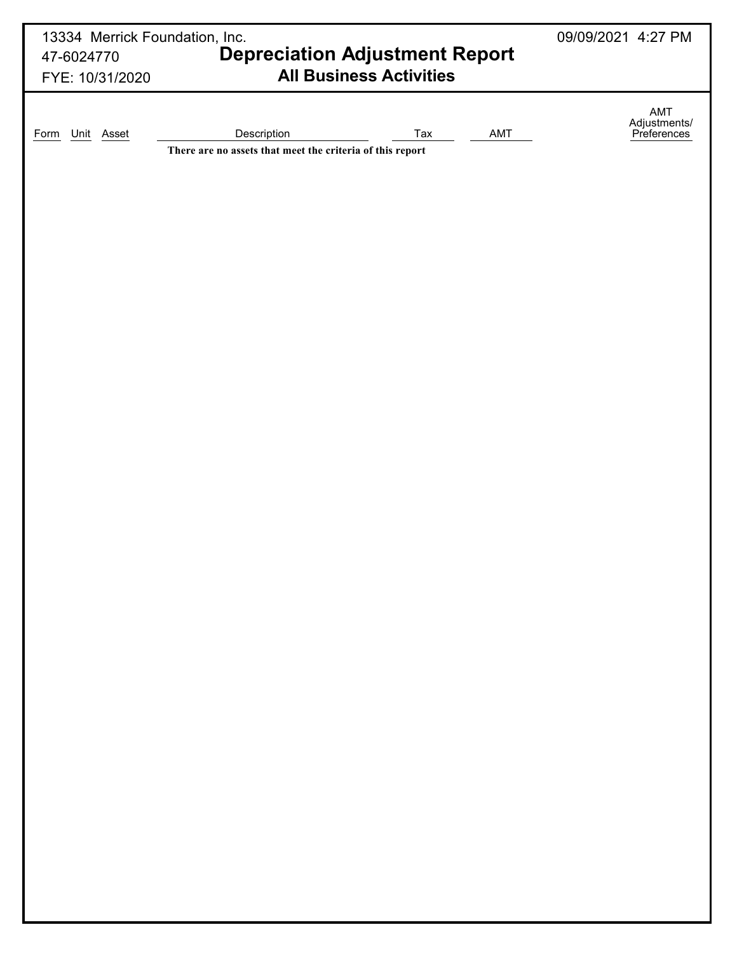| 13334 Merrick Foundation, Inc.<br>47-6024770 |                                                           | <b>Depreciation Adjustment Report</b> |     |                                    |  |  |  |  |  |
|----------------------------------------------|-----------------------------------------------------------|---------------------------------------|-----|------------------------------------|--|--|--|--|--|
| FYE: 10/31/2020                              |                                                           | <b>All Business Activities</b>        |     |                                    |  |  |  |  |  |
| Unit Asset<br>Form                           | Description                                               | Tax                                   | AMT | AMT<br>Adjustments/<br>Preferences |  |  |  |  |  |
|                                              | There are no assets that meet the criteria of this report |                                       |     |                                    |  |  |  |  |  |
|                                              |                                                           |                                       |     |                                    |  |  |  |  |  |
|                                              |                                                           |                                       |     |                                    |  |  |  |  |  |
|                                              |                                                           |                                       |     |                                    |  |  |  |  |  |
|                                              |                                                           |                                       |     |                                    |  |  |  |  |  |
|                                              |                                                           |                                       |     |                                    |  |  |  |  |  |
|                                              |                                                           |                                       |     |                                    |  |  |  |  |  |
|                                              |                                                           |                                       |     |                                    |  |  |  |  |  |
|                                              |                                                           |                                       |     |                                    |  |  |  |  |  |
|                                              |                                                           |                                       |     |                                    |  |  |  |  |  |
|                                              |                                                           |                                       |     |                                    |  |  |  |  |  |
|                                              |                                                           |                                       |     |                                    |  |  |  |  |  |
|                                              |                                                           |                                       |     |                                    |  |  |  |  |  |
|                                              |                                                           |                                       |     |                                    |  |  |  |  |  |
|                                              |                                                           |                                       |     |                                    |  |  |  |  |  |
|                                              |                                                           |                                       |     |                                    |  |  |  |  |  |
|                                              |                                                           |                                       |     |                                    |  |  |  |  |  |
|                                              |                                                           |                                       |     |                                    |  |  |  |  |  |
|                                              |                                                           |                                       |     |                                    |  |  |  |  |  |
|                                              |                                                           |                                       |     |                                    |  |  |  |  |  |
|                                              |                                                           |                                       |     |                                    |  |  |  |  |  |
|                                              |                                                           |                                       |     |                                    |  |  |  |  |  |
|                                              |                                                           |                                       |     |                                    |  |  |  |  |  |
|                                              |                                                           |                                       |     |                                    |  |  |  |  |  |
|                                              |                                                           |                                       |     |                                    |  |  |  |  |  |
|                                              |                                                           |                                       |     |                                    |  |  |  |  |  |
|                                              |                                                           |                                       |     |                                    |  |  |  |  |  |
|                                              |                                                           |                                       |     |                                    |  |  |  |  |  |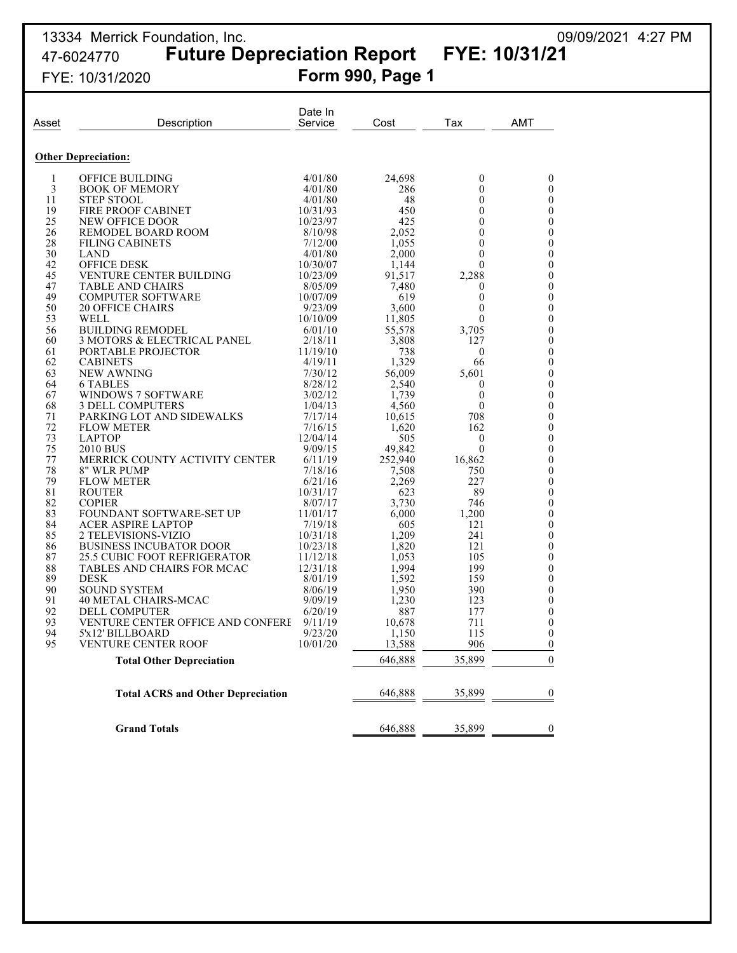# 47-6024770 **Future Depreciation Report FYE: 10/31/21** FYE: 10/31/2020 **Form 990, Page 1**

13334 Merrick Foundation, Inc. 09/09/2021 4:27 PM

| Asset        | Description                                          | Date In<br>Service | Cost            | Tax            | <b>AMT</b>                           |
|--------------|------------------------------------------------------|--------------------|-----------------|----------------|--------------------------------------|
|              |                                                      |                    |                 |                |                                      |
|              | <b>Other Depreciation:</b>                           |                    |                 |                |                                      |
| $\mathbf{1}$ | OFFICE BUILDING                                      | 4/01/80            | 24,698          | $\mathbf{0}$   | $\boldsymbol{0}$                     |
| 3            | <b>BOOK OF MEMORY</b>                                | 4/01/80            | 286             | $\Omega$       | $\boldsymbol{0}$                     |
| 11           | <b>STEP STOOL</b>                                    | 4/01/80            | 48              | $\mathbf{0}$   | $\boldsymbol{0}$                     |
| 19           | FIRE PROOF CABINET                                   | 10/31/93           | 450             | $\theta$       | $\boldsymbol{0}$                     |
| 25           | NEW OFFICE DOOR                                      | 10/23/97           | 425             | $\theta$       | $\boldsymbol{0}$                     |
| 26           | REMODEL BOARD ROOM                                   | 8/10/98            | 2,052           | 0              | $\boldsymbol{0}$                     |
| 28           | <b>FILING CABINETS</b>                               | 7/12/00            | 1,055           | 0              | $\boldsymbol{0}$                     |
| 30           | <b>LAND</b>                                          | 4/01/80            | 2,000           | 0              | $\boldsymbol{0}$                     |
| 42           | <b>OFFICE DESK</b>                                   | 10/30/07           | 1.144           | 0              | $\boldsymbol{0}$                     |
| 45           | VENTURE CENTER BUILDING                              | 10/23/09           | 91,517          | 2,288          | $\boldsymbol{0}$                     |
| 47           | TABLE AND CHAIRS                                     | 8/05/09            | 7,480           | 0              | $\boldsymbol{0}$                     |
| 49           | <b>COMPUTER SOFTWARE</b>                             | 10/07/09           | 619             | $\theta$       | $\boldsymbol{0}$                     |
| 50           | <b>20 OFFICE CHAIRS</b>                              | 9/23/09            | 3,600           | $\Omega$       | $\boldsymbol{0}$                     |
| 53           | WELL                                                 | 10/10/09           | 11,805          | 0              | $\boldsymbol{0}$                     |
| 56           | <b>BUILDING REMODEL</b>                              | 6/01/10            | 55,578          | 3,705          | $\boldsymbol{0}$                     |
| 60           | 3 MOTORS & ELECTRICAL PANEL                          | 2/18/11            | 3,808           | 127            | $\boldsymbol{0}$                     |
| 61           | PORTABLE PROJECTOR                                   | 11/19/10           | 738             | $\overline{0}$ | $\boldsymbol{0}$                     |
| 62           | <b>CABINETS</b>                                      | 4/19/11            | 1,329           | 66             | $\boldsymbol{0}$                     |
| 63           | NEW AWNING                                           | 7/30/12            | 56,009          | 5,601          | $\boldsymbol{0}$                     |
| 64           | 6 TABLES                                             | 8/28/12            | 2,540           | 0              | $\boldsymbol{0}$                     |
| 67<br>68     | <b>WINDOWS 7 SOFTWARE</b><br><b>3 DELL COMPUTERS</b> | 3/02/12            | 1,739           | $\theta$<br>0  | $\boldsymbol{0}$<br>$\boldsymbol{0}$ |
| 71           | PARKING LOT AND SIDEWALKS                            | 1/04/13<br>7/17/14 | 4,560<br>10,615 | 708            | $\boldsymbol{0}$                     |
| 72           | <b>FLOW METER</b>                                    | 7/16/15            | 1,620           | 162            | $\boldsymbol{0}$                     |
| 73           | <b>LAPTOP</b>                                        | 12/04/14           | 505             | $\mathbf{0}$   | $\boldsymbol{0}$                     |
| 75           | 2010 BUS                                             | 9/09/15            | 49,842          | $\theta$       | $\boldsymbol{0}$                     |
| 77           | MERRICK COUNTY ACTIVITY CENTER                       | 6/11/19            | 252,940         | 16,862         | $\boldsymbol{0}$                     |
| 78           | 8" WLR PUMP                                          | 7/18/16            | 7,508           | 750            | $\boldsymbol{0}$                     |
| 79           | <b>FLOW METER</b>                                    | 6/21/16            | 2,269           | 227            | $\boldsymbol{0}$                     |
| 81           | <b>ROUTER</b>                                        | 10/31/17           | 623             | 89             | $\boldsymbol{0}$                     |
| 82           | <b>COPIER</b>                                        | 8/07/17            | 3,730           | 746            | $\boldsymbol{0}$                     |
| 83           | FOUNDANT SOFTWARE-SET UP                             | 11/01/17           | 6,000           | 1,200          | $\boldsymbol{0}$                     |
| 84           | <b>ACER ASPIRE LAPTOP</b>                            | 7/19/18            | 605             | 121            | $\boldsymbol{0}$                     |
| 85           | 2 TELEVISIONS-VIZIO                                  | 10/31/18           | 1,209           | 241            | $\boldsymbol{0}$                     |
| 86           | <b>BUSINESS INCUBATOR DOOR</b>                       | 10/23/18           | 1,820           | 121            | $\boldsymbol{0}$                     |
| 87           | <b>25.5 CUBIC FOOT REFRIGERATOR</b>                  | 11/12/18           | 1,053           | 105            | $\boldsymbol{0}$                     |
| 88           | TABLES AND CHAIRS FOR MCAC                           | 12/31/18           | 1,994           | 199            | $\boldsymbol{0}$                     |
| 89           | <b>DESK</b>                                          | 8/01/19            | 1,592           | 159            | $\boldsymbol{0}$                     |
| 90           | <b>SOUND SYSTEM</b>                                  | 8/06/19            | 1,950           | 390            | $\boldsymbol{0}$                     |
| 91           | <b>40 METAL CHAIRS-MCAC</b>                          | 9/09/19            | 1,230           | 123            | $\boldsymbol{0}$                     |
| 92           | DELL COMPUTER                                        | 6/20/19            | 887             | 177            | $\boldsymbol{0}$                     |
| 93           | VENTURE CENTER OFFICE AND CONFERE                    | 9/11/19            | 10,678          | 711            | 0                                    |
| 94           | 5'x12' BILLBOARD                                     | 9/23/20            | 1,150           | 115            | $\boldsymbol{0}$                     |
| 95           | VENTURE CENTER ROOF                                  | 10/01/20           | 13,588          | 906            | $\boldsymbol{0}$                     |
|              | <b>Total Other Depreciation</b>                      |                    | 646,888         | 35,899         | $\theta$                             |
|              |                                                      |                    |                 |                |                                      |
|              | <b>Total ACRS and Other Depreciation</b>             |                    | 646,888         | 35,899         | $\boldsymbol{0}$                     |
|              |                                                      |                    |                 |                |                                      |
|              | <b>Grand Totals</b>                                  |                    | 646,888         | 35,899         | $\boldsymbol{0}$                     |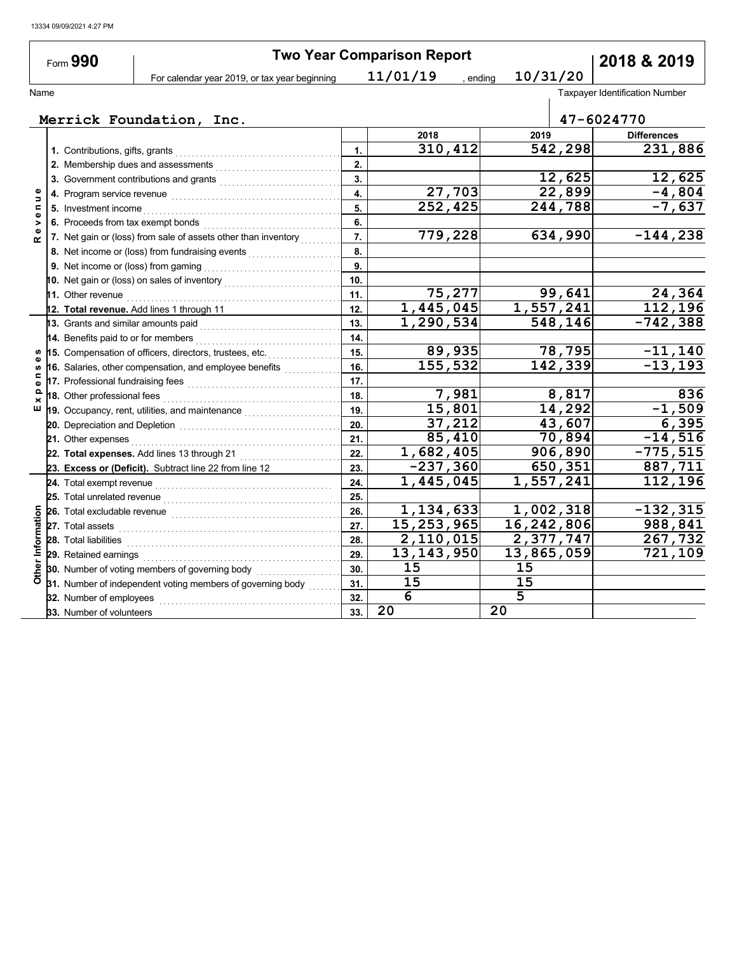|                                  | Form 990                            |                                                                                                                                                                                                                                    |     | <b>Two Year Comparison Report</b> |                      |                        | 2018 & 2019                           |
|----------------------------------|-------------------------------------|------------------------------------------------------------------------------------------------------------------------------------------------------------------------------------------------------------------------------------|-----|-----------------------------------|----------------------|------------------------|---------------------------------------|
|                                  |                                     | For calendar year 2019, or tax year beginning                                                                                                                                                                                      |     | 11/01/19                          | 10/31/20<br>, ending |                        |                                       |
| Name                             |                                     |                                                                                                                                                                                                                                    |     |                                   |                      |                        | <b>Taxpayer Identification Number</b> |
|                                  |                                     |                                                                                                                                                                                                                                    |     |                                   |                      |                        |                                       |
|                                  |                                     | Merrick Foundation, Inc.                                                                                                                                                                                                           |     |                                   |                      |                        | 47-6024770                            |
|                                  |                                     |                                                                                                                                                                                                                                    |     | 2018                              | 2019                 |                        | <b>Differences</b>                    |
|                                  |                                     |                                                                                                                                                                                                                                    | 1.  | 310,412                           |                      | 542,298                | 231,886                               |
|                                  |                                     | 2. Membership dues and assessments                                                                                                                                                                                                 | 2.  |                                   |                      |                        |                                       |
|                                  |                                     | 3. Government contributions and grants                                                                                                                                                                                             | 3.  |                                   |                      | 12,625                 | 12,625                                |
| Φ<br>Ξ                           |                                     |                                                                                                                                                                                                                                    | 4.  | 27,703                            |                      | 22,899                 | $-4,804$                              |
| $\blacksquare$<br>$\pmb{\omega}$ | 5. Investment income                |                                                                                                                                                                                                                                    | 5.  | 252, 425                          |                      | 244,788                | $-7,637$                              |
| ><br>ω                           |                                     |                                                                                                                                                                                                                                    | 6.  |                                   |                      |                        |                                       |
| œ                                |                                     | 7. Net gain or (loss) from sale of assets other than inventory                                                                                                                                                                     | 7.  | 779,228                           |                      | 634,990                | $-144,238$                            |
|                                  |                                     | 8. Net income or (loss) from fundraising events                                                                                                                                                                                    | 8.  |                                   |                      |                        |                                       |
|                                  |                                     |                                                                                                                                                                                                                                    | 9.  |                                   |                      |                        |                                       |
|                                  |                                     | 10. Net gain or (loss) on sales of inventory                                                                                                                                                                                       | 10. |                                   |                      |                        |                                       |
|                                  | <b>11.</b> Other revenue            |                                                                                                                                                                                                                                    | 11. | 75,277                            |                      | 99,641                 | 24,364                                |
|                                  |                                     | 12. Total revenue. Add lines 1 through 11                                                                                                                                                                                          | 12. | 1,445,045                         |                      | 1,557,241              | 112,196                               |
|                                  | 13. Grants and similar amounts paid |                                                                                                                                                                                                                                    | 13. | 1,290,534                         |                      | 548,146                | $-742,388$                            |
|                                  | 14. Benefits paid to or for members | .                                                                                                                                                                                                                                  | 14. |                                   |                      |                        |                                       |
|                                  |                                     | 15. Compensation of officers, directors, trustees, etc.                                                                                                                                                                            | 15. | 89,935                            |                      | 78,795                 | $-11,140$                             |
| ω<br>w                           |                                     | 16. Salaries, other compensation, and employee benefits                                                                                                                                                                            | 16. | 155,532                           |                      | 142, 339               | $-13, 193$                            |
| ⊆<br>Φ                           |                                     |                                                                                                                                                                                                                                    | 17. |                                   |                      |                        |                                       |
| Q<br>×                           | 18. Other professional fees         |                                                                                                                                                                                                                                    | 18. | 7,981                             |                      | 8,817                  | 836                                   |
| ш                                |                                     | 19. Occupancy, rent, utilities, and maintenance <i>maillenge</i> managerous                                                                                                                                                        | 19. | 15,801                            |                      | 14,292                 | $-1,509$                              |
|                                  |                                     |                                                                                                                                                                                                                                    | 20. | 37,212                            |                      | 43,607                 | 6,395                                 |
|                                  | 21. Other expenses                  |                                                                                                                                                                                                                                    | 21. | 85,410                            |                      | 70,894                 | $-14,516$                             |
|                                  |                                     | 22. Total expenses. Add lines 13 through 21                                                                                                                                                                                        | 22. | $\overline{1,682,405}$            |                      | 906,890                | $-775,515$                            |
|                                  |                                     | 23. Excess or (Deficit). Subtract line 22 from line 12                                                                                                                                                                             | 23. | $-237,360$                        |                      | 650,351                | 887,711                               |
|                                  |                                     | 24. Total exempt revenue <b>consumers and the consumer consumer and consumers</b>                                                                                                                                                  | 24. | 1,445,045                         | 1,557,241            |                        | 112,196                               |
|                                  |                                     |                                                                                                                                                                                                                                    | 25. |                                   |                      |                        |                                       |
|                                  |                                     | 26. Total excludable revenue <i>communication</i> and the set of the set of the set of the set of the set of the set of the set of the set of the set of the set of the set of the set of the set of the set of the set of the set | 26. | 1,134,633                         |                      | 1,002,318              | $-132, 315$                           |
|                                  | 27. Total assets                    |                                                                                                                                                                                                                                    | 27. | 15, 253, 965                      | 16,242,806           |                        | 988,841                               |
| Information                      | 28. Total liabilities               |                                                                                                                                                                                                                                    | 28. | 2,110,015                         |                      | $\overline{2,377,747}$ | 267,732                               |
|                                  | 29. Retained earnings               |                                                                                                                                                                                                                                    | 29. | 13, 143, 950                      | 13,865,059           |                        | $\overline{721}$ , 109                |
|                                  |                                     | 30. Number of voting members of governing body                                                                                                                                                                                     | 30. | 15                                | 15                   |                        |                                       |
| Other                            |                                     | 31. Number of independent voting members of governing body                                                                                                                                                                         | 31. | 15                                | 15                   |                        |                                       |
|                                  | 32. Number of employees             |                                                                                                                                                                                                                                    | 32. | 6                                 | $\overline{5}$       |                        |                                       |
|                                  | 33. Number of volunteers            |                                                                                                                                                                                                                                    | 33. | 20                                | 20                   |                        |                                       |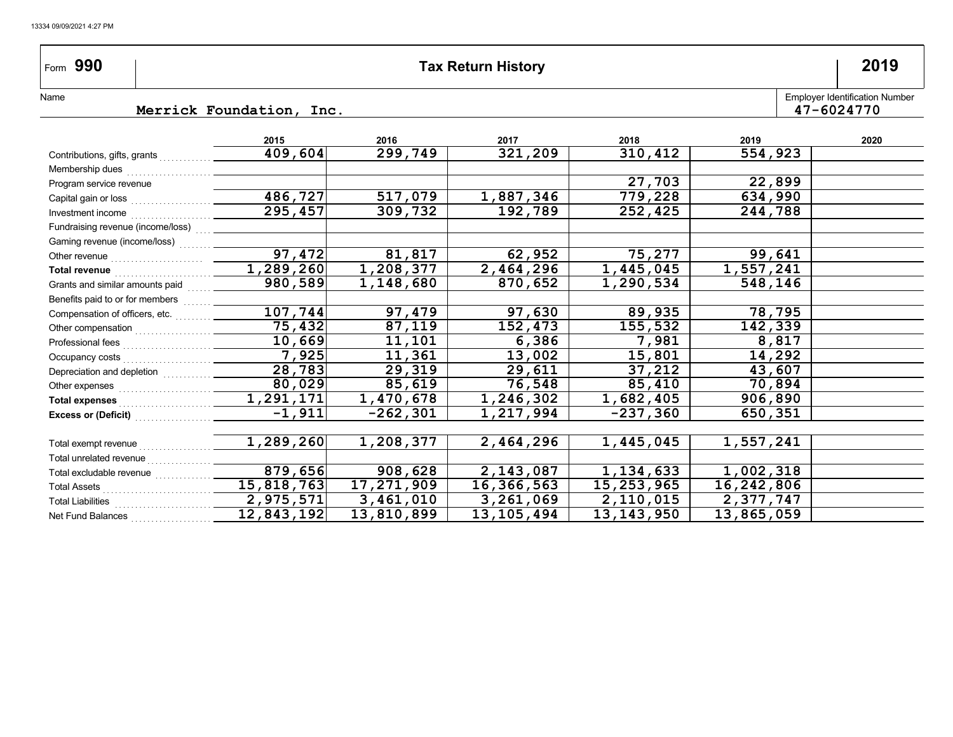| Form 990                                                      |                          |             | <b>Tax Return History</b> |           |           | 2019                                                |
|---------------------------------------------------------------|--------------------------|-------------|---------------------------|-----------|-----------|-----------------------------------------------------|
| Name                                                          | Merrick Foundation, Inc. |             |                           |           |           | <b>Employer Identification Number</b><br>47-6024770 |
|                                                               |                          |             |                           |           |           |                                                     |
|                                                               | 2015                     | 2016        | 2017                      | 2018      | 2019      | 2020                                                |
| Contributions, gifts, grants                                  | 409,604                  | 299,749     | 321,209                   | 310,412   | 554,923   |                                                     |
|                                                               |                          |             |                           |           |           |                                                     |
| Program service revenue                                       |                          |             |                           | 27,703    | 22,899    |                                                     |
|                                                               | 486,727                  | 517,079     | 1,887,346                 | 779,228   | 634,990   |                                                     |
|                                                               | 295,457                  | 309,732     | 192,789                   | 252,425   | 244,788   |                                                     |
|                                                               |                          |             |                           |           |           |                                                     |
| Gaming revenue (income/loss)                                  |                          |             |                           |           |           |                                                     |
|                                                               | $\overline{97, 472}$     | 81,817      | 62,952                    | 75,277    | 99,641    |                                                     |
|                                                               | $\overline{1,289,260}$   | 1,208,377   | 2,464,296                 | 1,445,045 | 1,557,241 |                                                     |
| Grants and similar amounts paid [1111]                        | 980,589                  | 1,148,680   | 870,652                   | 1,290,534 | 548,146   |                                                     |
| Benefits paid to or for members                               |                          |             |                           |           |           |                                                     |
|                                                               | 107,744                  | 97,479      | 97,630                    | 89,935    | 78,795    |                                                     |
|                                                               | 75,432                   | 87,119      | 152,473                   | 155,532   | 142,339   |                                                     |
|                                                               | 10,669                   | 11,101      | 6,386                     | 7,981     | 8,817     |                                                     |
|                                                               | 7,925                    | 11,361      | 13,002                    | 15,801    | 14,292    |                                                     |
| Depreciation and depletion [1] [1] Depreciation and depletion | 28,783                   | 29,319      | 29,611                    | 37,212    | 43,607    |                                                     |
|                                                               | 80,029                   | 85,619      | 76,548                    | 85,410    | 70,894    |                                                     |
| Total expenses [[[[[[[[[[[[[[[[[[[[[[[]]]]]]]]                | 1,291,171                | 1,470,678   | 1,246,302                 | 1,682,405 | 906,890   |                                                     |
| Excess or (Deficit) <b>Excess</b> or (Deficit)                | $-1,911$                 | $-262, 301$ | 1,217,994                 | -237,360  | 650,351   |                                                     |
|                                                               |                          |             |                           |           |           |                                                     |

| Total exempt revenue     | 1,289,260  | 1,208,377  | 2,464,296    | 1,445,045    | 1,557,241  |  |
|--------------------------|------------|------------|--------------|--------------|------------|--|
| Total unrelated revenue  |            |            |              |              |            |  |
| Total excludable revenue | 879,656    | 908,628    | 2,143,087    | 1,134,633    | 1,002,318  |  |
| <b>Total Assets</b>      | 15,818,763 | 17,271,909 | 16,366,563   | 15,253,965   | 16,242,806 |  |
| <b>Total Liabilities</b> | 2,975,571  | 3,461,010  | 3,261,069    | 2,110,015    | 2,377,747  |  |
| Net Fund Balances        | 12,843,192 | 13,810,899 | 13, 105, 494 | 13, 143, 950 | 13,865,059 |  |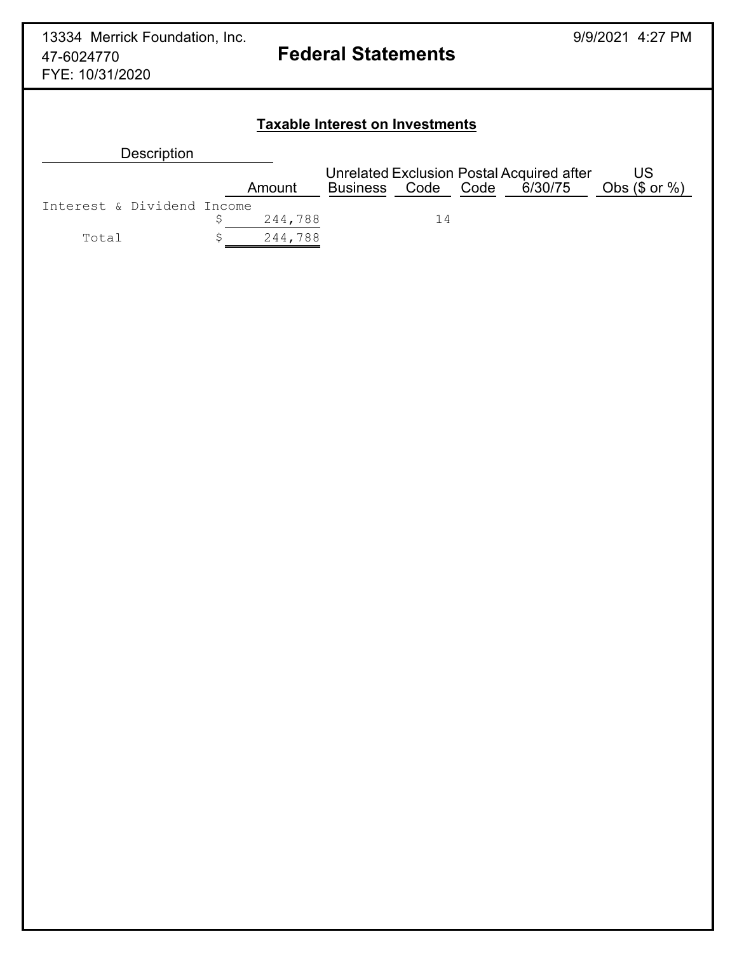## **Taxable Interest on Investments**

| <b>Description</b>         |         |                                           |    |  |  |                    |
|----------------------------|---------|-------------------------------------------|----|--|--|--------------------|
|                            |         | Unrelated Exclusion Postal Acquired after |    |  |  | US                 |
|                            | Amount  | Business Code Code 6/30/75                |    |  |  | Obs $(\$$ or $%$ ) |
| Interest & Dividend Income |         |                                           |    |  |  |                    |
|                            | 244,788 |                                           | 14 |  |  |                    |
| Total                      | 244,788 |                                           |    |  |  |                    |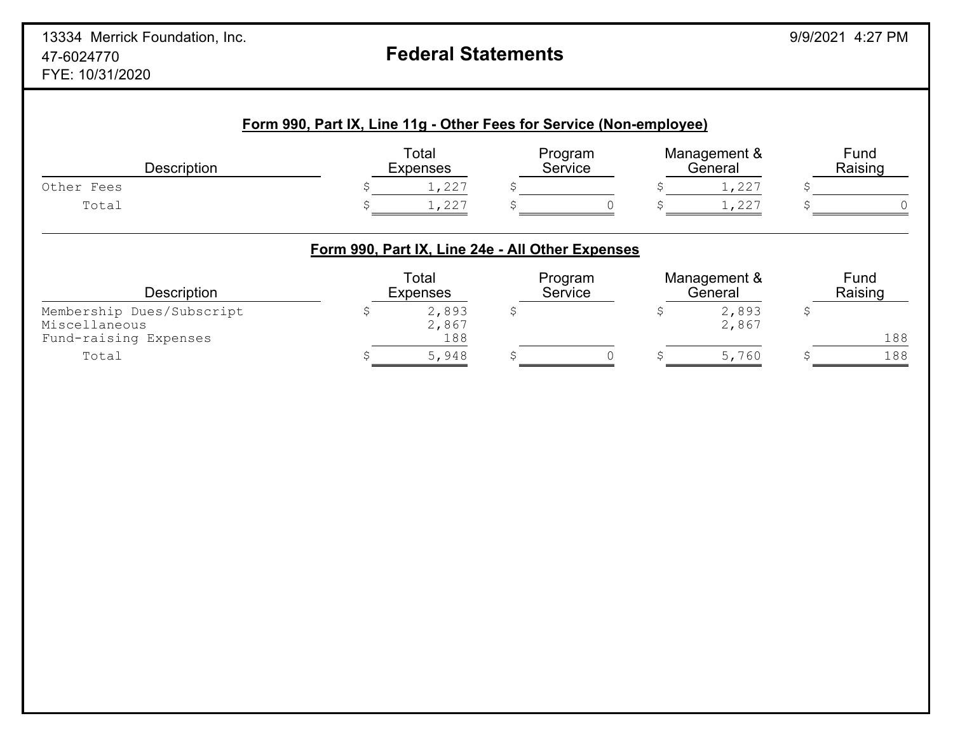# **Form 990, Part IX, Line 11g - Other Fees for Service (Non-employee)** Total Program Management & Fund Description Expenses Service General Raising Other Fees  $\begin{array}{ccc}\n\bullet & \bullet & \bullet & \bullet \\
\bullet & \bullet & \bullet & \bullet\n\end{array}$  Total \$ 1,227 \$ 0 \$ 1,227 \$ 0 **Form 990, Part IX, Line 24e - All Other Expenses** Total Program Management & Fund<br>Expenses Service General Raising Description Expenses Service General Raising Membership Dues/Subscript  $\begin{array}{ccc}\n\text{Nembership Dues/Subscript} & \text{S} & \text{S} & \text{S} & \text{S} & \text{S} \\
\text{Miscellaneous} & & & & \text{S} & \text{S} & \text{S} \\
\text{Miscellaneous} & & & & \text{S} & \text{S} & \text{S} \\
\end{array}$ Miscellaneous<br>
Fund-raising Expenses<br>
188 Fund-raising Expenses 188 188 Total \$ 5,948 \$ 0 \$ 5,760 \$ 188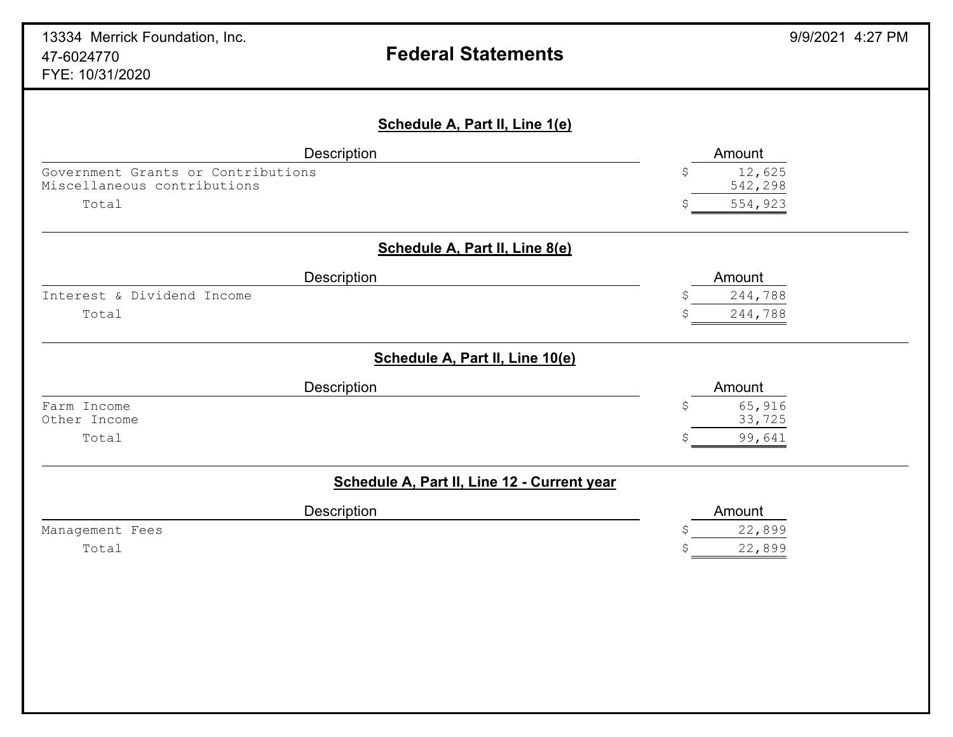| Description                        | Amount                                      |
|------------------------------------|---------------------------------------------|
| Government Grants or Contributions | 12,625<br>\$                                |
| Miscellaneous contributions        | 542,298                                     |
| Total                              | 554,923                                     |
|                                    | Schedule A, Part II, Line 8(e)              |
| Description                        | Amount                                      |
| Interest & Dividend Income         | 244,788                                     |
| Total                              | 244,788                                     |
|                                    | Schedule A, Part II, Line 10(e)             |
| <b>Description</b>                 | Amount                                      |
| Farm Income                        | 65,916<br>S                                 |
| Other Income                       | 33,725                                      |
| Total                              | 99,641<br>Ŝ.                                |
|                                    | Schedule A, Part II, Line 12 - Current year |
| Description                        | Amount                                      |
| Management Fees                    | 22,899                                      |
| Total                              | 22,899                                      |